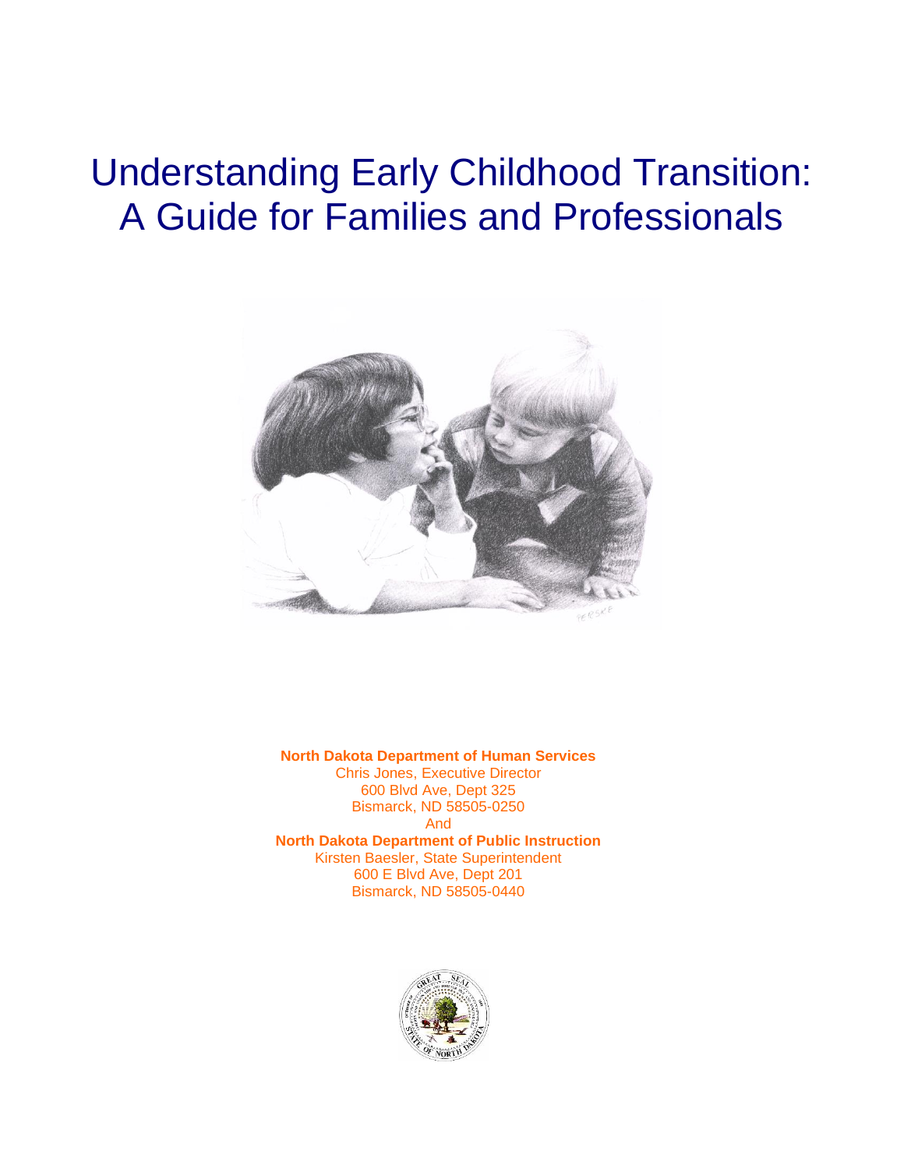# Understanding Early Childhood Transition: A Guide for Families and Professionals



**North Dakota Department of Human Services** Chris Jones, Executive Director 600 Blvd Ave, Dept 325 Bismarck, ND 58505-0250 And **North Dakota Department of Public Instruction** Kirsten Baesler, State Superintendent 600 E Blvd Ave, Dept 201 Bismarck, ND 58505-0440

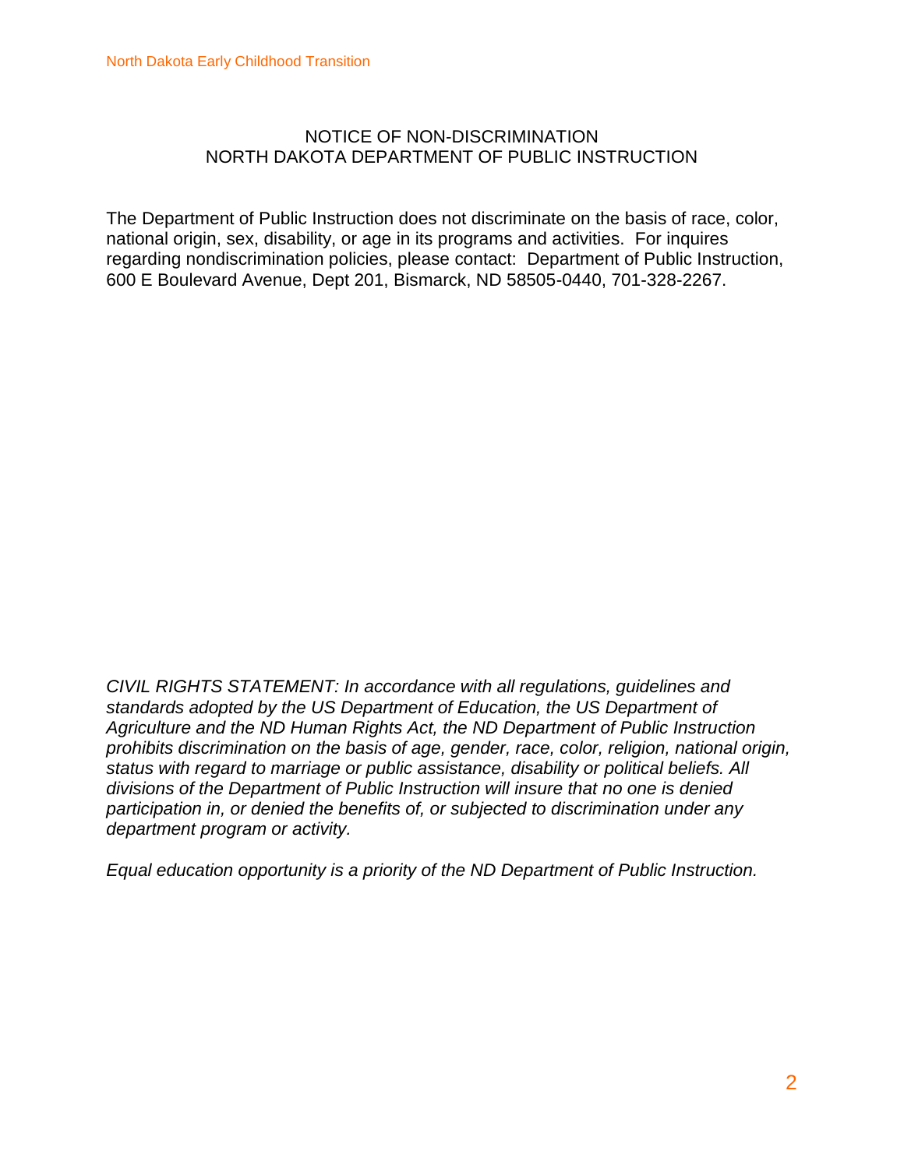#### NOTICE OF NON-DISCRIMINATION NORTH DAKOTA DEPARTMENT OF PUBLIC INSTRUCTION

The Department of Public Instruction does not discriminate on the basis of race, color, national origin, sex, disability, or age in its programs and activities. For inquires regarding nondiscrimination policies, please contact: Department of Public Instruction, 600 E Boulevard Avenue, Dept 201, Bismarck, ND 58505-0440, 701-328-2267.

*CIVIL RIGHTS STATEMENT: In accordance with all regulations, guidelines and standards adopted by the US Department of Education, the US Department of Agriculture and the ND Human Rights Act, the ND Department of Public Instruction prohibits discrimination on the basis of age, gender, race, color, religion, national origin, status with regard to marriage or public assistance, disability or political beliefs. All divisions of the Department of Public Instruction will insure that no one is denied participation in, or denied the benefits of, or subjected to discrimination under any department program or activity.*

*Equal education opportunity is a priority of the ND Department of Public Instruction.*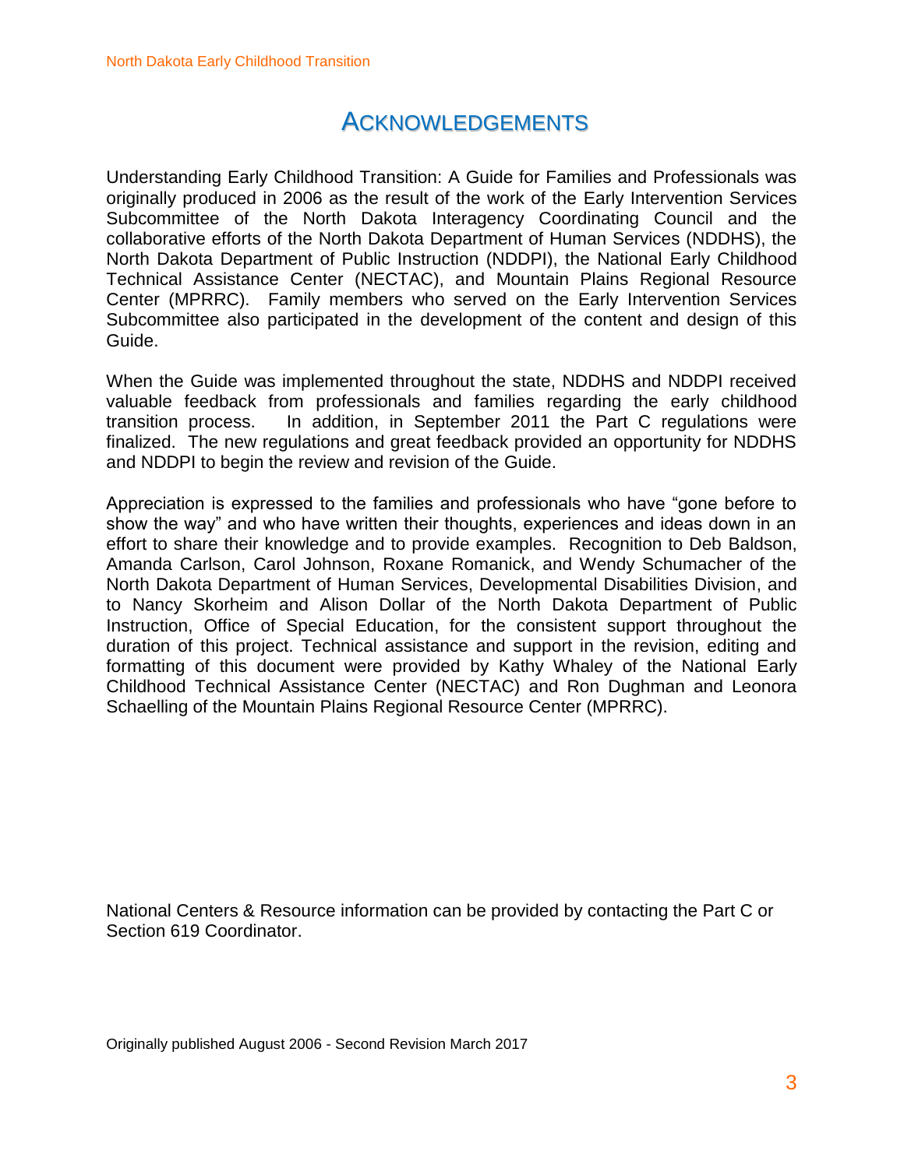### ACKNOWLEDGEMENTS

Understanding Early Childhood Transition: A Guide for Families and Professionals was originally produced in 2006 as the result of the work of the Early Intervention Services Subcommittee of the North Dakota Interagency Coordinating Council and the collaborative efforts of the North Dakota Department of Human Services (NDDHS), the North Dakota Department of Public Instruction (NDDPI), the National Early Childhood Technical Assistance Center (NECTAC), and Mountain Plains Regional Resource Center (MPRRC). Family members who served on the Early Intervention Services Subcommittee also participated in the development of the content and design of this Guide.

When the Guide was implemented throughout the state, NDDHS and NDDPI received valuable feedback from professionals and families regarding the early childhood transition process. In addition, in September 2011 the Part C regulations were finalized. The new regulations and great feedback provided an opportunity for NDDHS and NDDPI to begin the review and revision of the Guide.

Appreciation is expressed to the families and professionals who have "gone before to show the way" and who have written their thoughts, experiences and ideas down in an effort to share their knowledge and to provide examples. Recognition to Deb Baldson, Amanda Carlson, Carol Johnson, Roxane Romanick, and Wendy Schumacher of the North Dakota Department of Human Services, Developmental Disabilities Division, and to Nancy Skorheim and Alison Dollar of the North Dakota Department of Public Instruction, Office of Special Education, for the consistent support throughout the duration of this project. Technical assistance and support in the revision, editing and formatting of this document were provided by Kathy Whaley of the National Early Childhood Technical Assistance Center (NECTAC) and Ron Dughman and Leonora Schaelling of the Mountain Plains Regional Resource Center (MPRRC).

National Centers & Resource information can be provided by contacting the Part C or Section 619 Coordinator.

Originally published August 2006 - Second Revision March 2017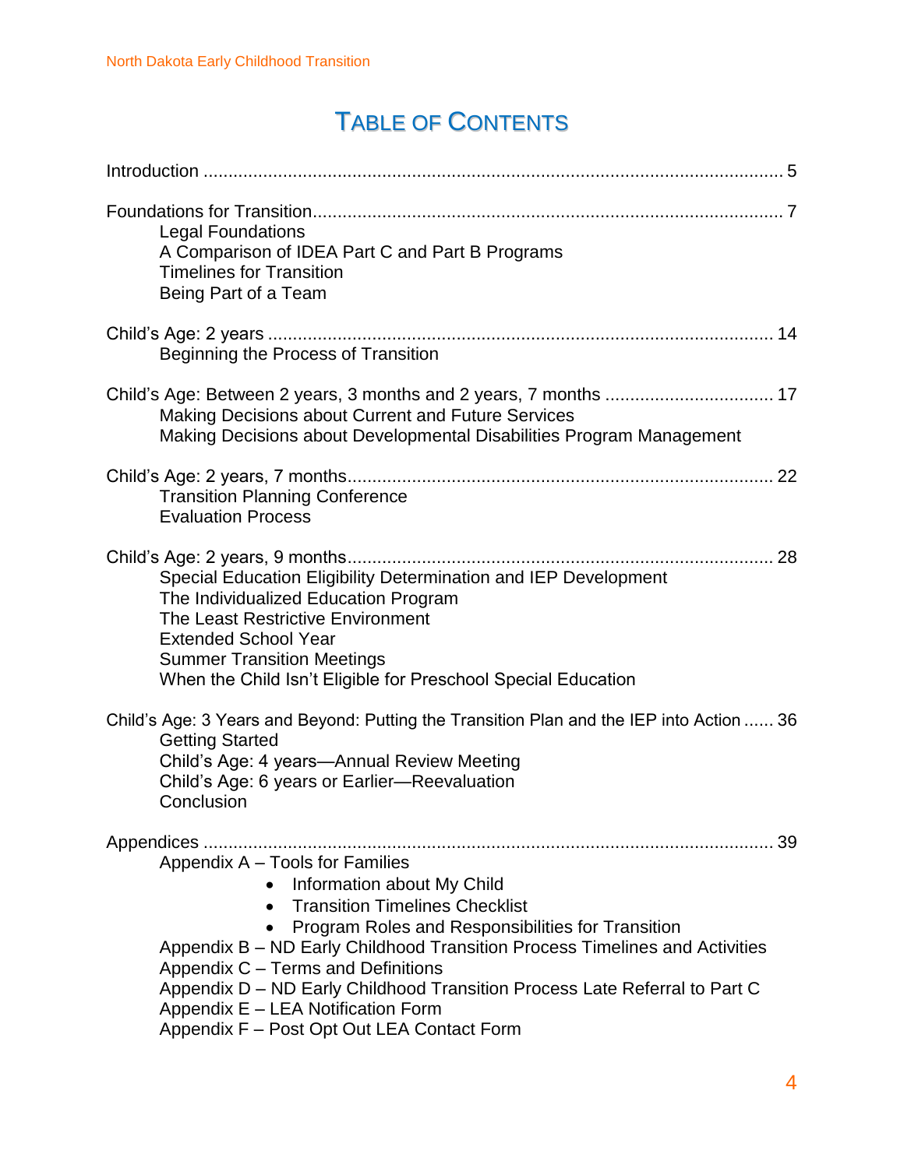## TABLE OF CONTENTS

| <b>Legal Foundations</b><br>A Comparison of IDEA Part C and Part B Programs<br><b>Timelines for Transition</b><br>Being Part of a Team                                                                                                                                                                                                                                                                                                                                |
|-----------------------------------------------------------------------------------------------------------------------------------------------------------------------------------------------------------------------------------------------------------------------------------------------------------------------------------------------------------------------------------------------------------------------------------------------------------------------|
| Beginning the Process of Transition                                                                                                                                                                                                                                                                                                                                                                                                                                   |
| Child's Age: Between 2 years, 3 months and 2 years, 7 months  17<br><b>Making Decisions about Current and Future Services</b><br>Making Decisions about Developmental Disabilities Program Management                                                                                                                                                                                                                                                                 |
| 22<br><b>Transition Planning Conference</b><br><b>Evaluation Process</b>                                                                                                                                                                                                                                                                                                                                                                                              |
| Special Education Eligibility Determination and IEP Development<br>The Individualized Education Program<br>The Least Restrictive Environment<br><b>Extended School Year</b><br><b>Summer Transition Meetings</b><br>When the Child Isn't Eligible for Preschool Special Education                                                                                                                                                                                     |
| Child's Age: 3 Years and Beyond: Putting the Transition Plan and the IEP into Action  36<br><b>Getting Started</b><br>Child's Age: 4 years—Annual Review Meeting<br>Child's Age: 6 years or Earlier-Reevaluation<br>Conclusion                                                                                                                                                                                                                                        |
| 39<br>Appendix A - Tools for Families<br>Information about My Child<br><b>Transition Timelines Checklist</b><br>$\bullet$<br>Program Roles and Responsibilities for Transition<br>Appendix B – ND Early Childhood Transition Process Timelines and Activities<br>Appendix C - Terms and Definitions<br>Appendix D - ND Early Childhood Transition Process Late Referral to Part C<br>Appendix E - LEA Notification Form<br>Appendix F - Post Opt Out LEA Contact Form |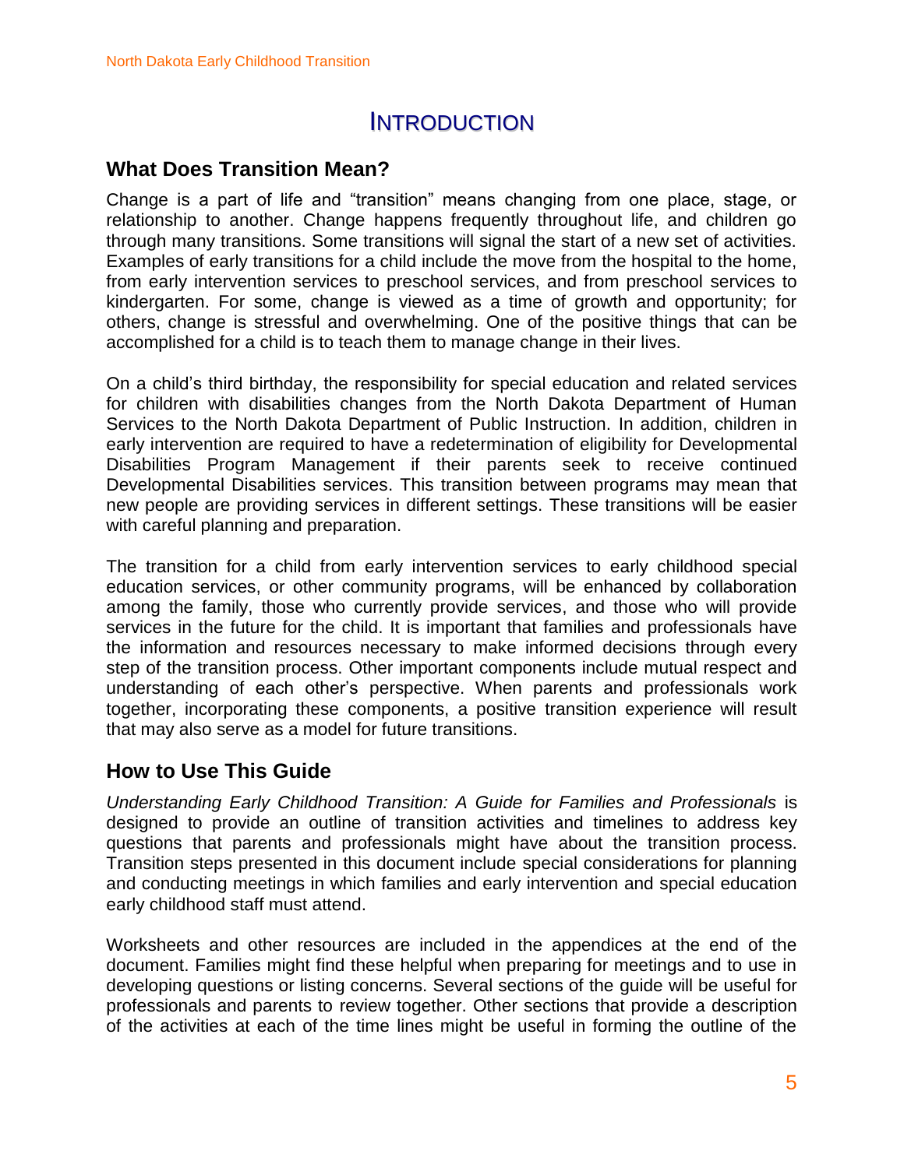### **INTRODUCTION**

### **What Does Transition Mean?**

Change is a part of life and "transition" means changing from one place, stage, or relationship to another. Change happens frequently throughout life, and children go through many transitions. Some transitions will signal the start of a new set of activities. Examples of early transitions for a child include the move from the hospital to the home, from early intervention services to preschool services, and from preschool services to kindergarten. For some, change is viewed as a time of growth and opportunity; for others, change is stressful and overwhelming. One of the positive things that can be accomplished for a child is to teach them to manage change in their lives.

On a child's third birthday, the responsibility for special education and related services for children with disabilities changes from the North Dakota Department of Human Services to the North Dakota Department of Public Instruction. In addition, children in early intervention are required to have a redetermination of eligibility for Developmental Disabilities Program Management if their parents seek to receive continued Developmental Disabilities services. This transition between programs may mean that new people are providing services in different settings. These transitions will be easier with careful planning and preparation.

The transition for a child from early intervention services to early childhood special education services, or other community programs, will be enhanced by collaboration among the family, those who currently provide services, and those who will provide services in the future for the child. It is important that families and professionals have the information and resources necessary to make informed decisions through every step of the transition process. Other important components include mutual respect and understanding of each other's perspective. When parents and professionals work together, incorporating these components, a positive transition experience will result that may also serve as a model for future transitions.

### **How to Use This Guide**

*Understanding Early Childhood Transition: A Guide for Families and Professionals* is designed to provide an outline of transition activities and timelines to address key questions that parents and professionals might have about the transition process. Transition steps presented in this document include special considerations for planning and conducting meetings in which families and early intervention and special education early childhood staff must attend.

Worksheets and other resources are included in the appendices at the end of the document. Families might find these helpful when preparing for meetings and to use in developing questions or listing concerns. Several sections of the guide will be useful for professionals and parents to review together. Other sections that provide a description of the activities at each of the time lines might be useful in forming the outline of the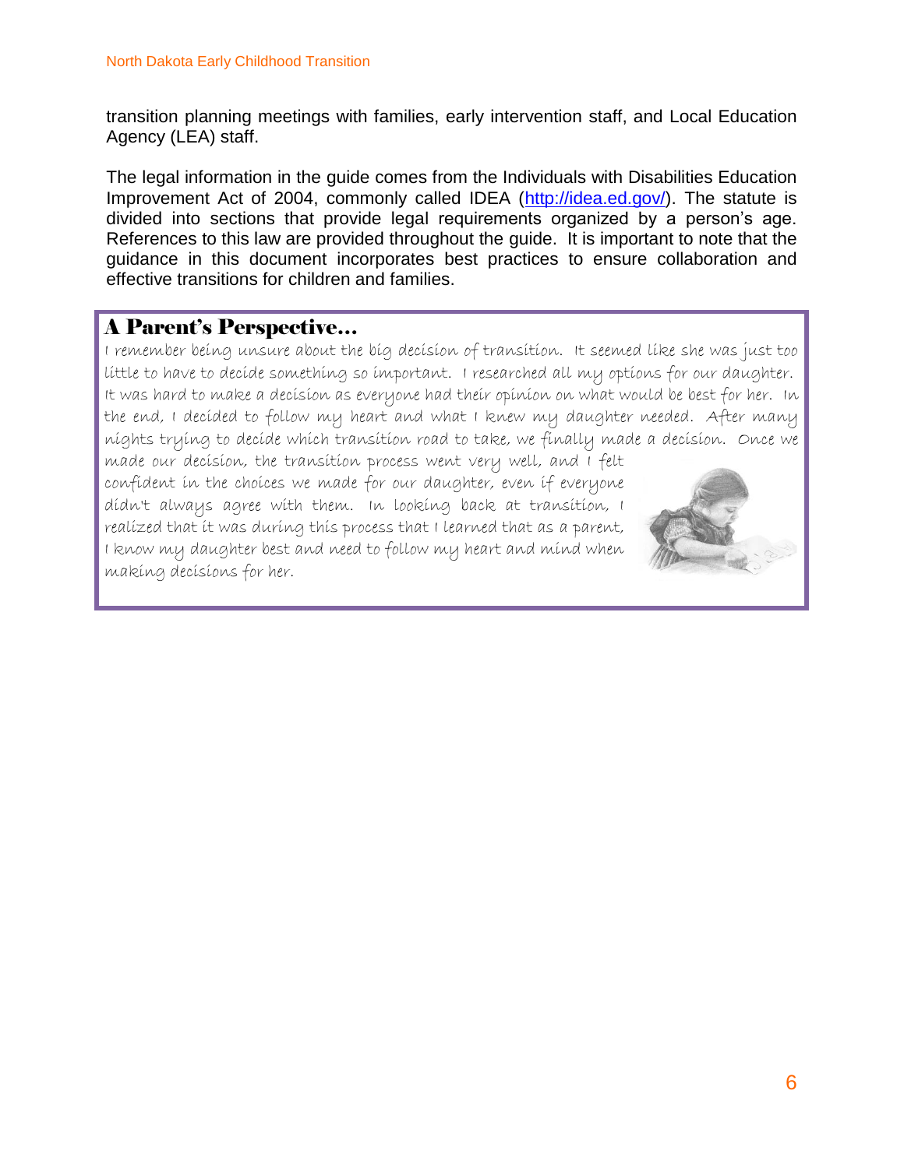transition planning meetings with families, early intervention staff, and Local Education Agency (LEA) staff.

The legal information in the guide comes from the Individuals with Disabilities Education Improvement Act of 2004, commonly called IDEA [\(http://idea.ed.gov/\)](http://idea.ed.gov/). The statute is divided into sections that provide legal requirements organized by a person's age. References to this law are provided throughout the guide. It is important to note that the guidance in this document incorporates best practices to ensure collaboration and effective transitions for children and families.

### A Parent's Perspective…

I remember being unsure about the big decision of transition. It seemed like she was just too little to have to decide something so important. I researched all my options for our daughter. It was hard to make a decision as everyone had their opinion on what would be best for her. In the end, I decided to follow my heart and what I knew my daughter needed. After many nights trying to decide which transition road to take, we finally made a decision. Once we

made our decision, the transition process went very well, and I felt confident in the choices we made for our daughter, even if everyone didn't always agree with them. In looking back at transition, I realized that it was during this process that I learned that as a parent, I know my daughter best and need to follow my heart and mind when making decisions for her.

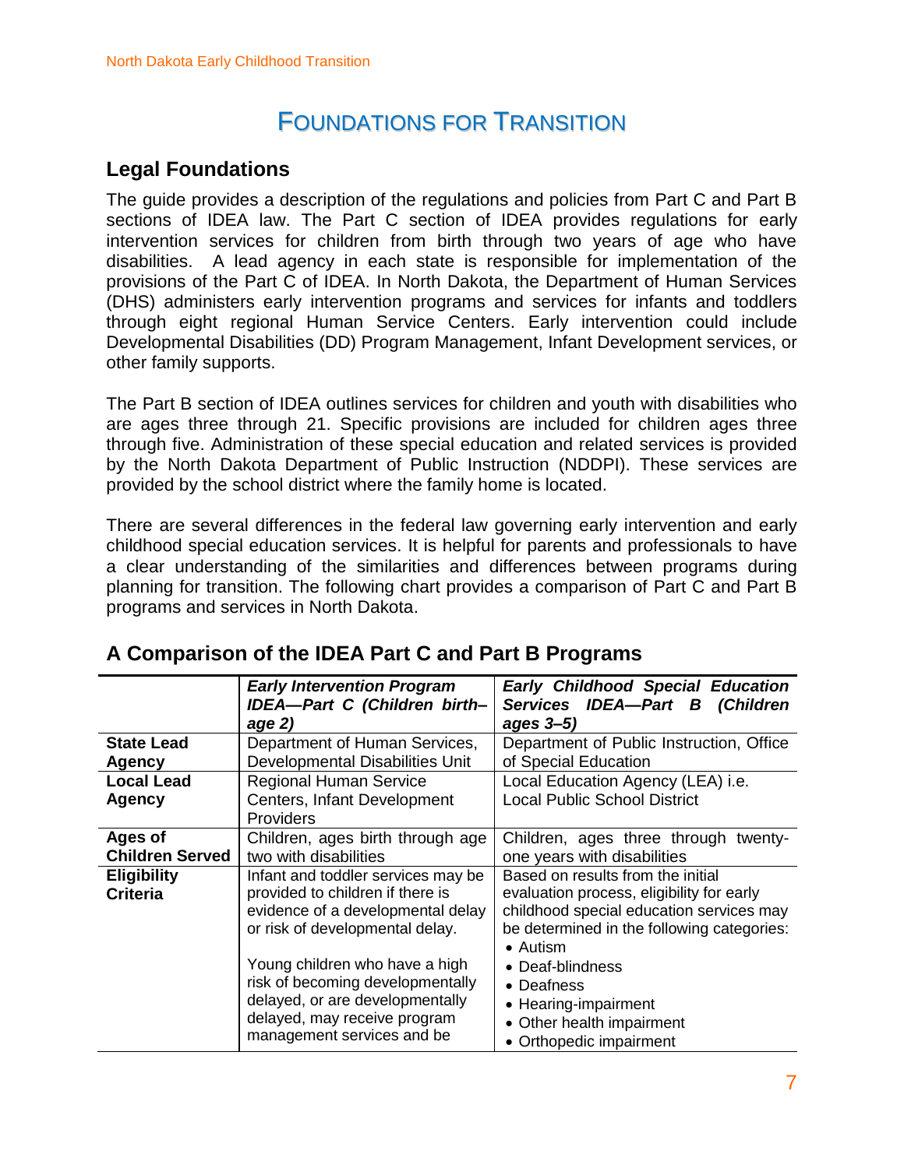### FOUNDATIONS FOR TRANSITION

### **Legal Foundations**

The guide provides a description of the regulations and policies from Part C and Part B sections of IDEA law. The Part C section of IDEA provides regulations for early intervention services for children from birth through two years of age who have disabilities. A lead agency in each state is responsible for implementation of the provisions of the Part C of IDEA. In North Dakota, the Department of Human Services (DHS) administers early intervention programs and services for infants and toddlers through eight regional Human Service Centers. Early intervention could include Developmental Disabilities (DD) Program Management, Infant Development services, or other family supports.

The Part B section of IDEA outlines services for children and youth with disabilities who are ages three through 21. Specific provisions are included for children ages three through five. Administration of these special education and related services is provided by the North Dakota Department of Public Instruction (NDDPI). These services are provided by the school district where the family home is located.

There are several differences in the federal law governing early intervention and early childhood special education services. It is helpful for parents and professionals to have a clear understanding of the similarities and differences between programs during planning for transition. The following chart provides a comparison of Part C and Part B programs and services in North Dakota.

|                                       | <b>Early Intervention Program</b>                                                                                                              | <b>Early Childhood Special Education</b>                                                                                                                                 |
|---------------------------------------|------------------------------------------------------------------------------------------------------------------------------------------------|--------------------------------------------------------------------------------------------------------------------------------------------------------------------------|
|                                       | IDEA-Part C (Children birth-                                                                                                                   | Services IDEA-Part B (Children                                                                                                                                           |
|                                       | age 2)                                                                                                                                         | ages 3-5)                                                                                                                                                                |
| <b>State Lead</b>                     | Department of Human Services,                                                                                                                  | Department of Public Instruction, Office                                                                                                                                 |
| <b>Agency</b>                         | Developmental Disabilities Unit                                                                                                                | of Special Education                                                                                                                                                     |
| <b>Local Lead</b>                     | <b>Regional Human Service</b>                                                                                                                  | Local Education Agency (LEA) i.e.                                                                                                                                        |
| Agency                                | Centers, Infant Development                                                                                                                    | <b>Local Public School District</b>                                                                                                                                      |
|                                       | <b>Providers</b>                                                                                                                               |                                                                                                                                                                          |
| Ages of                               | Children, ages birth through age                                                                                                               | Children, ages three through twenty-                                                                                                                                     |
| <b>Children Served</b>                | two with disabilities                                                                                                                          | one years with disabilities                                                                                                                                              |
| <b>Eligibility</b><br><b>Criteria</b> | Infant and toddler services may be<br>provided to children if there is<br>evidence of a developmental delay<br>or risk of developmental delay. | Based on results from the initial<br>evaluation process, eligibility for early<br>childhood special education services may<br>be determined in the following categories: |
|                                       |                                                                                                                                                | $\bullet$ Autism                                                                                                                                                         |
|                                       | Young children who have a high                                                                                                                 | • Deaf-blindness                                                                                                                                                         |
|                                       | risk of becoming developmentally                                                                                                               | • Deafness                                                                                                                                                               |
|                                       | delayed, or are developmentally                                                                                                                | • Hearing-impairment                                                                                                                                                     |
|                                       | delayed, may receive program                                                                                                                   | Other health impairment                                                                                                                                                  |
|                                       | management services and be                                                                                                                     | • Orthopedic impairment                                                                                                                                                  |

### **A Comparison of the IDEA Part C and Part B Programs**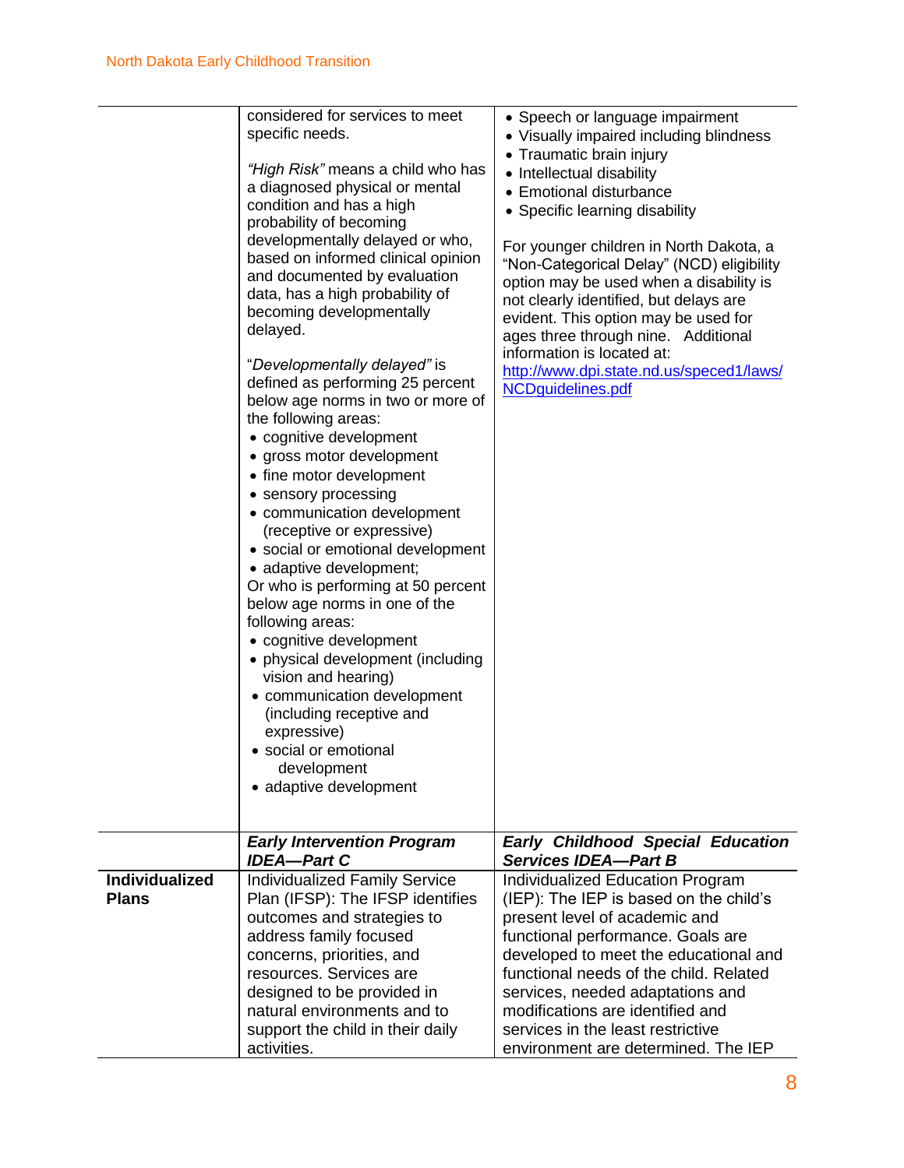| considered for services to meet<br>specific needs.<br>"High Risk" means a child who has<br>a diagnosed physical or mental<br>condition and has a high<br>probability of becoming<br>developmentally delayed or who,<br>based on informed clinical opinion<br>and documented by evaluation<br>data, has a high probability of<br>becoming developmentally<br>delayed.<br>"Developmentally delayed" is<br>defined as performing 25 percent<br>below age norms in two or more of<br>the following areas:<br>• cognitive development<br>• gross motor development<br>• fine motor development<br>• sensory processing<br>• communication development<br>(receptive or expressive)<br>• social or emotional development<br>• adaptive development;<br>Or who is performing at 50 percent<br>below age norms in one of the<br>following areas:<br>• cognitive development<br>• physical development (including<br>vision and hearing)<br>• communication development<br>(including receptive and<br>expressive)<br>· social or emotional<br>development<br>• adaptive development |                                                                                                                                                                                                                                                                                                          | • Speech or language impairment<br>• Visually impaired including blindness<br>• Traumatic brain injury<br>• Intellectual disability<br>• Emotional disturbance<br>• Specific learning disability<br>For younger children in North Dakota, a<br>"Non-Categorical Delay" (NCD) eligibility<br>option may be used when a disability is<br>not clearly identified, but delays are<br>evident. This option may be used for<br>ages three through nine. Additional<br>information is located at:<br>http://www.dpi.state.nd.us/speced1/laws/<br>NCDguidelines.pdf |
|-----------------------------------------------------------------------------------------------------------------------------------------------------------------------------------------------------------------------------------------------------------------------------------------------------------------------------------------------------------------------------------------------------------------------------------------------------------------------------------------------------------------------------------------------------------------------------------------------------------------------------------------------------------------------------------------------------------------------------------------------------------------------------------------------------------------------------------------------------------------------------------------------------------------------------------------------------------------------------------------------------------------------------------------------------------------------------|----------------------------------------------------------------------------------------------------------------------------------------------------------------------------------------------------------------------------------------------------------------------------------------------------------|-------------------------------------------------------------------------------------------------------------------------------------------------------------------------------------------------------------------------------------------------------------------------------------------------------------------------------------------------------------------------------------------------------------------------------------------------------------------------------------------------------------------------------------------------------------|
|                                                                                                                                                                                                                                                                                                                                                                                                                                                                                                                                                                                                                                                                                                                                                                                                                                                                                                                                                                                                                                                                             | <b>Early Intervention Program</b><br><b>IDEA-Part C</b>                                                                                                                                                                                                                                                  | <b>Early Childhood Special Education</b><br><b>Services IDEA-Part B</b>                                                                                                                                                                                                                                                                                                                                                                                                                                                                                     |
| <b>Individualized</b><br><b>Plans</b>                                                                                                                                                                                                                                                                                                                                                                                                                                                                                                                                                                                                                                                                                                                                                                                                                                                                                                                                                                                                                                       | <b>Individualized Family Service</b><br>Plan (IFSP): The IFSP identifies<br>outcomes and strategies to<br>address family focused<br>concerns, priorities, and<br>resources. Services are<br>designed to be provided in<br>natural environments and to<br>support the child in their daily<br>activities. | Individualized Education Program<br>(IEP): The IEP is based on the child's<br>present level of academic and<br>functional performance. Goals are<br>developed to meet the educational and<br>functional needs of the child. Related<br>services, needed adaptations and<br>modifications are identified and<br>services in the least restrictive<br>environment are determined. The IEP                                                                                                                                                                     |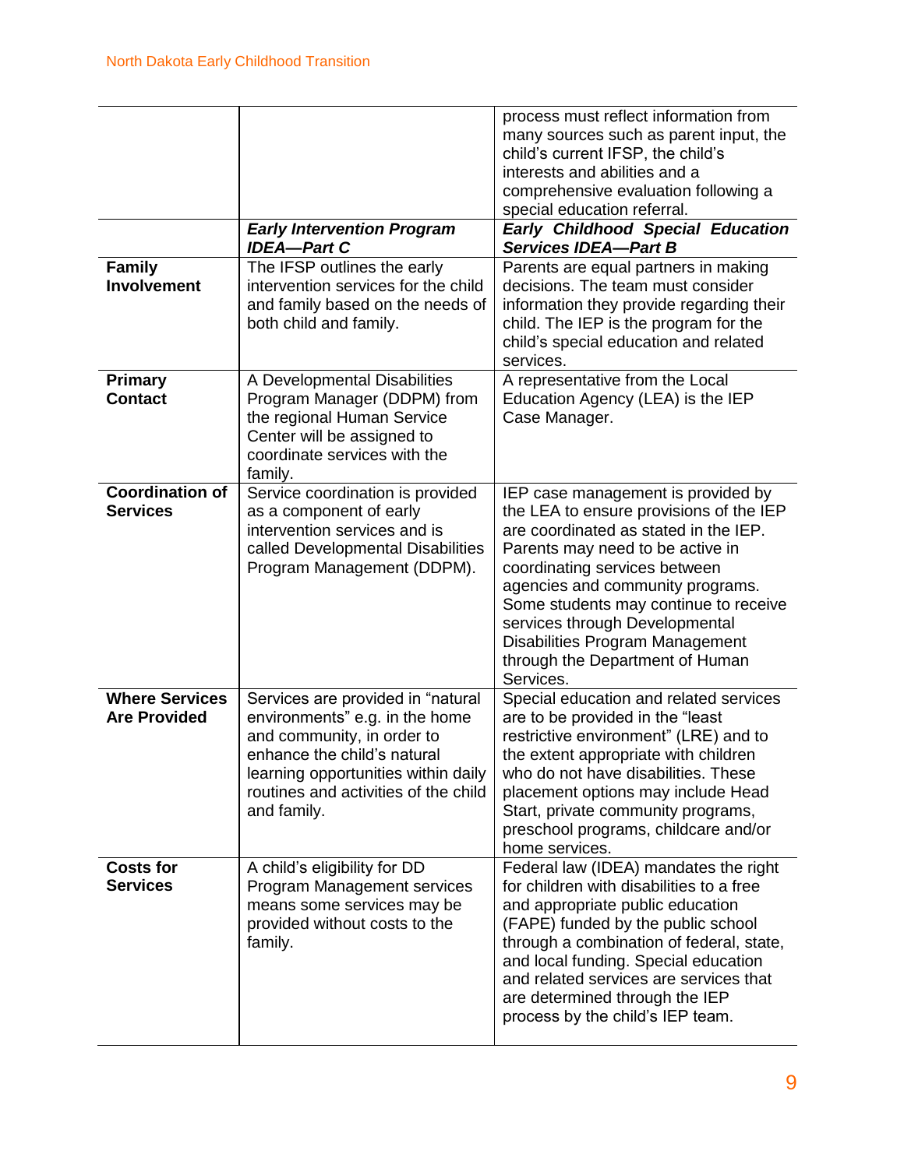| <b>Family</b><br>Involvement                 | <b>Early Intervention Program</b><br><b>IDEA-Part C</b><br>The IFSP outlines the early<br>intervention services for the child<br>and family based on the needs of<br>both child and family.                                    | process must reflect information from<br>many sources such as parent input, the<br>child's current IFSP, the child's<br>interests and abilities and a<br>comprehensive evaluation following a<br>special education referral.<br><b>Early Childhood Special Education</b><br><b>Services IDEA-Part B</b><br>Parents are equal partners in making<br>decisions. The team must consider<br>information they provide regarding their<br>child. The IEP is the program for the<br>child's special education and related<br>services. |
|----------------------------------------------|--------------------------------------------------------------------------------------------------------------------------------------------------------------------------------------------------------------------------------|---------------------------------------------------------------------------------------------------------------------------------------------------------------------------------------------------------------------------------------------------------------------------------------------------------------------------------------------------------------------------------------------------------------------------------------------------------------------------------------------------------------------------------|
| <b>Primary</b><br><b>Contact</b>             | A Developmental Disabilities<br>Program Manager (DDPM) from<br>the regional Human Service<br>Center will be assigned to<br>coordinate services with the<br>family.                                                             | A representative from the Local<br>Education Agency (LEA) is the IEP<br>Case Manager.                                                                                                                                                                                                                                                                                                                                                                                                                                           |
| <b>Coordination of</b><br><b>Services</b>    | Service coordination is provided<br>as a component of early<br>intervention services and is<br>called Developmental Disabilities<br>Program Management (DDPM).                                                                 | IEP case management is provided by<br>the LEA to ensure provisions of the IEP<br>are coordinated as stated in the IEP.<br>Parents may need to be active in<br>coordinating services between<br>agencies and community programs.<br>Some students may continue to receive<br>services through Developmental<br>Disabilities Program Management<br>through the Department of Human<br>Services.                                                                                                                                   |
| <b>Where Services</b><br><b>Are Provided</b> | Services are provided in "natural<br>environments" e.g. in the home<br>and community, in order to<br>enhance the child's natural<br>learning opportunities within daily<br>routines and activities of the child<br>and family. | Special education and related services<br>are to be provided in the "least"<br>restrictive environment" (LRE) and to<br>the extent appropriate with children<br>who do not have disabilities. These<br>placement options may include Head<br>Start, private community programs,<br>preschool programs, childcare and/or<br>home services.                                                                                                                                                                                       |
| <b>Costs for</b><br><b>Services</b>          | A child's eligibility for DD<br>Program Management services<br>means some services may be<br>provided without costs to the<br>family.                                                                                          | Federal law (IDEA) mandates the right<br>for children with disabilities to a free<br>and appropriate public education<br>(FAPE) funded by the public school<br>through a combination of federal, state,<br>and local funding. Special education<br>and related services are services that<br>are determined through the IEP<br>process by the child's IEP team.                                                                                                                                                                 |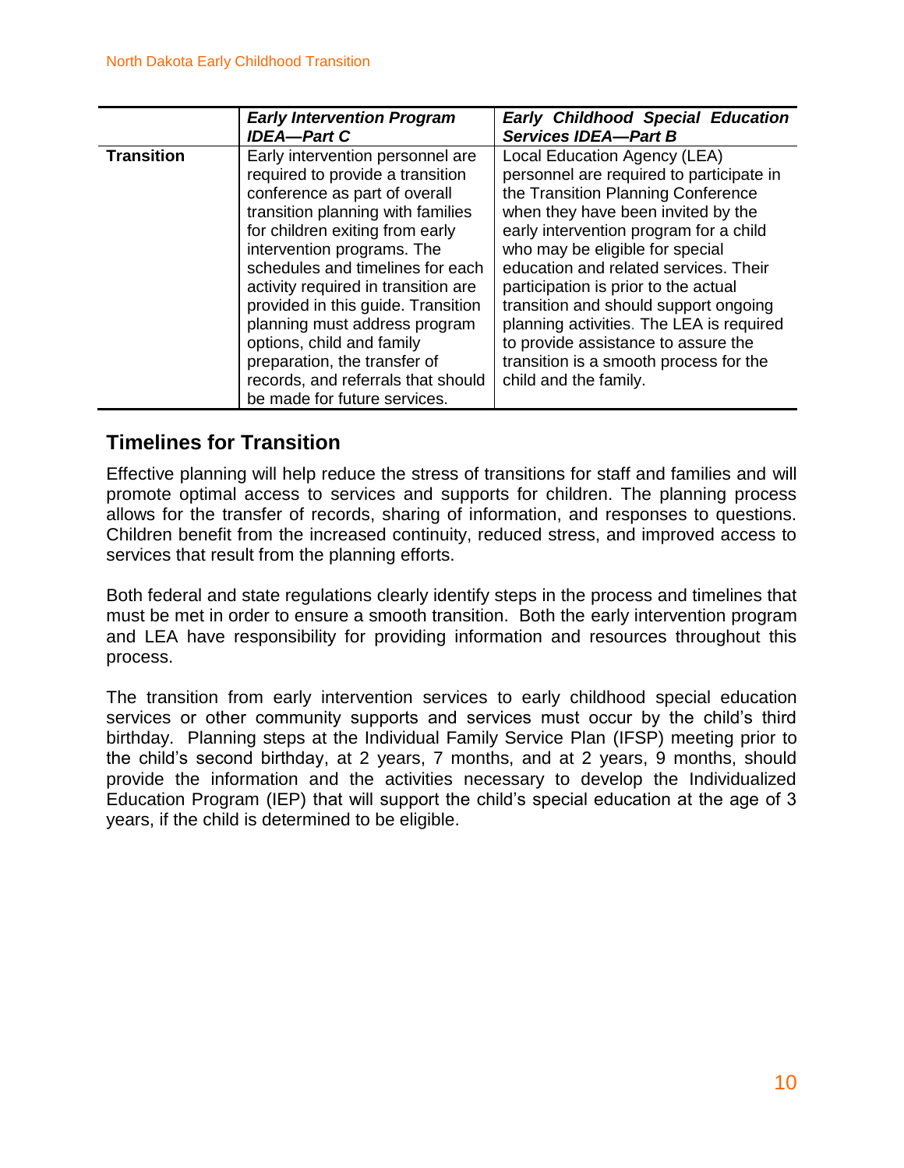|                   | <b>Early Intervention Program</b>                                           | <b>Early Childhood Special Education</b> |  |  |
|-------------------|-----------------------------------------------------------------------------|------------------------------------------|--|--|
|                   | <b>IDEA-Part C</b>                                                          | <b>Services IDEA-Part B</b>              |  |  |
| <b>Transition</b> | Early intervention personnel are                                            | Local Education Agency (LEA)             |  |  |
|                   | required to provide a transition                                            | personnel are required to participate in |  |  |
|                   | conference as part of overall                                               | the Transition Planning Conference       |  |  |
|                   | transition planning with families                                           | when they have been invited by the       |  |  |
|                   | for children exiting from early                                             | early intervention program for a child   |  |  |
|                   | intervention programs. The                                                  | who may be eligible for special          |  |  |
|                   | schedules and timelines for each                                            | education and related services. Their    |  |  |
|                   | activity required in transition are<br>participation is prior to the actual |                                          |  |  |
|                   | provided in this guide. Transition<br>transition and should support ongoing |                                          |  |  |
|                   | planning must address program                                               | planning activities. The LEA is required |  |  |
|                   | options, child and family                                                   | to provide assistance to assure the      |  |  |
|                   | preparation, the transfer of                                                | transition is a smooth process for the   |  |  |
|                   | records, and referrals that should                                          | child and the family.                    |  |  |
|                   | be made for future services.                                                |                                          |  |  |

### **Timelines for Transition**

Effective planning will help reduce the stress of transitions for staff and families and will promote optimal access to services and supports for children. The planning process allows for the transfer of records, sharing of information, and responses to questions. Children benefit from the increased continuity, reduced stress, and improved access to services that result from the planning efforts.

Both federal and state regulations clearly identify steps in the process and timelines that must be met in order to ensure a smooth transition. Both the early intervention program and LEA have responsibility for providing information and resources throughout this process.

The transition from early intervention services to early childhood special education services or other community supports and services must occur by the child's third birthday. Planning steps at the Individual Family Service Plan (IFSP) meeting prior to the child's second birthday, at 2 years, 7 months, and at 2 years, 9 months, should provide the information and the activities necessary to develop the Individualized Education Program (IEP) that will support the child's special education at the age of 3 years, if the child is determined to be eligible.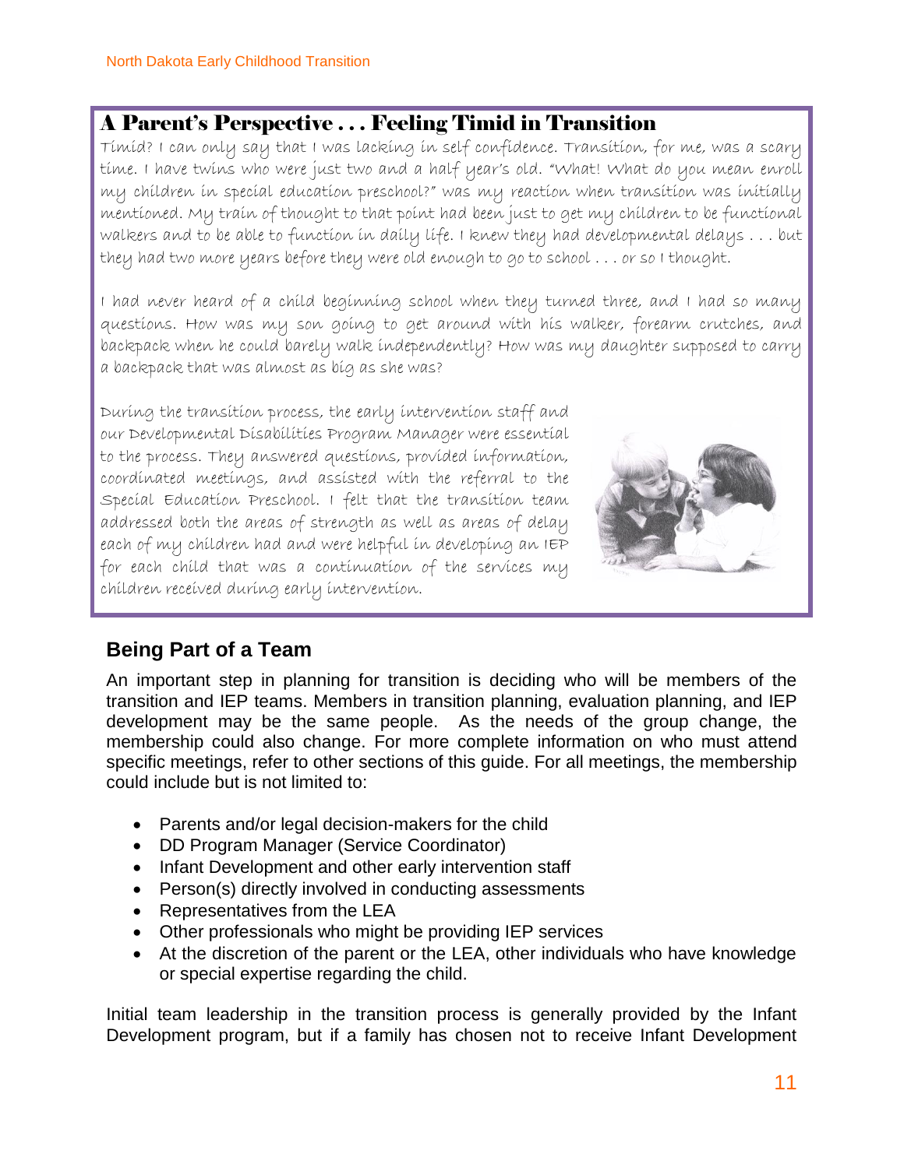### A Parent's Perspective . . . Feeling Timid in Transition

Timid? I can only say that I was lacking in self confidence. Transition, for me, was a scary time. I have twins who were just two and a half year's old. "What! What do you mean enroll my children in special education preschool?" was my reaction when transition was initially mentioned. My train of thought to that point had been just to get my children to be functional walkers and to be able to function in daily life. I knew they had developmental delays . . . but they had two more years before they were old enough to go to school . . . or so I thought.

I had never heard of a child beginning school when they turned three, and I had so many questions. How was my son going to get around with his walker, forearm crutches, and backpack when he could barely walk independently? How was my daughter supposed to carry a backpack that was almost as big as she was?

During the transition process, the early intervention staff and our Developmental Disabilities Program Manager were essential to the process. They answered questions, provided information, coordinated meetings, and assisted with the referral to the Special Education Preschool. I felt that the transition team addressed both the areas of strength as well as areas of delay each of my children had and were helpful in developing an IEP for each child that was a continuation of the services my children received during early intervention.



### **Being Part of a Team**

An important step in planning for transition is deciding who will be members of the transition and IEP teams. Members in transition planning, evaluation planning, and IEP development may be the same people. As the needs of the group change, the membership could also change. For more complete information on who must attend specific meetings, refer to other sections of this guide. For all meetings, the membership could include but is not limited to:

- Parents and/or legal decision-makers for the child
- DD Program Manager (Service Coordinator)
- Infant Development and other early intervention staff
- Person(s) directly involved in conducting assessments
- Representatives from the LEA
- Other professionals who might be providing IEP services
- At the discretion of the parent or the LEA, other individuals who have knowledge or special expertise regarding the child.

Initial team leadership in the transition process is generally provided by the Infant Development program, but if a family has chosen not to receive Infant Development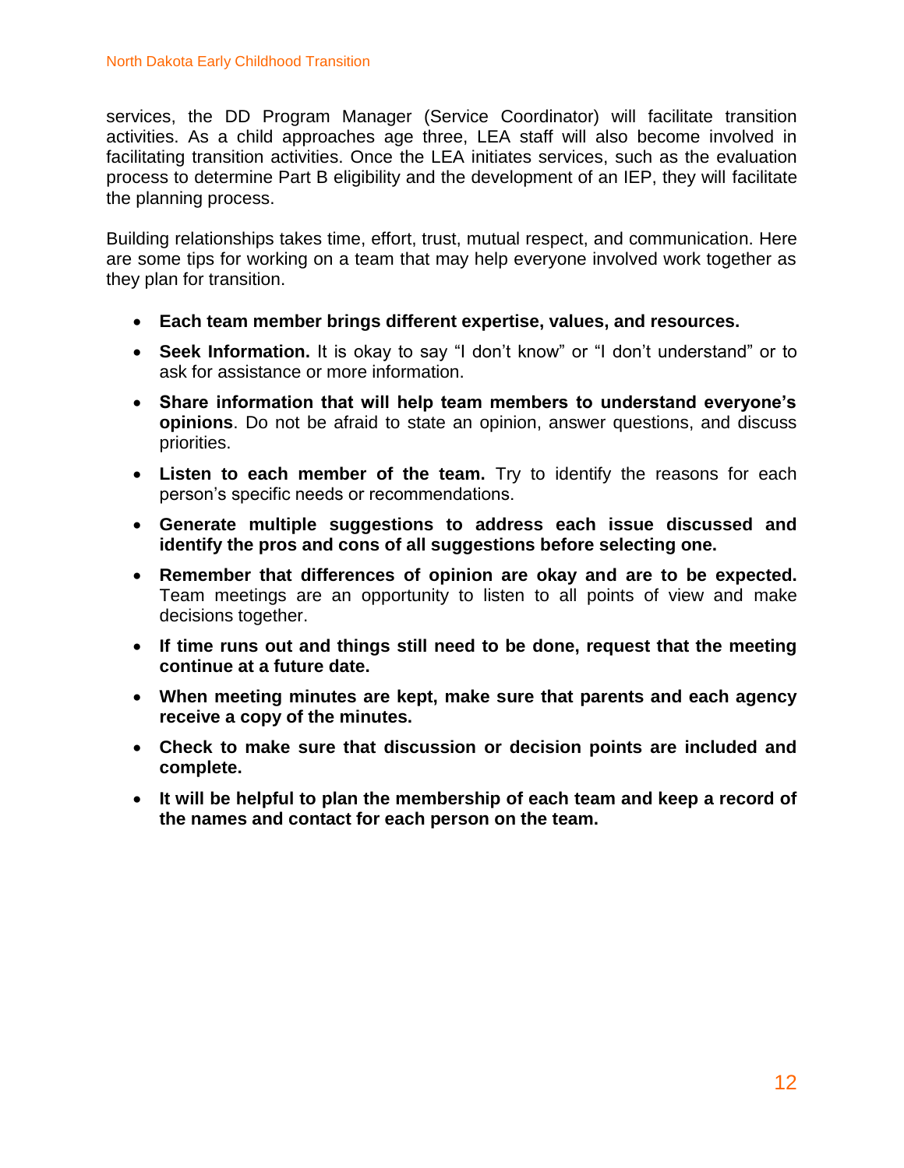services, the DD Program Manager (Service Coordinator) will facilitate transition activities. As a child approaches age three, LEA staff will also become involved in facilitating transition activities. Once the LEA initiates services, such as the evaluation process to determine Part B eligibility and the development of an IEP, they will facilitate the planning process.

Building relationships takes time, effort, trust, mutual respect, and communication. Here are some tips for working on a team that may help everyone involved work together as they plan for transition.

- **Each team member brings different expertise, values, and resources.**
- **Seek Information.** It is okay to say "I don't know" or "I don't understand" or to ask for assistance or more information.
- **Share information that will help team members to understand everyone's opinions**. Do not be afraid to state an opinion, answer questions, and discuss priorities.
- **Listen to each member of the team.** Try to identify the reasons for each person's specific needs or recommendations.
- **Generate multiple suggestions to address each issue discussed and identify the pros and cons of all suggestions before selecting one.**
- **Remember that differences of opinion are okay and are to be expected.** Team meetings are an opportunity to listen to all points of view and make decisions together.
- **If time runs out and things still need to be done, request that the meeting continue at a future date.**
- **When meeting minutes are kept, make sure that parents and each agency receive a copy of the minutes.**
- **Check to make sure that discussion or decision points are included and complete.**
- **It will be helpful to plan the membership of each team and keep a record of the names and contact for each person on the team.**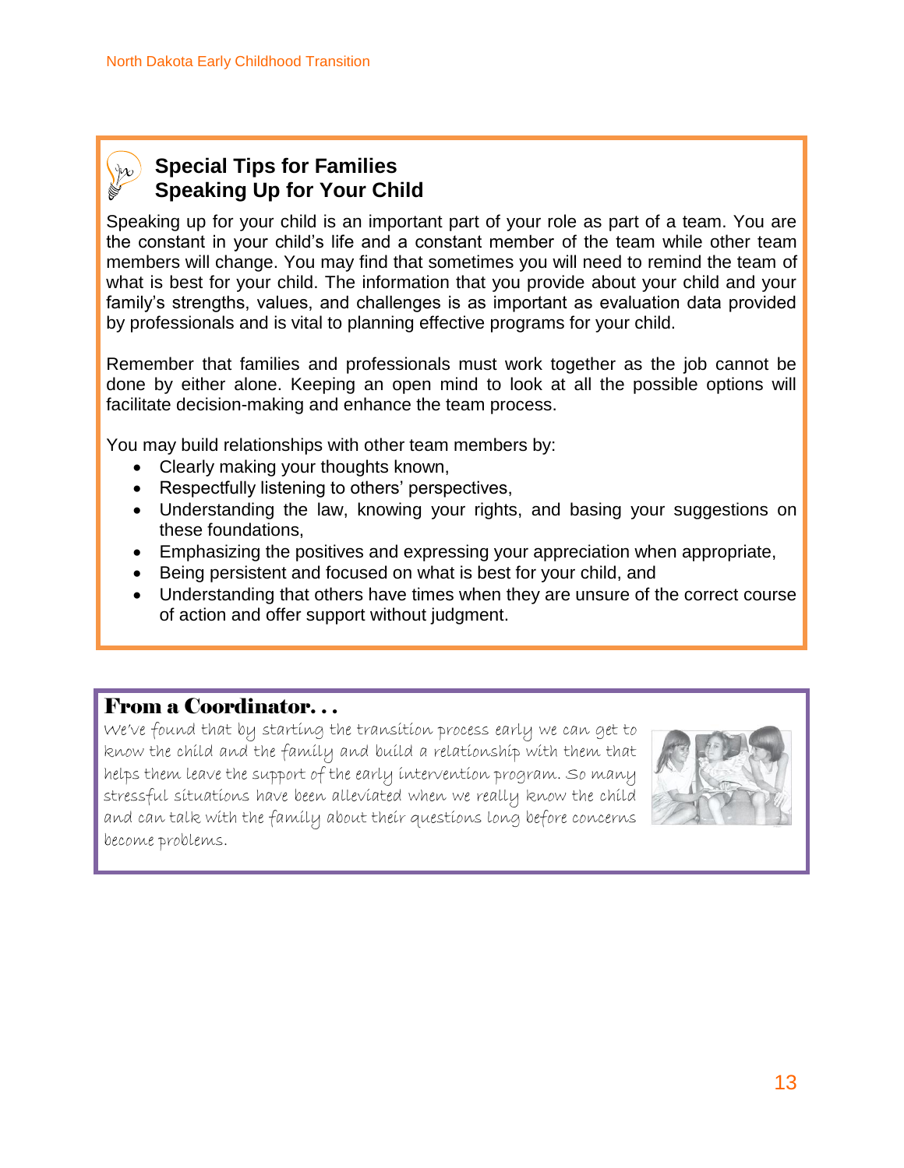

### **Special Tips for Families Speaking Up for Your Child**

Speaking up for your child is an important part of your role as part of a team. You are the constant in your child's life and a constant member of the team while other team members will change. You may find that sometimes you will need to remind the team of what is best for your child. The information that you provide about your child and your family's strengths, values, and challenges is as important as evaluation data provided by professionals and is vital to planning effective programs for your child.

Remember that families and professionals must work together as the job cannot be done by either alone. Keeping an open mind to look at all the possible options will facilitate decision-making and enhance the team process.

You may build relationships with other team members by:

- Clearly making your thoughts known,
- Respectfully listening to others' perspectives,
- Understanding the law, knowing your rights, and basing your suggestions on these foundations,
- Emphasizing the positives and expressing your appreciation when appropriate,
- Being persistent and focused on what is best for your child, and
- Understanding that others have times when they are unsure of the correct course of action and offer support without judgment.

#### From a Coordinator. . .

We've found that by starting the transition process early we can get to know the child and the family and build a relationship with them that helps them leave the support of the early intervention program. So many stressful situations have been alleviated when we really know the child and can talk with the family about their questions long before concerns become problems.

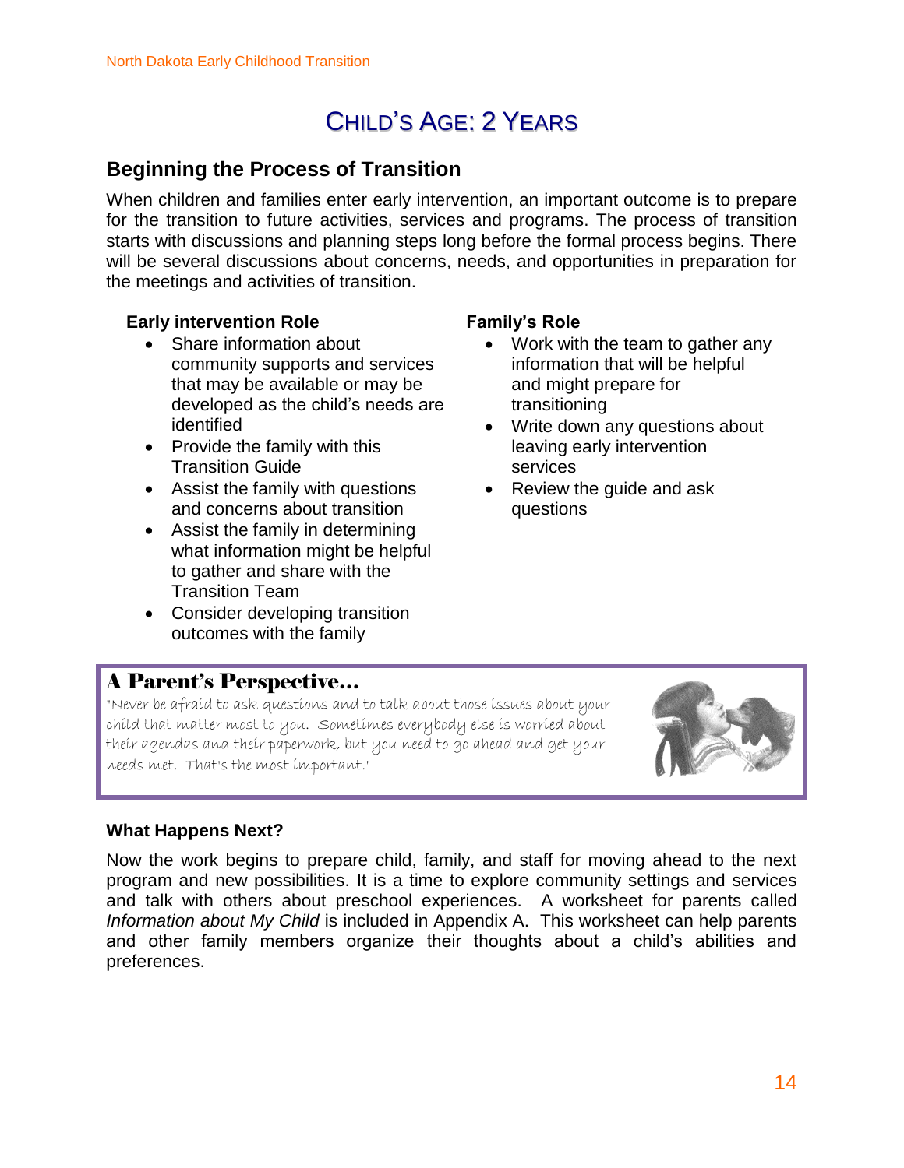## CHILD'S AGE: 2 YEARS

### **Beginning the Process of Transition**

When children and families enter early intervention, an important outcome is to prepare for the transition to future activities, services and programs. The process of transition starts with discussions and planning steps long before the formal process begins. There will be several discussions about concerns, needs, and opportunities in preparation for the meetings and activities of transition.

#### **Early intervention Role**

- Share information about community supports and services that may be available or may be developed as the child's needs are identified
- Provide the family with this Transition Guide
- Assist the family with questions and concerns about transition
- Assist the family in determining what information might be helpful to gather and share with the Transition Team
- Consider developing transition outcomes with the family

#### **Family's Role**

- Work with the team to gather any information that will be helpful and might prepare for transitioning
- Write down any questions about leaving early intervention services
- Review the quide and ask questions

### A Parent's Perspective…

"Never be afraid to ask questions and to talk about those issues about your child that matter most to you. Sometimes everybody else is worried about their agendas and their paperwork, but you need to go ahead and get your needs met. That's the most important."



#### **What Happens Next?**

Now the work begins to prepare child, family, and staff for moving ahead to the next program and new possibilities. It is a time to explore community settings and services and talk with others about preschool experiences. A worksheet for parents called *Information about My Child* is included in Appendix A. This worksheet can help parents and other family members organize their thoughts about a child's abilities and preferences.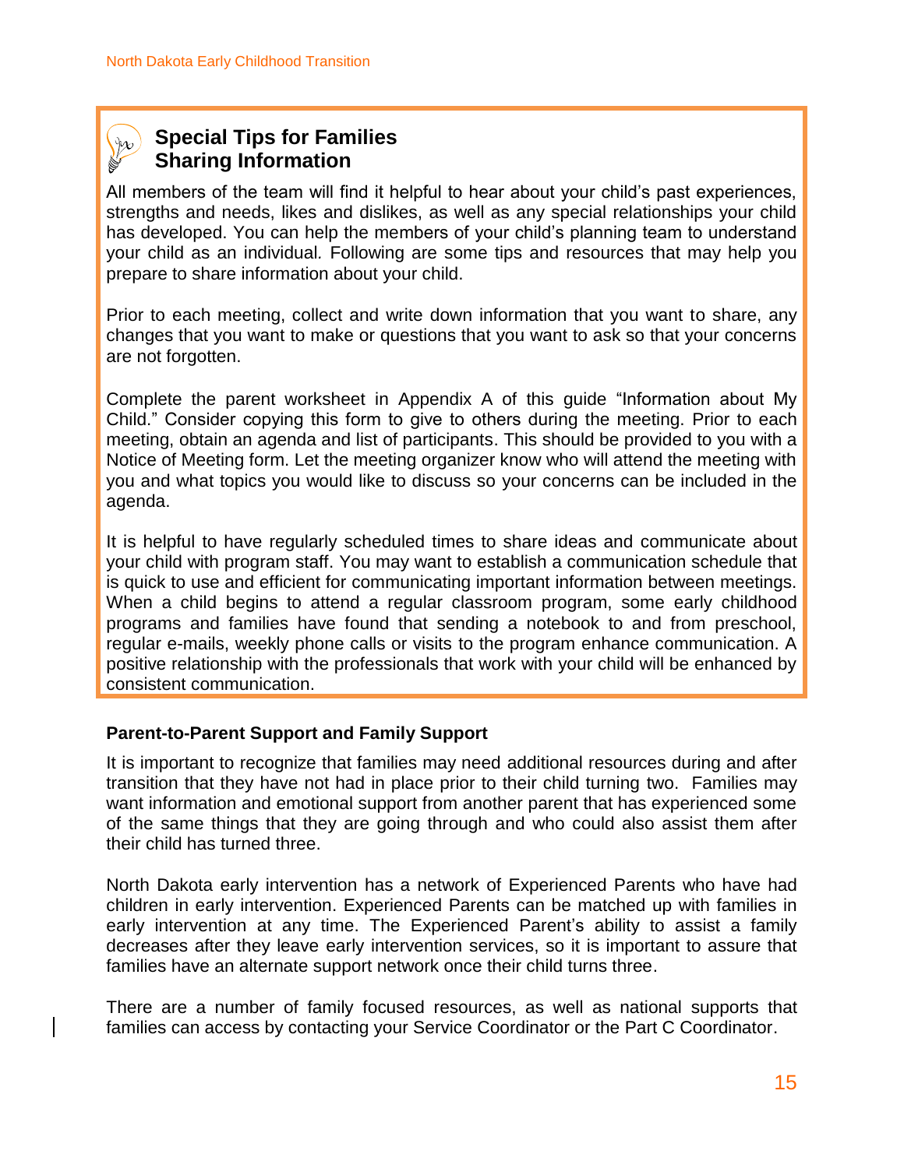### **Special Tips for Families Sharing Information**

All members of the team will find it helpful to hear about your child's past experiences, strengths and needs, likes and dislikes, as well as any special relationships your child has developed. You can help the members of your child's planning team to understand your child as an individual*.* Following are some tips and resources that may help you prepare to share information about your child.

 Prior to each meeting, collect and write down information that you want to share, any changes that you want to make or questions that you want to ask so that your concerns are not forgotten.

 Complete the parent worksheet in Appendix A of this guide "Information about My Child." Consider copying this form to give to others during the meeting. Prior to each meeting, obtain an agenda and list of participants. This should be provided to you with a Notice of Meeting form. Let the meeting organizer know who will attend the meeting with you and what topics you would like to discuss so your concerns can be included in the agenda.

It is helpful to have regularly scheduled times to share ideas and communicate about your child with program staff. You may want to establish a communication schedule that is quick to use and efficient for communicating important information between meetings. When a child begins to attend a regular classroom program, some early childhood programs and families have found that sending a notebook to and from preschool, regular e-mails, weekly phone calls or visits to the program enhance communication. A positive relationship with the professionals that work with your child will be enhanced by consistent communication.

#### **Parent-to-Parent Support and Family Support**

It is important to recognize that families may need additional resources during and after transition that they have not had in place prior to their child turning two. Families may want information and emotional support from another parent that has experienced some of the same things that they are going through and who could also assist them after their child has turned three.

North Dakota early intervention has a network of Experienced Parents who have had children in early intervention. Experienced Parents can be matched up with families in early intervention at any time. The Experienced Parent's ability to assist a family decreases after they leave early intervention services, so it is important to assure that families have an alternate support network once their child turns three.

There are a number of family focused resources, as well as national supports that families can access by contacting your Service Coordinator or the Part C Coordinator.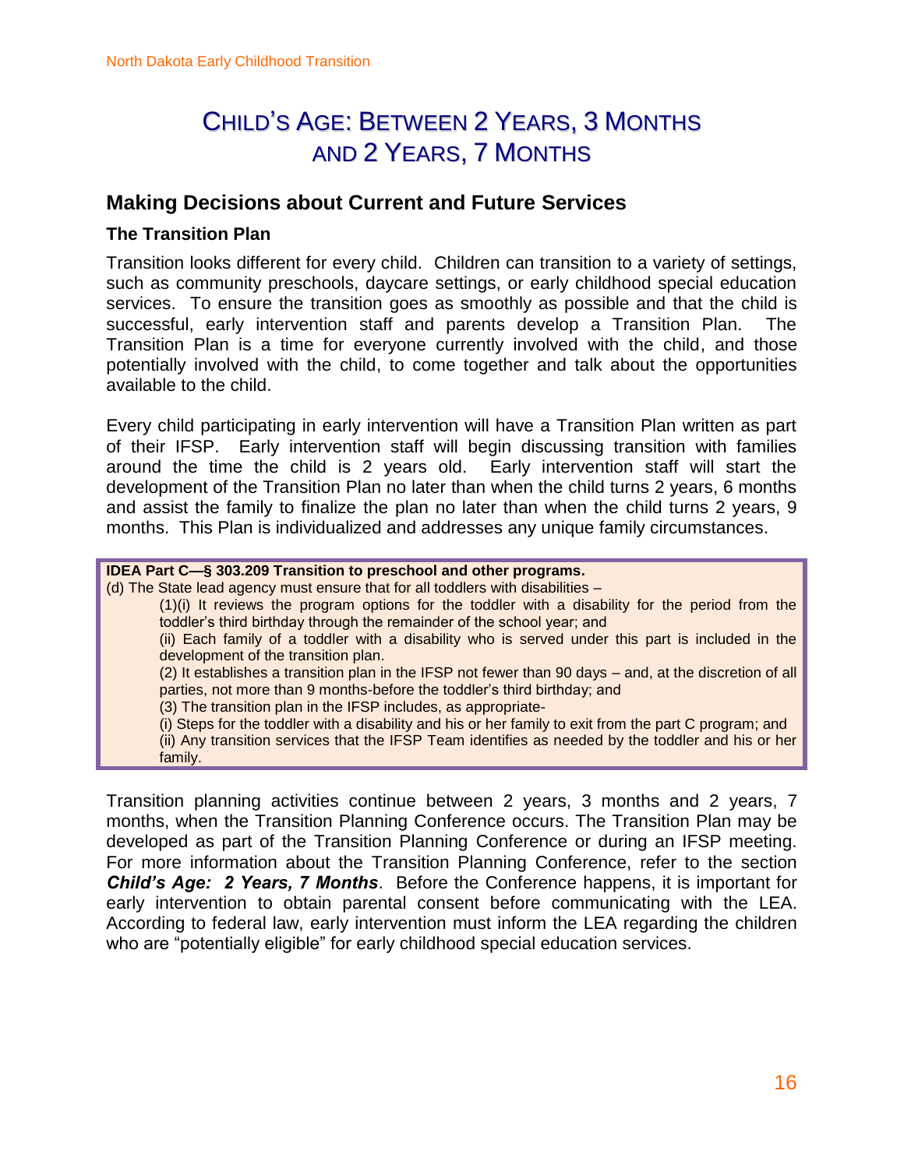### CHILD'S AGE: BETWEEN 2 YEARS, 3 MONTHS AND 2 YEARS, 7 MONTHS

#### **Making Decisions about Current and Future Services**

#### **The Transition Plan**

Transition looks different for every child. Children can transition to a variety of settings, such as community preschools, daycare settings, or early childhood special education services. To ensure the transition goes as smoothly as possible and that the child is successful, early intervention staff and parents develop a Transition Plan. The Transition Plan is a time for everyone currently involved with the child, and those potentially involved with the child, to come together and talk about the opportunities available to the child.

Every child participating in early intervention will have a Transition Plan written as part of their IFSP. Early intervention staff will begin discussing transition with families around the time the child is 2 years old. Early intervention staff will start the development of the Transition Plan no later than when the child turns 2 years, 6 months and assist the family to finalize the plan no later than when the child turns 2 years, 9 months. This Plan is individualized and addresses any unique family circumstances.

#### **IDEA Part C—§ 303.209 Transition to preschool and other programs.**

[\(d\) T](http://idea.ed.gov/explore/view/p/%2Croot%2Cregs%2C300%2CD%2C300%252E321%2Cf%2C)he State lead agency must ensure that for all toddlers with disabilities –

(1)(i) It reviews the program options for the toddler with a disability for the period from the toddler's third birthday through the remainder of the school year; and

(ii) Each family of a toddler with a disability who is served under this part is included in the development of the transition plan.

(2) It establishes a transition plan in the IFSP not fewer than 90 days – and, at the discretion of all parties, not more than 9 months-before the toddler's third birthday; and

(3) The transition plan in the IFSP includes, as appropriate-

(i) Steps for the toddler with a disability and his or her family to exit from the part C program; and (ii) Any transition services that the IFSP Team identifies as needed by the toddler and his or her family.

Transition planning activities continue between 2 years, 3 months and 2 years, 7 months, when the Transition Planning Conference occurs. The Transition Plan may be developed as part of the Transition Planning Conference or during an IFSP meeting. For more information about the Transition Planning Conference, refer to the section *Child's Age: 2 Years, 7 Months*. Before the Conference happens, it is important for early intervention to obtain parental consent before communicating with the LEA. According to federal law, early intervention must inform the LEA regarding the children who are "potentially eligible" for early childhood special education services.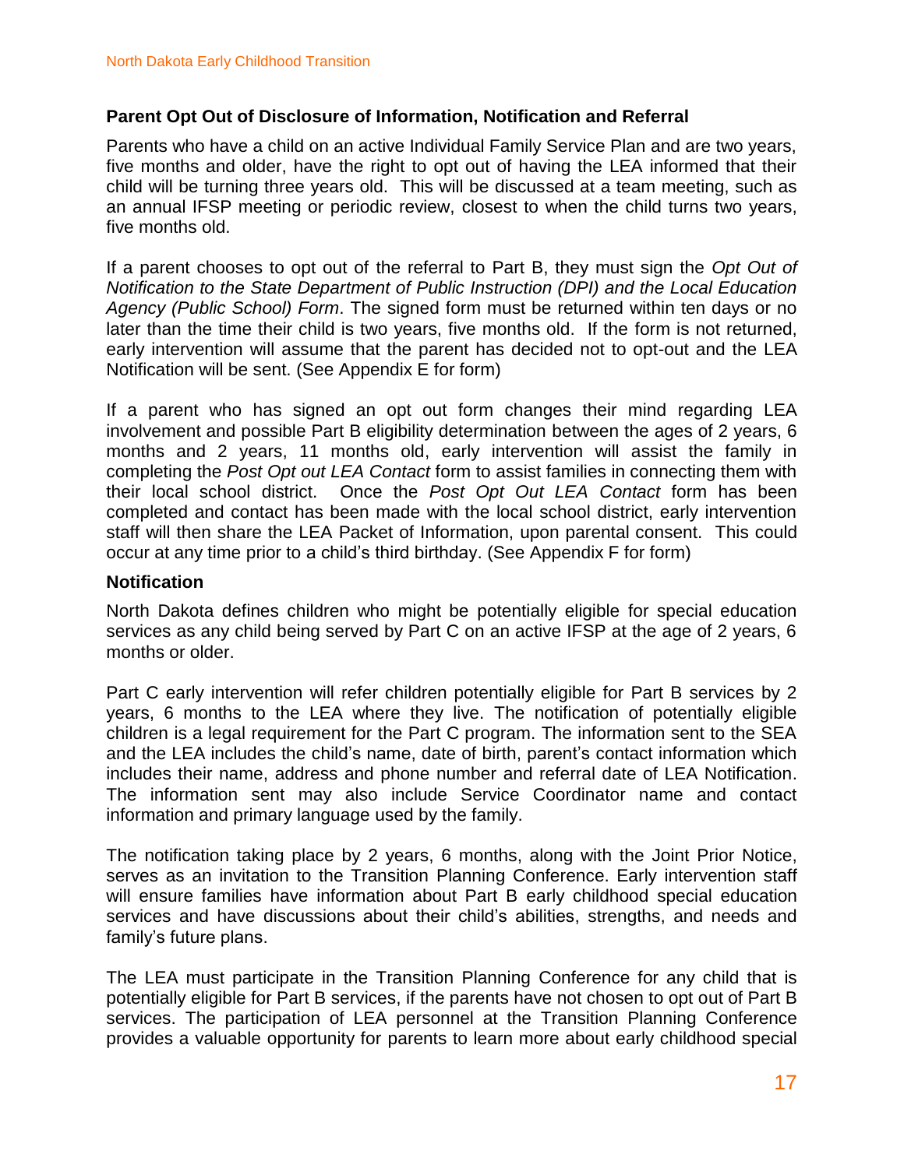#### **Parent Opt Out of Disclosure of Information, Notification and Referral**

Parents who have a child on an active Individual Family Service Plan and are two years, five months and older, have the right to opt out of having the LEA informed that their child will be turning three years old. This will be discussed at a team meeting, such as an annual IFSP meeting or periodic review, closest to when the child turns two years, five months old.

If a parent chooses to opt out of the referral to Part B, they must sign the *Opt Out of Notification to the State Department of Public Instruction (DPI) and the Local Education Agency (Public School) Form*. The signed form must be returned within ten days or no later than the time their child is two years, five months old. If the form is not returned, early intervention will assume that the parent has decided not to opt-out and the LEA Notification will be sent. (See Appendix E for form)

If a parent who has signed an opt out form changes their mind regarding LEA involvement and possible Part B eligibility determination between the ages of 2 years, 6 months and 2 years, 11 months old, early intervention will assist the family in completing the *Post Opt out LEA Contact* form to assist families in connecting them with their local school district. Once the *Post Opt Out LEA Contact* form has been completed and contact has been made with the local school district, early intervention staff will then share the LEA Packet of Information, upon parental consent. This could occur at any time prior to a child's third birthday. (See Appendix F for form)

#### **Notification**

North Dakota defines children who might be potentially eligible for special education services as any child being served by Part C on an active IFSP at the age of 2 years, 6 months or older.

Part C early intervention will refer children potentially eligible for Part B services by 2 years, 6 months to the LEA where they live. The notification of potentially eligible children is a legal requirement for the Part C program. The information sent to the SEA and the LEA includes the child's name, date of birth, parent's contact information which includes their name, address and phone number and referral date of LEA Notification. The information sent may also include Service Coordinator name and contact information and primary language used by the family.

The notification taking place by 2 years, 6 months, along with the Joint Prior Notice, serves as an invitation to the Transition Planning Conference. Early intervention staff will ensure families have information about Part B early childhood special education services and have discussions about their child's abilities, strengths, and needs and family's future plans.

The LEA must participate in the Transition Planning Conference for any child that is potentially eligible for Part B services, if the parents have not chosen to opt out of Part B services. The participation of LEA personnel at the Transition Planning Conference provides a valuable opportunity for parents to learn more about early childhood special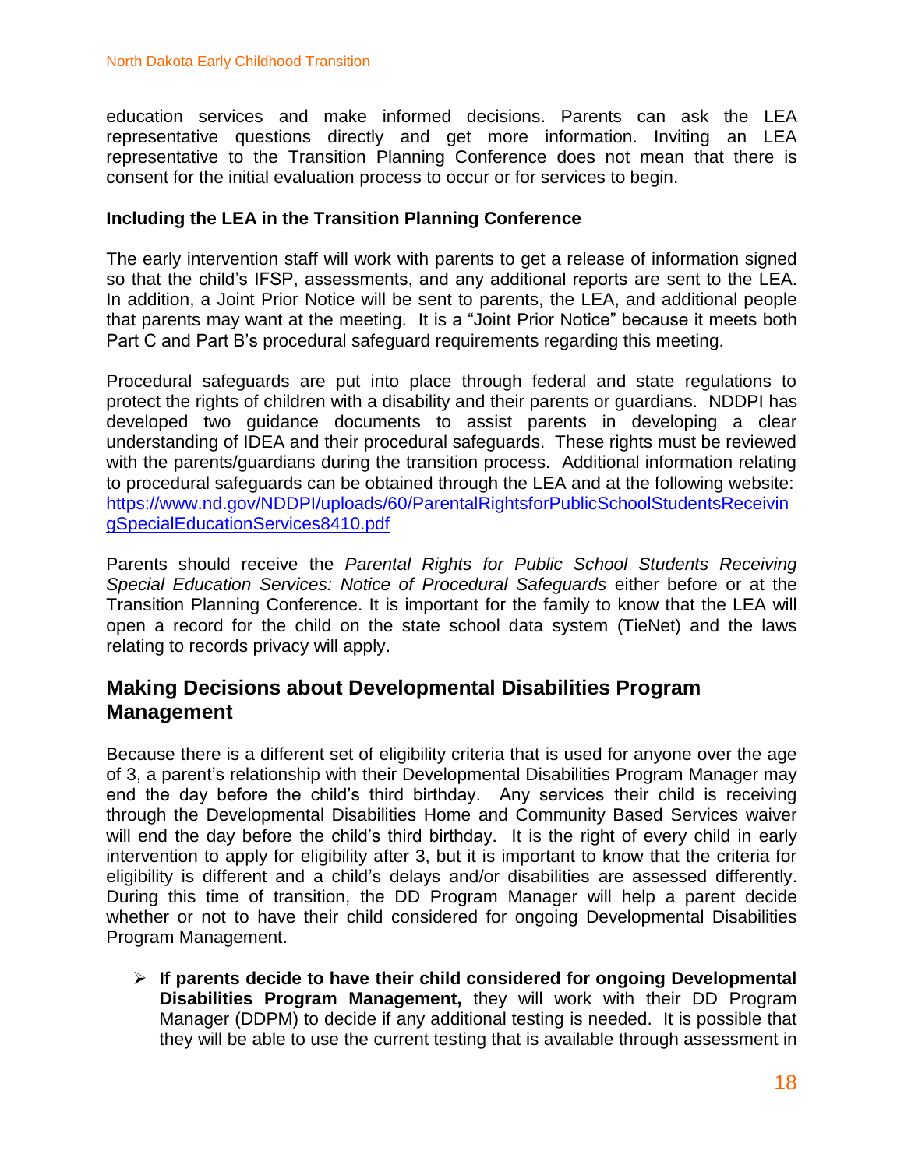education services and make informed decisions. Parents can ask the LEA representative questions directly and get more information. Inviting an LEA representative to the Transition Planning Conference does not mean that there is consent for the initial evaluation process to occur or for services to begin.

#### **Including the LEA in the Transition Planning Conference**

The early intervention staff will work with parents to get a release of information signed so that the child's IFSP, assessments, and any additional reports are sent to the LEA. In addition, a Joint Prior Notice will be sent to parents, the LEA, and additional people that parents may want at the meeting. It is a "Joint Prior Notice" because it meets both Part C and Part B's procedural safeguard requirements regarding this meeting.

Procedural safeguards are put into place through federal and state regulations to protect the rights of children with a disability and their parents or guardians. NDDPI has developed two guidance documents to assist parents in developing a clear understanding of IDEA and their procedural safeguards. These rights must be reviewed with the parents/guardians during the transition process. Additional information relating to procedural safeguards can be obtained through the LEA and at the following website: [https://www.nd.gov/NDDPI/uploads/60/ParentalRightsforPublicSchoolStudentsReceivin](https://www.nd.gov/NDDPI/uploads/60/ParentalRightsforPublicSchoolStudentsReceivingSpecialEducationServices8410.pdf) [gSpecialEducationServices8410.pdf](https://www.nd.gov/NDDPI/uploads/60/ParentalRightsforPublicSchoolStudentsReceivingSpecialEducationServices8410.pdf)

Parents should receive the *Parental Rights for Public School Students Receiving Special Education Services: Notice of Procedural Safeguards* either before or at the Transition Planning Conference. It is important for the family to know that the LEA will open a record for the child on the state school data system (TieNet) and the laws relating to records privacy will apply.

#### **Making Decisions about Developmental Disabilities Program Management**

Because there is a different set of eligibility criteria that is used for anyone over the age of 3, a parent's relationship with their Developmental Disabilities Program Manager may end the day before the child's third birthday. Any services their child is receiving through the Developmental Disabilities Home and Community Based Services waiver will end the day before the child's third birthday. It is the right of every child in early intervention to apply for eligibility after 3, but it is important to know that the criteria for eligibility is different and a child's delays and/or disabilities are assessed differently. During this time of transition, the DD Program Manager will help a parent decide whether or not to have their child considered for ongoing Developmental Disabilities Program Management.

 **If parents decide to have their child considered for ongoing Developmental Disabilities Program Management,** they will work with their DD Program Manager (DDPM) to decide if any additional testing is needed. It is possible that they will be able to use the current testing that is available through assessment in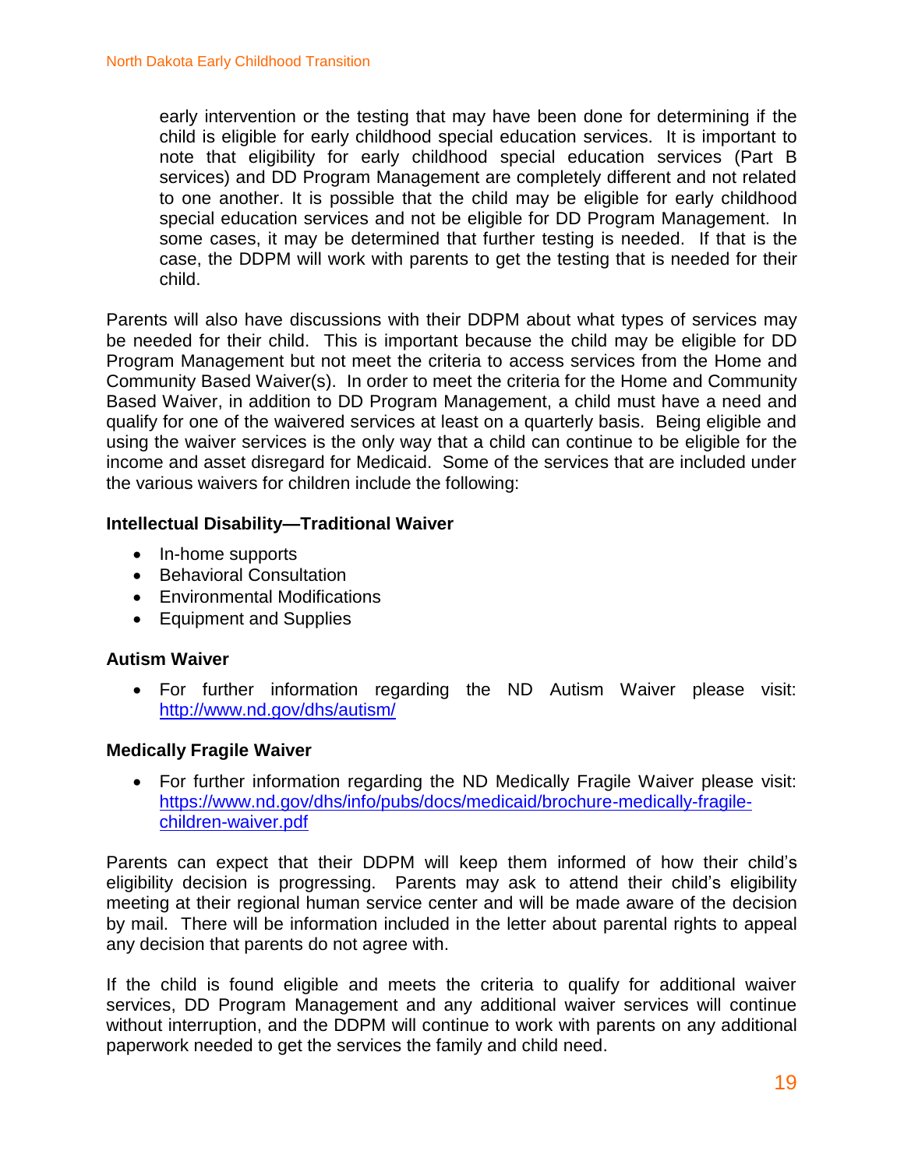early intervention or the testing that may have been done for determining if the child is eligible for early childhood special education services. It is important to note that eligibility for early childhood special education services (Part B services) and DD Program Management are completely different and not related to one another. It is possible that the child may be eligible for early childhood special education services and not be eligible for DD Program Management. In some cases, it may be determined that further testing is needed. If that is the case, the DDPM will work with parents to get the testing that is needed for their child.

Parents will also have discussions with their DDPM about what types of services may be needed for their child. This is important because the child may be eligible for DD Program Management but not meet the criteria to access services from the Home and Community Based Waiver(s). In order to meet the criteria for the Home and Community Based Waiver, in addition to DD Program Management, a child must have a need and qualify for one of the waivered services at least on a quarterly basis. Being eligible and using the waiver services is the only way that a child can continue to be eligible for the income and asset disregard for Medicaid. Some of the services that are included under the various waivers for children include the following:

#### **Intellectual Disability—Traditional Waiver**

- In-home supports
- Behavioral Consultation
- Environmental Modifications
- Equipment and Supplies

#### **Autism Waiver**

 For further information regarding the ND Autism Waiver please visit: <http://www.nd.gov/dhs/autism/>

#### **Medically Fragile Waiver**

 For further information regarding the ND Medically Fragile Waiver please visit: [https://www.nd.gov/dhs/info/pubs/docs/medicaid/brochure-medically-fragile](https://www.nd.gov/dhs/info/pubs/docs/medicaid/brochure-medically-fragile-children-waiver.pdf)[children-waiver.pdf](https://www.nd.gov/dhs/info/pubs/docs/medicaid/brochure-medically-fragile-children-waiver.pdf)

Parents can expect that their DDPM will keep them informed of how their child's eligibility decision is progressing. Parents may ask to attend their child's eligibility meeting at their regional human service center and will be made aware of the decision by mail. There will be information included in the letter about parental rights to appeal any decision that parents do not agree with.

If the child is found eligible and meets the criteria to qualify for additional waiver services, DD Program Management and any additional waiver services will continue without interruption, and the DDPM will continue to work with parents on any additional paperwork needed to get the services the family and child need.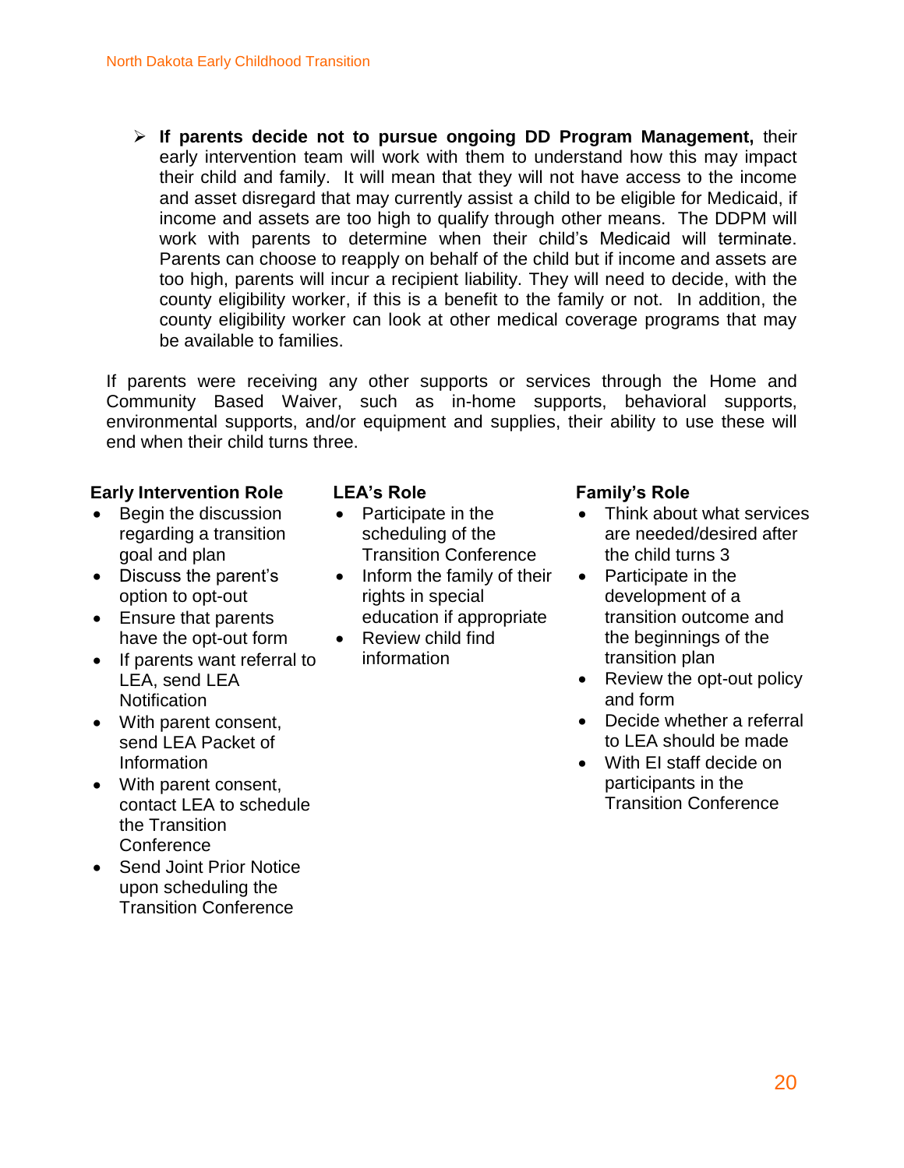**If parents decide not to pursue ongoing DD Program Management,** their early intervention team will work with them to understand how this may impact their child and family. It will mean that they will not have access to the income and asset disregard that may currently assist a child to be eligible for Medicaid, if income and assets are too high to qualify through other means. The DDPM will work with parents to determine when their child's Medicaid will terminate. Parents can choose to reapply on behalf of the child but if income and assets are too high, parents will incur a recipient liability. They will need to decide, with the county eligibility worker, if this is a benefit to the family or not. In addition, the county eligibility worker can look at other medical coverage programs that may be available to families.

If parents were receiving any other supports or services through the Home and Community Based Waiver, such as in-home supports, behavioral supports, environmental supports, and/or equipment and supplies, their ability to use these will end when their child turns three.

#### **Early Intervention Role**

- Begin the discussion regarding a transition goal and plan
- Discuss the parent's option to opt-out
- Ensure that parents have the opt-out form
- If parents want referral to LEA, send LEA **Notification**
- With parent consent, send LEA Packet of Information
- With parent consent, contact LEA to schedule the Transition **Conference**
- Send Joint Prior Notice upon scheduling the Transition Conference

#### **LEA's Role**

- Participate in the scheduling of the Transition Conference
- Inform the family of their rights in special education if appropriate
- Review child find information

#### **Family's Role**

- Think about what services are needed/desired after the child turns 3
- Participate in the development of a transition outcome and the beginnings of the transition plan
- Review the opt-out policy and form
- Decide whether a referral to LEA should be made
- With EI staff decide on participants in the Transition Conference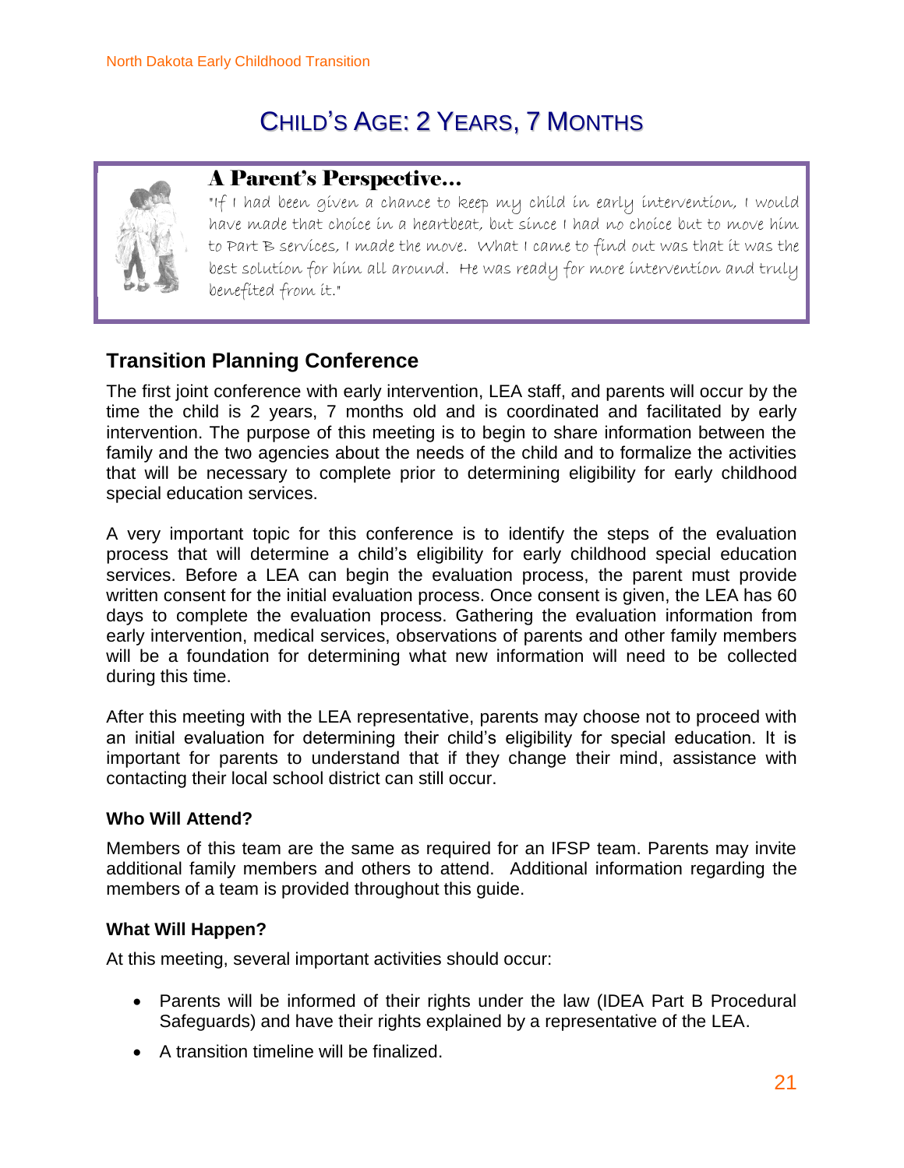## CHILD'S AGE: 2 YEARS, 7 MONTHS



### A Parent's Perspective…

"If I had been given a chance to keep my child in early intervention, I would have made that choice in a heartbeat, but since I had no choice but to move him to Part B services, I made the move. What I came to find out was that it was the best solution for him all around. He was ready for more intervention and truly benefited from it."

### **Transition Planning Conference**

The first joint conference with early intervention, LEA staff, and parents will occur by the time the child is 2 years, 7 months old and is coordinated and facilitated by early intervention. The purpose of this meeting is to begin to share information between the family and the two agencies about the needs of the child and to formalize the activities that will be necessary to complete prior to determining eligibility for early childhood special education services.

A very important topic for this conference is to identify the steps of the evaluation process that will determine a child's eligibility for early childhood special education services. Before a LEA can begin the evaluation process, the parent must provide written consent for the initial evaluation process. Once consent is given, the LEA has 60 days to complete the evaluation process. Gathering the evaluation information from early intervention, medical services, observations of parents and other family members will be a foundation for determining what new information will need to be collected during this time.

After this meeting with the LEA representative, parents may choose not to proceed with an initial evaluation for determining their child's eligibility for special education. It is important for parents to understand that if they change their mind, assistance with contacting their local school district can still occur.

#### **Who Will Attend?**

Members of this team are the same as required for an IFSP team. Parents may invite additional family members and others to attend. Additional information regarding the members of a team is provided throughout this guide.

#### **What Will Happen?**

At this meeting, several important activities should occur:

- Parents will be informed of their rights under the law (IDEA Part B Procedural Safeguards) and have their rights explained by a representative of the LEA.
- A transition timeline will be finalized.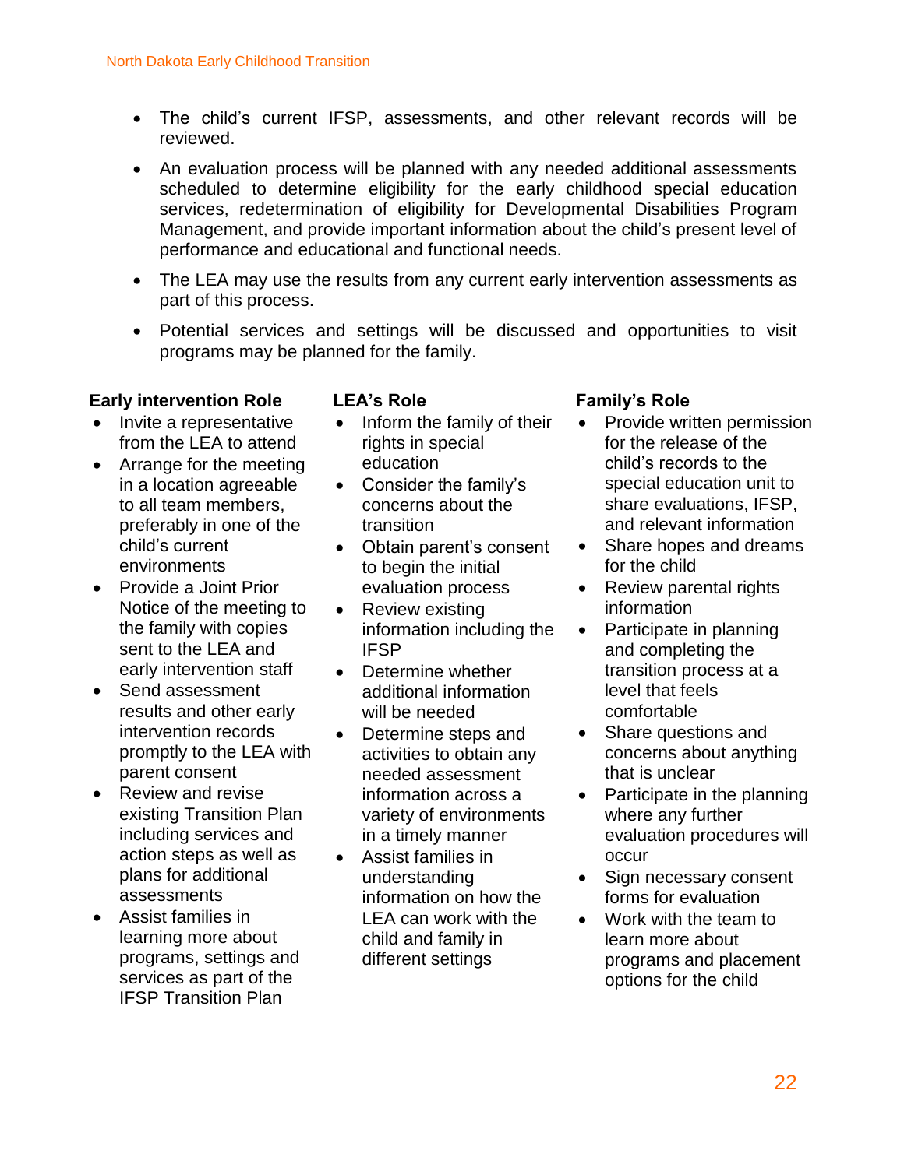- The child's current IFSP, assessments, and other relevant records will be reviewed.
- An evaluation process will be planned with any needed additional assessments scheduled to determine eligibility for the early childhood special education services, redetermination of eligibility for Developmental Disabilities Program Management, and provide important information about the child's present level of performance and educational and functional needs.
- The LEA may use the results from any current early intervention assessments as part of this process.
- Potential services and settings will be discussed and opportunities to visit programs may be planned for the family.

#### **Early intervention Role**

- Invite a representative from the LEA to attend
- Arrange for the meeting in a location agreeable to all team members, preferably in one of the child's current environments
- Provide a Joint Prior Notice of the meeting to the family with copies sent to the LEA and early intervention staff
- Send assessment results and other early intervention records promptly to the LEA with parent consent
- Review and revise existing Transition Plan including services and action steps as well as plans for additional assessments
- Assist families in learning more about programs, settings and services as part of the IFSP Transition Plan

#### **LEA's Role**

- Inform the family of their rights in special education
- Consider the family's concerns about the transition
- Obtain parent's consent to begin the initial evaluation process
- Review existing information including the IFSP
- Determine whether additional information will be needed
- Determine steps and activities to obtain any needed assessment information across a variety of environments in a timely manner
- Assist families in understanding information on how the LEA can work with the child and family in different settings

#### **Family's Role**

- Provide written permission for the release of the child's records to the special education unit to share evaluations, IFSP, and relevant information
- Share hopes and dreams for the child
- Review parental rights information
- Participate in planning and completing the transition process at a level that feels comfortable
- Share questions and concerns about anything that is unclear
- Participate in the planning where any further evaluation procedures will occur
- Sign necessary consent forms for evaluation
- Work with the team to learn more about programs and placement options for the child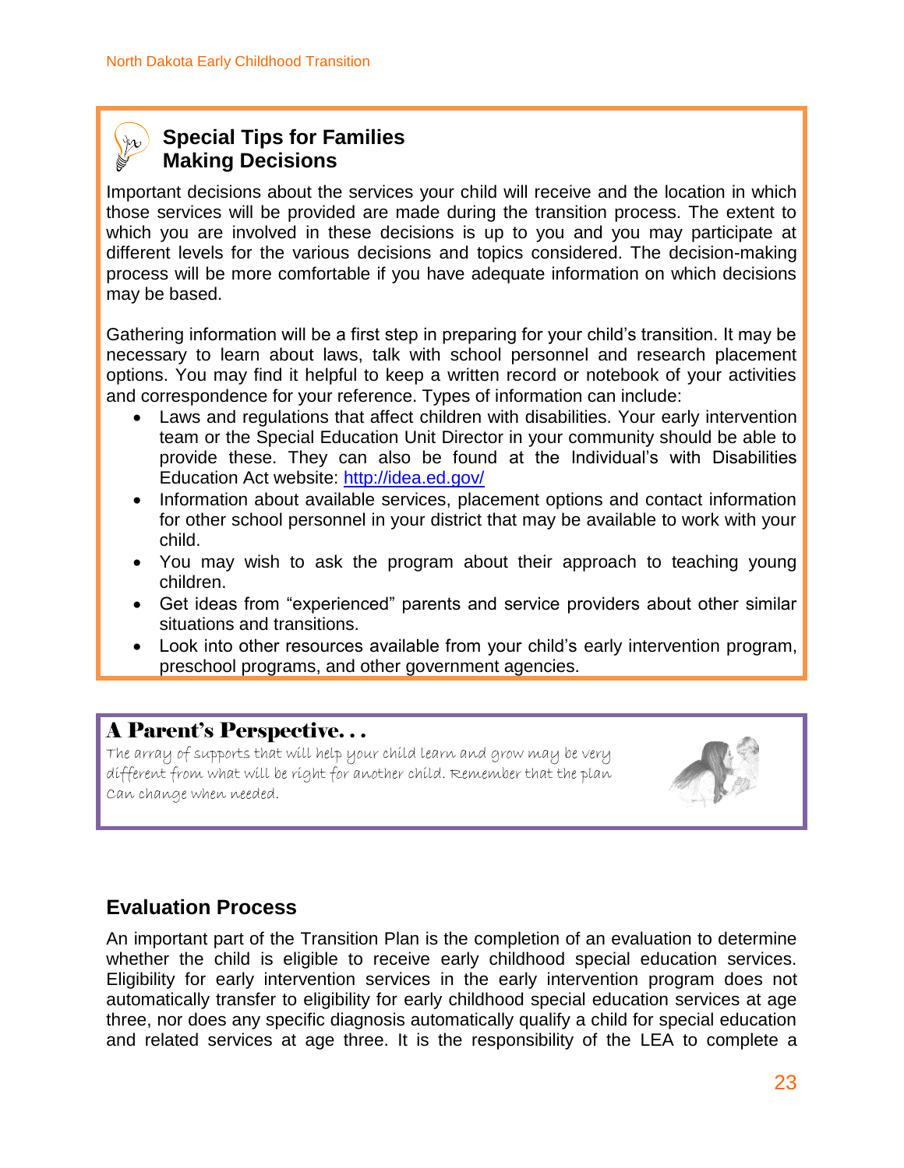### **Special Tips for Families Making Decisions**

Important decisions about the services your child will receive and the location in which those services will be provided are made during the transition process. The extent to which you are involved in these decisions is up to you and you may participate at different levels for the various decisions and topics considered. The decision-making process will be more comfortable if you have adequate information on which decisions may be based.

Gathering information will be a first step in preparing for your child's transition. It may be necessary to learn about laws, talk with school personnel and research placement options. You may find it helpful to keep a written record or notebook of your activities and correspondence for your reference. Types of information can include:

- Laws and regulations that affect children with disabilities. Your early intervention team or the Special Education Unit Director in your community should be able to provide these. They can also be found at the Individual's with Disabilities Education Act website: <http://idea.ed.gov/>
- Information about available services, placement options and contact information for other school personnel in your district that may be available to work with your child.
- You may wish to ask the program about their approach to teaching young children.
- Get ideas from "experienced" parents and service providers about other similar situations and transitions.
- Look into other resources available from your child's early intervention program, preschool programs, and other government agencies.

### A Parent's Perspective. . .

The array of supports that will help your child learn and grow may be very different from what will be right for another child. Remember that the plan Can change when needed.



### **Evaluation Process**

An important part of the Transition Plan is the completion of an evaluation to determine whether the child is eligible to receive early childhood special education services. Eligibility for early intervention services in the early intervention program does not automatically transfer to eligibility for early childhood special education services at age three, nor does any specific diagnosis automatically qualify a child for special education and related services at age three. It is the responsibility of the LEA to complete a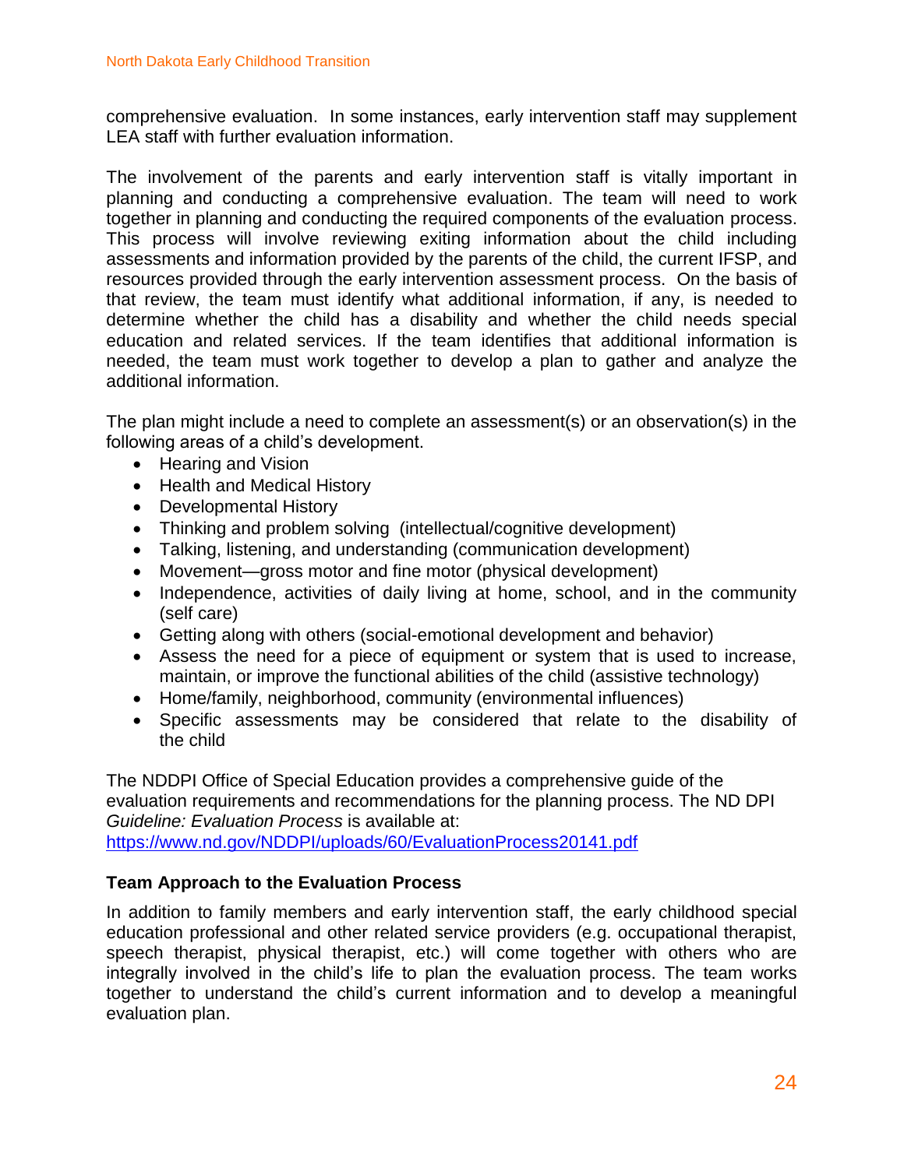comprehensive evaluation. In some instances, early intervention staff may supplement LEA staff with further evaluation information.

The involvement of the parents and early intervention staff is vitally important in planning and conducting a comprehensive evaluation. The team will need to work together in planning and conducting the required components of the evaluation process. This process will involve reviewing exiting information about the child including assessments and information provided by the parents of the child, the current IFSP, and resources provided through the early intervention assessment process. On the basis of that review, the team must identify what additional information, if any, is needed to determine whether the child has a disability and whether the child needs special education and related services. If the team identifies that additional information is needed, the team must work together to develop a plan to gather and analyze the additional information.

The plan might include a need to complete an assessment(s) or an observation(s) in the following areas of a child's development.

- Hearing and Vision
- Health and Medical History
- Developmental History
- Thinking and problem solving (intellectual/cognitive development)
- Talking, listening, and understanding (communication development)
- Movement—gross motor and fine motor (physical development)
- Independence, activities of daily living at home, school, and in the community (self care)
- Getting along with others (social-emotional development and behavior)
- Assess the need for a piece of equipment or system that is used to increase, maintain, or improve the functional abilities of the child (assistive technology)
- Home/family, neighborhood, community (environmental influences)
- Specific assessments may be considered that relate to the disability of the child

The NDDPI Office of Special Education provides a comprehensive guide of the evaluation requirements and recommendations for the planning process. The ND DPI *Guideline: Evaluation Process* is available at: <https://www.nd.gov/NDDPI/uploads/60/EvaluationProcess20141.pdf>

#### **Team Approach to the Evaluation Process**

In addition to family members and early intervention staff, the early childhood special education professional and other related service providers (e.g. occupational therapist, speech therapist, physical therapist, etc.) will come together with others who are integrally involved in the child's life to plan the evaluation process. The team works together to understand the child's current information and to develop a meaningful evaluation plan.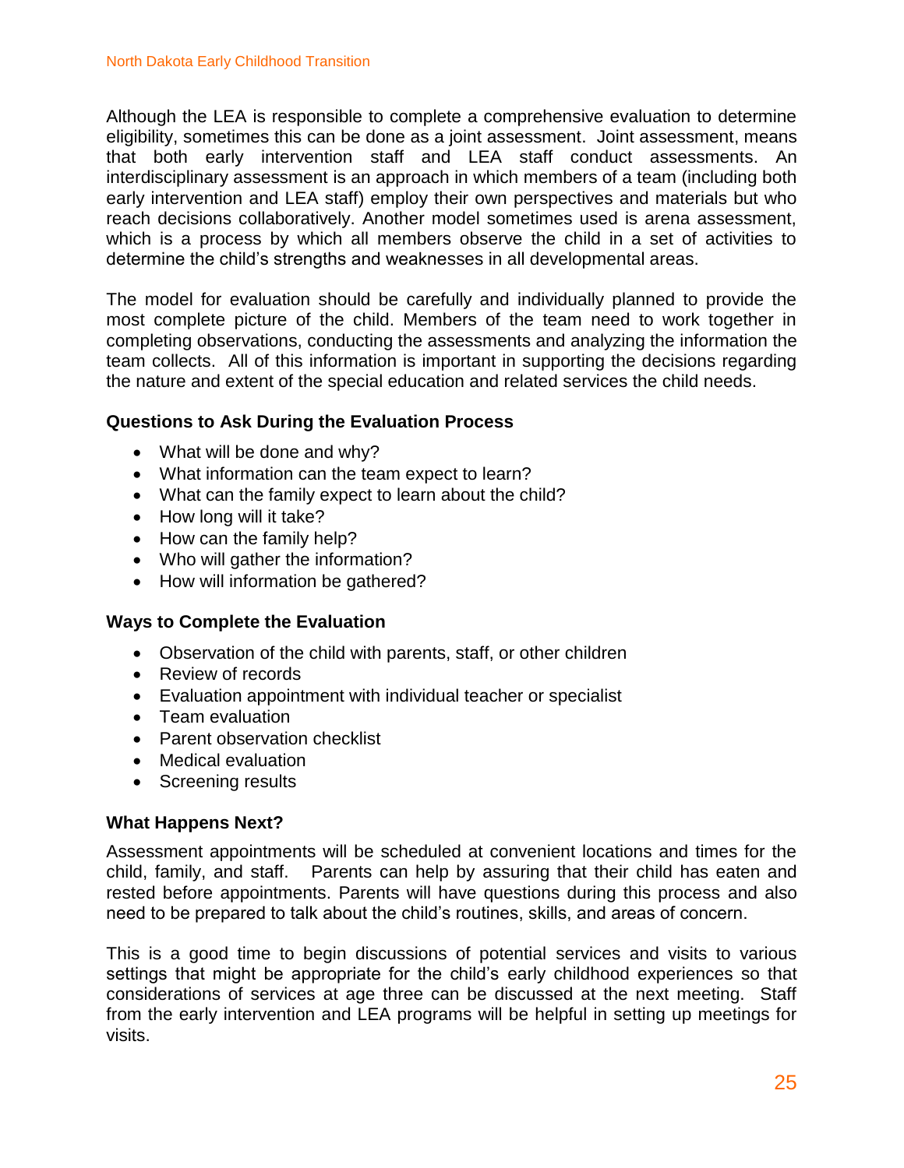Although the LEA is responsible to complete a comprehensive evaluation to determine eligibility, sometimes this can be done as a joint assessment. Joint assessment, means that both early intervention staff and LEA staff conduct assessments. An interdisciplinary assessment is an approach in which members of a team (including both early intervention and LEA staff) employ their own perspectives and materials but who reach decisions collaboratively. Another model sometimes used is arena assessment, which is a process by which all members observe the child in a set of activities to determine the child's strengths and weaknesses in all developmental areas.

The model for evaluation should be carefully and individually planned to provide the most complete picture of the child. Members of the team need to work together in completing observations, conducting the assessments and analyzing the information the team collects. All of this information is important in supporting the decisions regarding the nature and extent of the special education and related services the child needs.

#### **Questions to Ask During the Evaluation Process**

- What will be done and why?
- What information can the team expect to learn?
- What can the family expect to learn about the child?
- How long will it take?
- How can the family help?
- Who will gather the information?
- How will information be gathered?

#### **Ways to Complete the Evaluation**

- Observation of the child with parents, staff, or other children
- Review of records
- Evaluation appointment with individual teacher or specialist
- Team evaluation
- Parent observation checklist
- Medical evaluation
- Screening results

#### **What Happens Next?**

Assessment appointments will be scheduled at convenient locations and times for the child, family, and staff. Parents can help by assuring that their child has eaten and rested before appointments. Parents will have questions during this process and also need to be prepared to talk about the child's routines, skills, and areas of concern.

This is a good time to begin discussions of potential services and visits to various settings that might be appropriate for the child's early childhood experiences so that considerations of services at age three can be discussed at the next meeting. Staff from the early intervention and LEA programs will be helpful in setting up meetings for visits.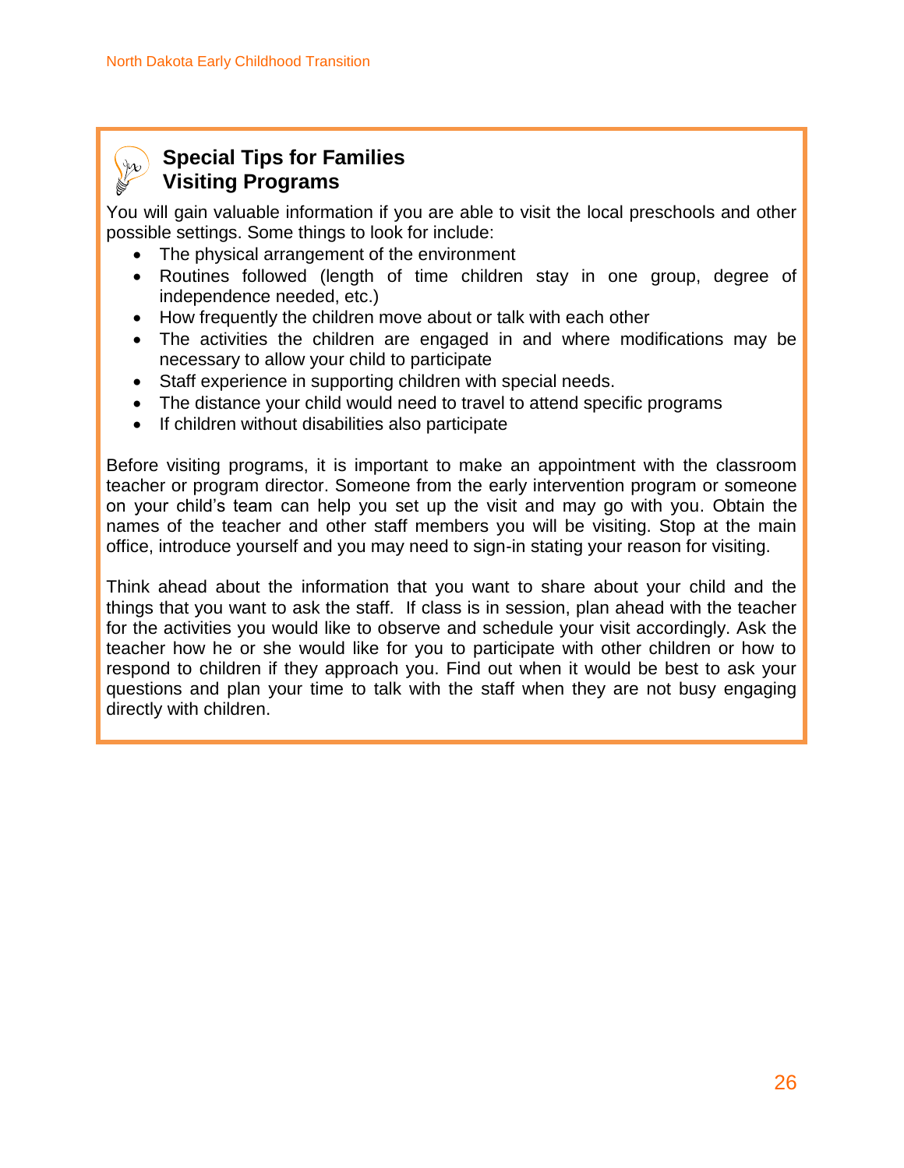

### **Special Tips for Families Visiting Programs**

You will gain valuable information if you are able to visit the local preschools and other possible settings. Some things to look for include:

- The physical arrangement of the environment
- Routines followed (length of time children stay in one group, degree of independence needed, etc.)
- How frequently the children move about or talk with each other
- The activities the children are engaged in and where modifications may be necessary to allow your child to participate
- Staff experience in supporting children with special needs.
- The distance your child would need to travel to attend specific programs
- If children without disabilities also participate

Before visiting programs, it is important to make an appointment with the classroom teacher or program director. Someone from the early intervention program or someone on your child's team can help you set up the visit and may go with you. Obtain the names of the teacher and other staff members you will be visiting. Stop at the main office, introduce yourself and you may need to sign-in stating your reason for visiting.

Think ahead about the information that you want to share about your child and the things that you want to ask the staff. If class is in session, plan ahead with the teacher for the activities you would like to observe and schedule your visit accordingly. Ask the teacher how he or she would like for you to participate with other children or how to respond to children if they approach you. Find out when it would be best to ask your questions and plan your time to talk with the staff when they are not busy engaging directly with children.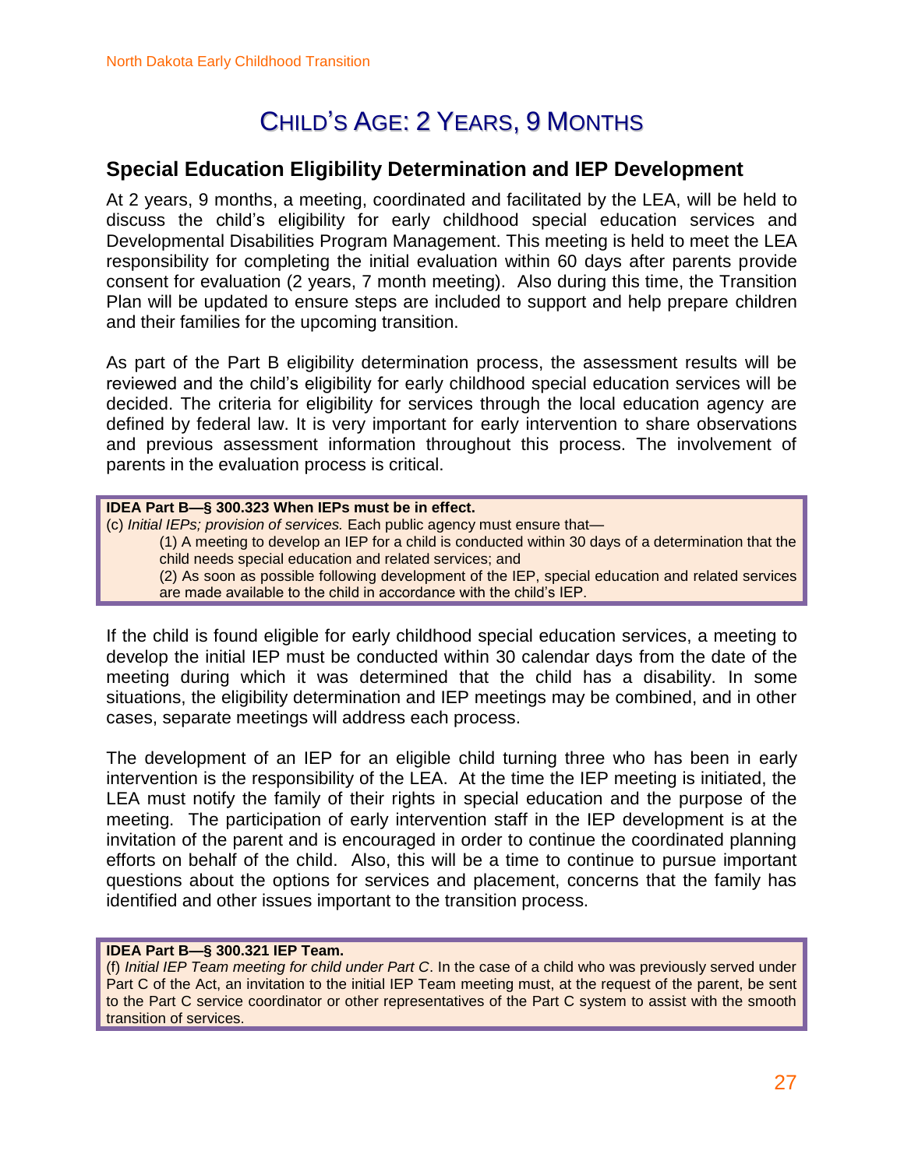## CHILD'S AGE: 2 YEARS, 9 MONTHS

### **Special Education Eligibility Determination and IEP Development**

At 2 years, 9 months, a meeting, coordinated and facilitated by the LEA, will be held to discuss the child's eligibility for early childhood special education services and Developmental Disabilities Program Management. This meeting is held to meet the LEA responsibility for completing the initial evaluation within 60 days after parents provide consent for evaluation (2 years, 7 month meeting). Also during this time, the Transition Plan will be updated to ensure steps are included to support and help prepare children and their families for the upcoming transition.

As part of the Part B eligibility determination process, the assessment results will be reviewed and the child's eligibility for early childhood special education services will be decided. The criteria for eligibility for services through the local education agency are defined by federal law. It is very important for early intervention to share observations and previous assessment information throughout this process. The involvement of parents in the evaluation process is critical.

**IDEA Part B—§ 300.323 When IEPs must be in effect.** (c) *Initial IEPs; provision of services.* Each public agency must ensure that— (1) A meeting to develop an IEP for a child is conducted within 30 days of a determination that the child needs special education and related services; and (2) As soon as possible following development of the IEP, special education and related services are made available to the child in accordance with the child's IEP.

If the child is found eligible for early childhood special education services, a meeting to develop the initial IEP must be conducted within 30 calendar days from the date of the meeting during which it was determined that the child has a disability. In some situations, the eligibility determination and IEP meetings may be combined, and in other cases, separate meetings will address each process.

The development of an IEP for an eligible child turning three who has been in early intervention is the responsibility of the LEA. At the time the IEP meeting is initiated, the LEA must notify the family of their rights in special education and the purpose of the meeting. The participation of early intervention staff in the IEP development is at the invitation of the parent and is encouraged in order to continue the coordinated planning efforts on behalf of the child. Also, this will be a time to continue to pursue important questions about the options for services and placement, concerns that the family has identified and other issues important to the transition process.

#### **IDEA Part B—§ 300.321 IEP Team.**

[\(f\)](http://idea.ed.gov/explore/view/p/%2Croot%2Cregs%2C300%2CD%2C300%252E321%2Cf%2C) *Initial IEP Team meeting for child under Part C*. In the case of a child who was previously served under Part C of the Act, an invitation to the initial IEP Team meeting must, at the request of the parent, be sent to the Part C service coordinator or other representatives of the Part C system to assist with the smooth transition of services.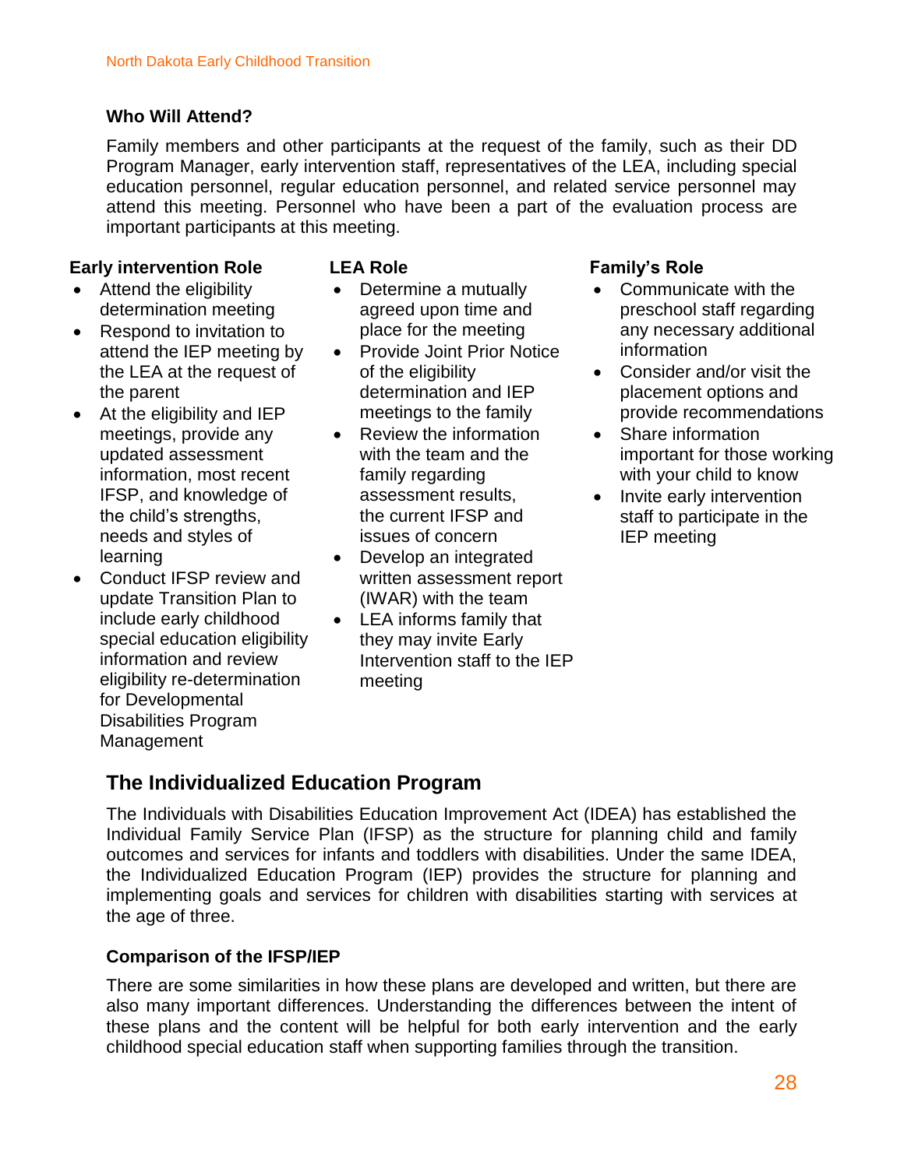#### **Who Will Attend?**

Family members and other participants at the request of the family, such as their DD Program Manager, early intervention staff, representatives of the LEA, including special education personnel, regular education personnel, and related service personnel may attend this meeting. Personnel who have been a part of the evaluation process are important participants at this meeting.

#### **Early intervention Role**

- Attend the eligibility determination meeting
- Respond to invitation to attend the IEP meeting by the LEA at the request of the parent
- At the eligibility and IEP meetings, provide any updated assessment information, most recent IFSP, and knowledge of the child's strengths, needs and styles of learning
- Conduct IFSP review and update Transition Plan to include early childhood special education eligibility information and review eligibility re-determination for Developmental Disabilities Program Management

#### **LEA Role**

- Determine a mutually agreed upon time and place for the meeting
- **•** Provide Joint Prior Notice of the eligibility determination and IEP meetings to the family
- Review the information with the team and the family regarding assessment results, the current IFSP and issues of concern
- Develop an integrated written assessment report (IWAR) with the team
- LEA informs family that they may invite Early Intervention staff to the IEP meeting

#### **Family's Role**

- Communicate with the preschool staff regarding any necessary additional information
- Consider and/or visit the placement options and provide recommendations
- Share information important for those working with your child to know
- Invite early intervention staff to participate in the IEP meeting

### **The Individualized Education Program**

The Individuals with Disabilities Education Improvement Act (IDEA) has established the Individual Family Service Plan (IFSP) as the structure for planning child and family outcomes and services for infants and toddlers with disabilities. Under the same IDEA, the Individualized Education Program (IEP) provides the structure for planning and implementing goals and services for children with disabilities starting with services at the age of three.

#### **Comparison of the IFSP/IEP**

There are some similarities in how these plans are developed and written, but there are also many important differences. Understanding the differences between the intent of these plans and the content will be helpful for both early intervention and the early childhood special education staff when supporting families through the transition.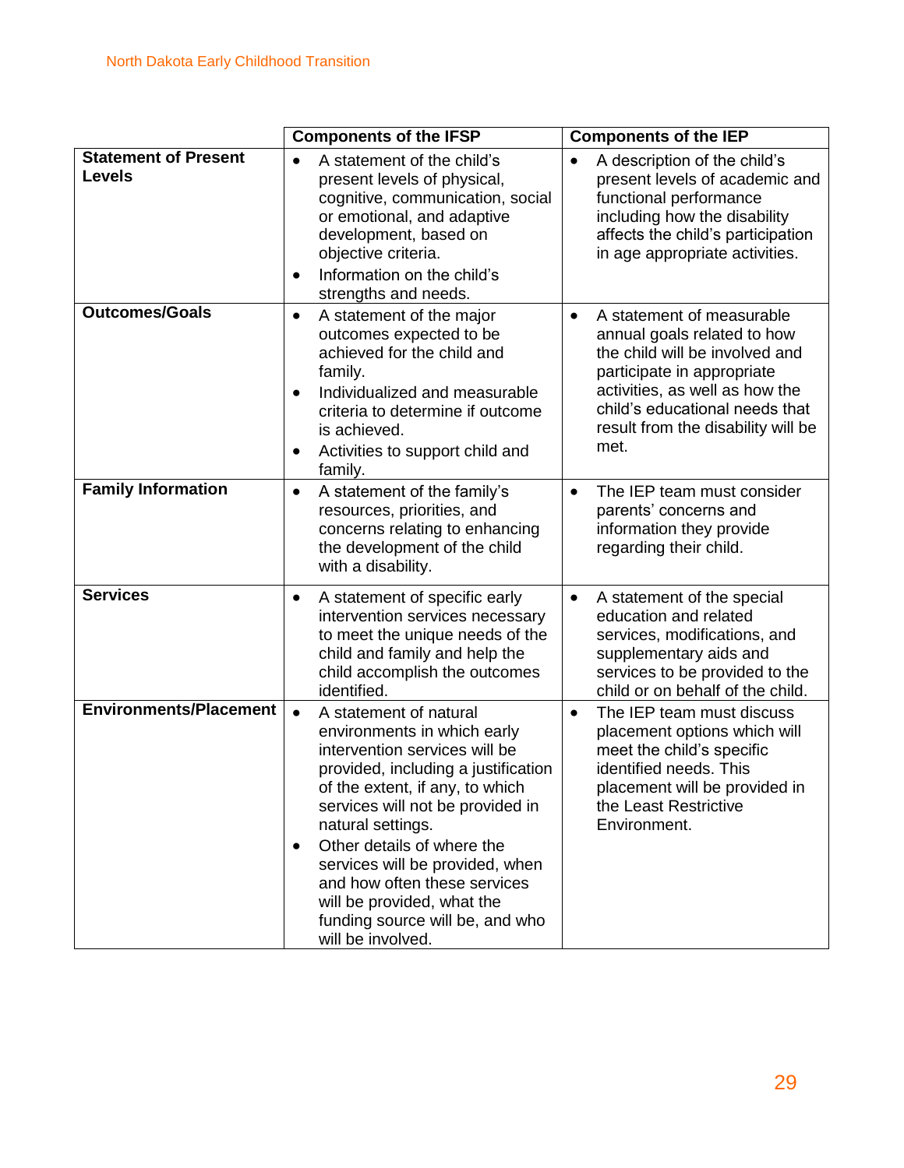|                                              | <b>Components of the IFSP</b>                                                                                                                                                                                                                                                                                                                                                                                                              | <b>Components of the IEP</b>                                                                                                                                                                                                                            |  |
|----------------------------------------------|--------------------------------------------------------------------------------------------------------------------------------------------------------------------------------------------------------------------------------------------------------------------------------------------------------------------------------------------------------------------------------------------------------------------------------------------|---------------------------------------------------------------------------------------------------------------------------------------------------------------------------------------------------------------------------------------------------------|--|
| <b>Statement of Present</b><br><b>Levels</b> | A statement of the child's<br>present levels of physical,<br>cognitive, communication, social<br>or emotional, and adaptive<br>development, based on<br>objective criteria.<br>Information on the child's<br>$\bullet$<br>strengths and needs.                                                                                                                                                                                             | A description of the child's<br>$\bullet$<br>present levels of academic and<br>functional performance<br>including how the disability<br>affects the child's participation<br>in age appropriate activities.                                            |  |
| <b>Outcomes/Goals</b>                        | A statement of the major<br>$\bullet$<br>outcomes expected to be<br>achieved for the child and<br>family.<br>Individualized and measurable<br>$\bullet$<br>criteria to determine if outcome<br>is achieved.<br>Activities to support child and<br>$\bullet$<br>family.                                                                                                                                                                     | A statement of measurable<br>$\bullet$<br>annual goals related to how<br>the child will be involved and<br>participate in appropriate<br>activities, as well as how the<br>child's educational needs that<br>result from the disability will be<br>met. |  |
| <b>Family Information</b>                    | A statement of the family's<br>$\bullet$<br>resources, priorities, and<br>concerns relating to enhancing<br>the development of the child<br>with a disability.                                                                                                                                                                                                                                                                             | The IEP team must consider<br>$\bullet$<br>parents' concerns and<br>information they provide<br>regarding their child.                                                                                                                                  |  |
| <b>Services</b>                              | A statement of specific early<br>$\bullet$<br>intervention services necessary<br>to meet the unique needs of the<br>child and family and help the<br>child accomplish the outcomes<br>identified.                                                                                                                                                                                                                                          | A statement of the special<br>$\bullet$<br>education and related<br>services, modifications, and<br>supplementary aids and<br>services to be provided to the<br>child or on behalf of the child.                                                        |  |
| <b>Environments/Placement</b>                | A statement of natural<br>$\bullet$<br>environments in which early<br>intervention services will be<br>provided, including a justification<br>of the extent, if any, to which<br>services will not be provided in<br>natural settings.<br>Other details of where the<br>$\bullet$<br>services will be provided, when<br>and how often these services<br>will be provided, what the<br>funding source will be, and who<br>will be involved. | The IEP team must discuss<br>$\bullet$<br>placement options which will<br>meet the child's specific<br>identified needs. This<br>placement will be provided in<br>the Least Restrictive<br>Environment.                                                 |  |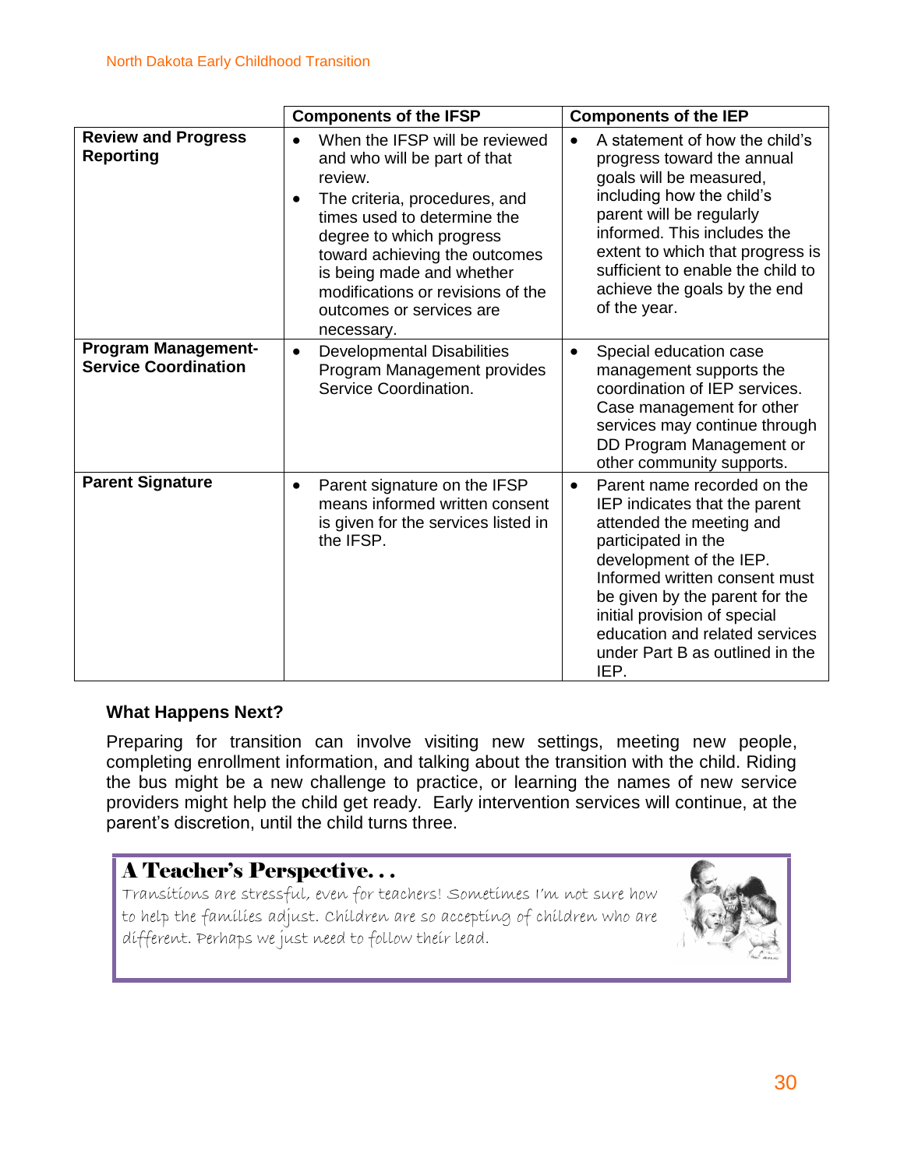|                                                           | <b>Components of the IFSP</b>                                                                                                                                                                                                                                                                                                   | <b>Components of the IEP</b>                                                                                                                                                                                                                                                                                                            |  |
|-----------------------------------------------------------|---------------------------------------------------------------------------------------------------------------------------------------------------------------------------------------------------------------------------------------------------------------------------------------------------------------------------------|-----------------------------------------------------------------------------------------------------------------------------------------------------------------------------------------------------------------------------------------------------------------------------------------------------------------------------------------|--|
| <b>Review and Progress</b><br><b>Reporting</b>            | When the IFSP will be reviewed<br>and who will be part of that<br>review.<br>The criteria, procedures, and<br>$\bullet$<br>times used to determine the<br>degree to which progress<br>toward achieving the outcomes<br>is being made and whether<br>modifications or revisions of the<br>outcomes or services are<br>necessary. | A statement of how the child's<br>progress toward the annual<br>goals will be measured,<br>including how the child's<br>parent will be regularly<br>informed. This includes the<br>extent to which that progress is<br>sufficient to enable the child to<br>achieve the goals by the end<br>of the year.                                |  |
| <b>Program Management-</b><br><b>Service Coordination</b> | <b>Developmental Disabilities</b><br>$\bullet$<br>Program Management provides<br>Service Coordination.                                                                                                                                                                                                                          | Special education case<br>$\bullet$<br>management supports the<br>coordination of IEP services.<br>Case management for other<br>services may continue through<br>DD Program Management or<br>other community supports.                                                                                                                  |  |
| <b>Parent Signature</b>                                   | Parent signature on the IFSP<br>$\bullet$<br>means informed written consent<br>is given for the services listed in<br>the IFSP.                                                                                                                                                                                                 | Parent name recorded on the<br>$\bullet$<br>IEP indicates that the parent<br>attended the meeting and<br>participated in the<br>development of the IEP.<br>Informed written consent must<br>be given by the parent for the<br>initial provision of special<br>education and related services<br>under Part B as outlined in the<br>IEP. |  |

#### **What Happens Next?**

Preparing for transition can involve visiting new settings, meeting new people, completing enrollment information, and talking about the transition with the child. Riding the bus might be a new challenge to practice, or learning the names of new service providers might help the child get ready. Early intervention services will continue, at the parent's discretion, until the child turns three.

### A Teacher's Perspective. . .

Transitions are stressful, even for teachers! Sometimes I'm not sure how to help the families adjust. Children are so accepting of children who are different. Perhaps we just need to follow their lead.

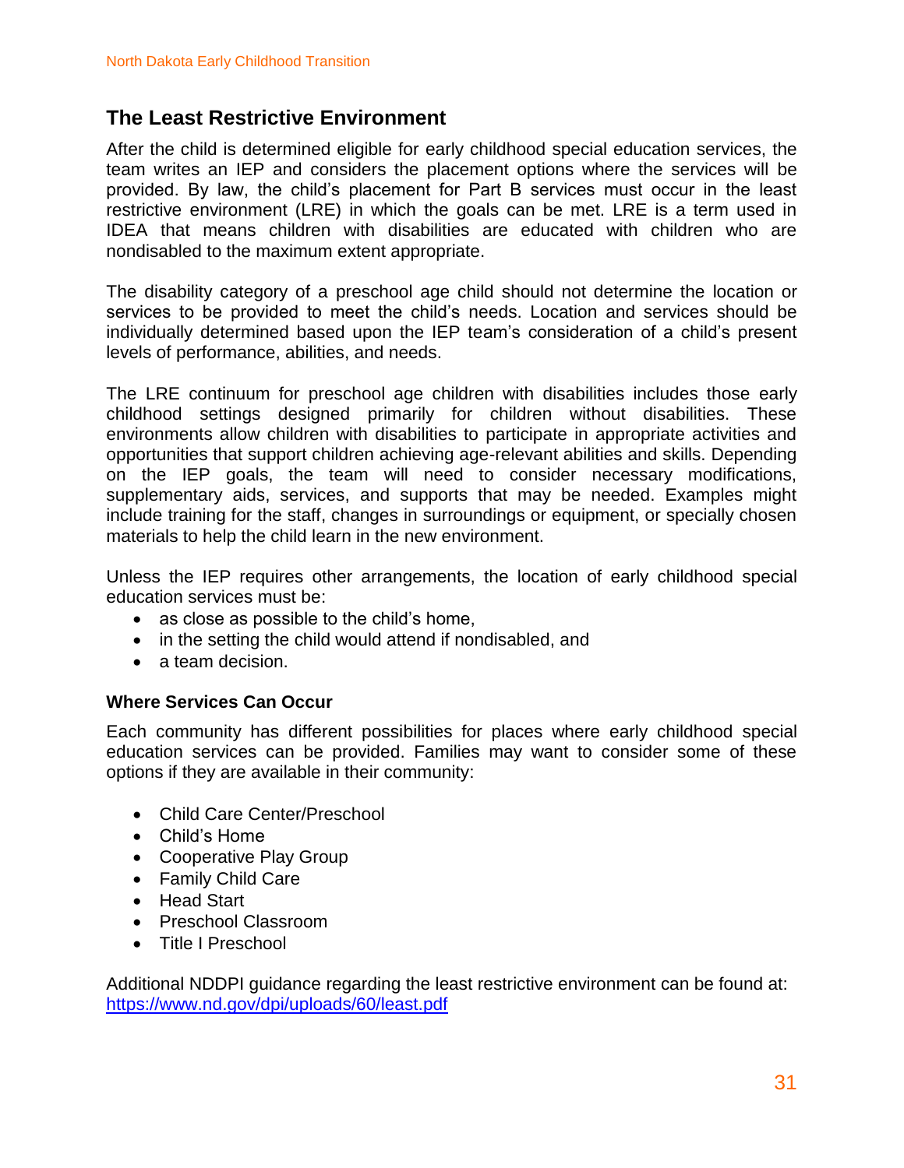### **The Least Restrictive Environment**

After the child is determined eligible for early childhood special education services, the team writes an IEP and considers the placement options where the services will be provided. By law, the child's placement for Part B services must occur in the least restrictive environment (LRE) in which the goals can be met. LRE is a term used in IDEA that means children with disabilities are educated with children who are nondisabled to the maximum extent appropriate.

The disability category of a preschool age child should not determine the location or services to be provided to meet the child's needs. Location and services should be individually determined based upon the IEP team's consideration of a child's present levels of performance, abilities, and needs.

The LRE continuum for preschool age children with disabilities includes those early childhood settings designed primarily for children without disabilities. These environments allow children with disabilities to participate in appropriate activities and opportunities that support children achieving age-relevant abilities and skills. Depending on the IEP goals, the team will need to consider necessary modifications, supplementary aids, services, and supports that may be needed. Examples might include training for the staff, changes in surroundings or equipment, or specially chosen materials to help the child learn in the new environment.

Unless the IEP requires other arrangements, the location of early childhood special education services must be:

- as close as possible to the child's home,
- in the setting the child would attend if nondisabled, and
- a team decision.

#### **Where Services Can Occur**

Each community has different possibilities for places where early childhood special education services can be provided. Families may want to consider some of these options if they are available in their community:

- Child Care Center/Preschool
- Child's Home
- Cooperative Play Group
- Family Child Care
- Head Start
- Preschool Classroom
- Title I Preschool

Additional NDDPI guidance regarding the least restrictive environment can be found at: <https://www.nd.gov/dpi/uploads/60/least.pdf>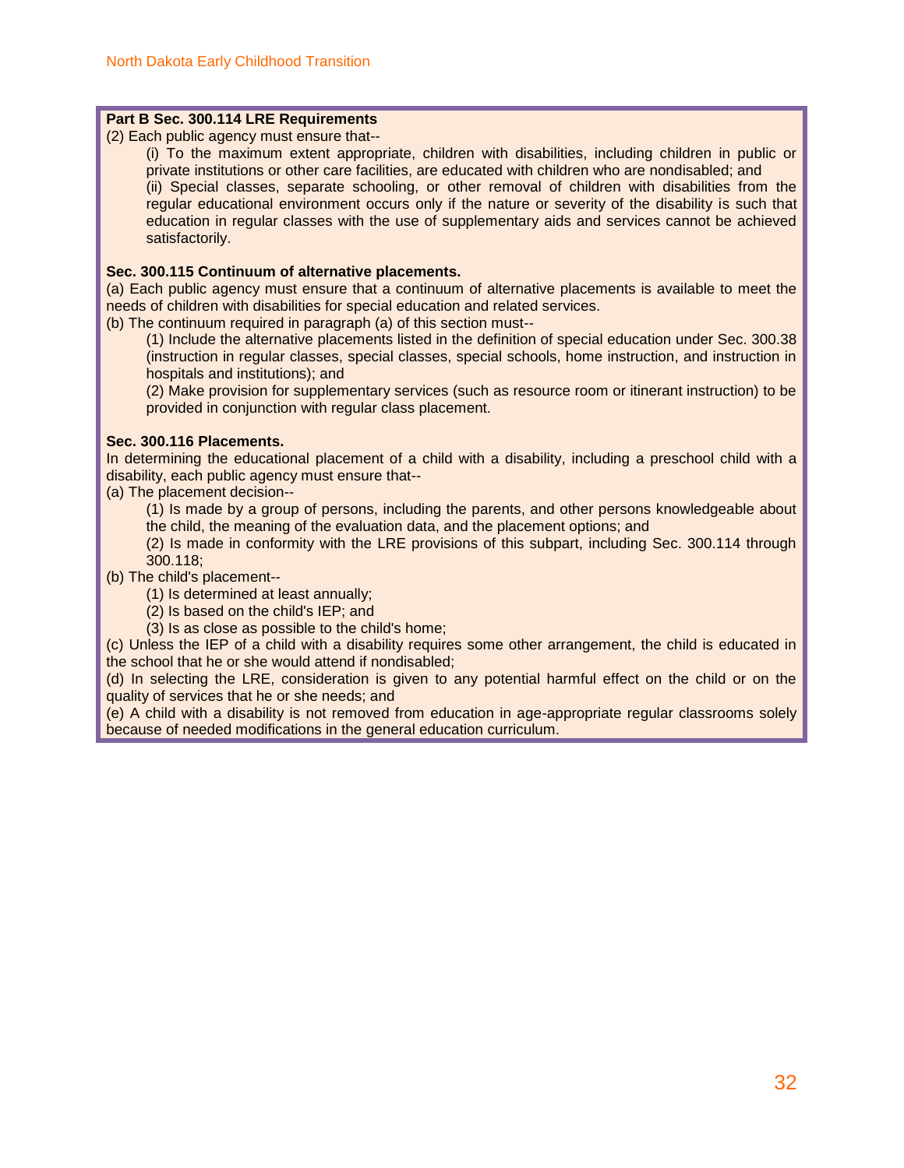#### **Part B Sec. 300.114 LRE Requirements**

[\(2\) E](http://idea.ed.gov/explore/view/p/%2Croot%2Cregs%2C300%2CB%2C300%252E114%2Ca%2C2%2C)ach public agency must ensure that--

[\(i\) T](http://idea.ed.gov/explore/view/p/%2Croot%2Cregs%2C300%2CB%2C300%252E114%2Ca%2C2%2Ci%2C)o the maximum extent appropriate, children with disabilities, including children in public or private institutions or other care facilities, are educated with children who are nondisabled; and [\(ii\) S](http://idea.ed.gov/explore/view/p/%2Croot%2Cregs%2C300%2CB%2C300%252E114%2Ca%2C2%2Cii%2C)pecial classes, separate schooling, or other removal of children with disabilities from the regular educational environment occurs only if the nature or severity of the disability is such that education in regular classes with the use of supplementary aids and services cannot be achieved satisfactorily.

#### **Sec. 300.115 Continuum of alternative placements.**

[\(a\) E](http://idea.ed.gov/explore/view/p/%2Croot%2Cregs%2C300%2CB%2C300%252E115%2Ca%2C)ach public agency must ensure that a continuum of alternative placements is available to meet the needs of children with disabilities for special education and related services.

[\(b\) T](http://idea.ed.gov/explore/view/p/%2Croot%2Cregs%2C300%2CB%2C300%252E115%2Cb%2C)he continuum required in paragraph (a) of this section must--

[\(1\) I](http://idea.ed.gov/explore/view/p/%2Croot%2Cregs%2C300%2CB%2C300%252E115%2Cb%2C1%2C)nclude the alternative placements listed in the definition of special education under Sec. 300.38 (instruction in regular classes, special classes, special schools, home instruction, and instruction in hospitals and institutions); and

[\(2\) M](http://idea.ed.gov/explore/view/p/%2Croot%2Cregs%2C300%2CB%2C300%252E115%2Cb%2C2%2C)ake provision for supplementary services (such as resource room or itinerant instruction) to be provided in conjunction with regular class placement.

#### **Sec. 300.116 Placements.**

In determining the educational placement of a child with a disability, including a preschool child with a disability, each public agency must ensure that--

[\(a\) T](http://idea.ed.gov/explore/view/p/%2Croot%2Cregs%2C300%2CB%2C300%252E116%2Ca%2C)he placement decision--

[\(1\) I](http://idea.ed.gov/explore/view/p/%2Croot%2Cregs%2C300%2CB%2C300%252E116%2Ca%2C1%2C)s made by a group of persons, including the parents, and other persons knowledgeable about the child, the meaning of the evaluation data, and the placement options; and

[\(2\) I](http://idea.ed.gov/explore/view/p/%2Croot%2Cregs%2C300%2CB%2C300%252E116%2Ca%2C2%2C)s made in conformity with the LRE provisions of this subpart, including Sec. 300.114 through 300.118;

[\(b\) T](http://idea.ed.gov/explore/view/p/%2Croot%2Cregs%2C300%2CB%2C300%252E116%2Cb%2C)he child's placement--

[\(1\) I](http://idea.ed.gov/explore/view/p/%2Croot%2Cregs%2C300%2CB%2C300%252E116%2Cb%2C1%2C)s determined at least annually;

[\(2\) I](http://idea.ed.gov/explore/view/p/%2Croot%2Cregs%2C300%2CB%2C300%252E116%2Cb%2C2%2C)s based on the child's IEP; and

[\(3\) I](http://idea.ed.gov/explore/view/p/%2Croot%2Cregs%2C300%2CB%2C300%252E116%2Cb%2C3%2C)s as close as possible to the child's home;

[\(c\) U](http://idea.ed.gov/explore/view/p/%2Croot%2Cregs%2C300%2CB%2C300%252E116%2Cc%2C)nless the IEP of a child with a disability requires some other arrangement, the child is educated in the school that he or she would attend if nondisabled;

[\(d\) I](http://idea.ed.gov/explore/view/p/%2Croot%2Cregs%2C300%2CB%2C300%252E116%2Cd%2C)n selecting the LRE, consideration is given to any potential harmful effect on the child or on the quality of services that he or she needs; and

[\(e\) A](http://idea.ed.gov/explore/view/p/%2Croot%2Cregs%2C300%2CB%2C300%252E116%2Ce%2C) child with a disability is not removed from education in age-appropriate regular classrooms solely because of needed modifications in the general education curriculum.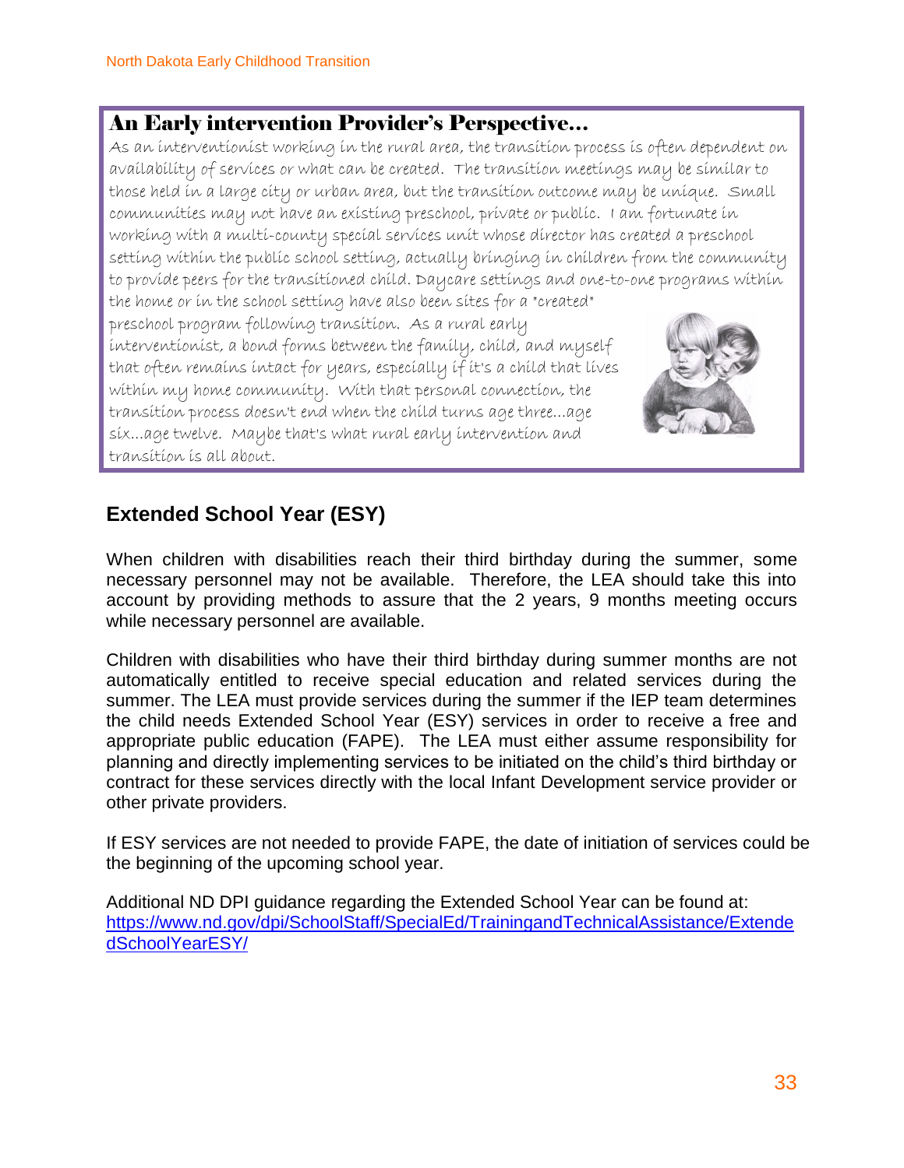### An Early intervention Provider's Perspective…

As an interventionist working in the rural area, the transition process is often dependent on availability of services or what can be created. The transition meetings may be similar to those held in a large city or urban area, but the transition outcome may be unique. Small communities may not have an existing preschool, private or public. I am fortunate in working with a multi-county special services unit whose director has created a preschool setting within the public school setting, actually bringing in children from the community to provide peers for the transitioned child. Daycare settings and one-to-one programs within the home or in the school setting have also been sites for a "created"

preschool program following transition. As a rural early interventionist, a bond forms between the family, child, and myself that often remains intact for years, especially if it's a child that lives within my home community. With that personal connection, the transition process doesn't end when the child turns age three...age six...age twelve. Maybe that's what rural early intervention and transition is all about.



### **Extended School Year (ESY)**

When children with disabilities reach their third birthday during the summer, some necessary personnel may not be available. Therefore, the LEA should take this into account by providing methods to assure that the 2 years, 9 months meeting occurs while necessary personnel are available.

Children with disabilities who have their third birthday during summer months are not automatically entitled to receive special education and related services during the summer. The LEA must provide services during the summer if the IEP team determines the child needs Extended School Year (ESY) services in order to receive a free and appropriate public education (FAPE). The LEA must either assume responsibility for planning and directly implementing services to be initiated on the child's third birthday or contract for these services directly with the local Infant Development service provider or other private providers.

If ESY services are not needed to provide FAPE, the date of initiation of services could be the beginning of the upcoming school year.

Additional ND DPI guidance regarding the Extended School Year can be found at: [https://www.nd.gov/dpi/SchoolStaff/SpecialEd/TrainingandTechnicalAssistance/Extende](https://www.nd.gov/dpi/SchoolStaff/SpecialEd/TrainingandTechnicalAssistance/ExtendedSchoolYearESY/) [dSchoolYearESY/](https://www.nd.gov/dpi/SchoolStaff/SpecialEd/TrainingandTechnicalAssistance/ExtendedSchoolYearESY/)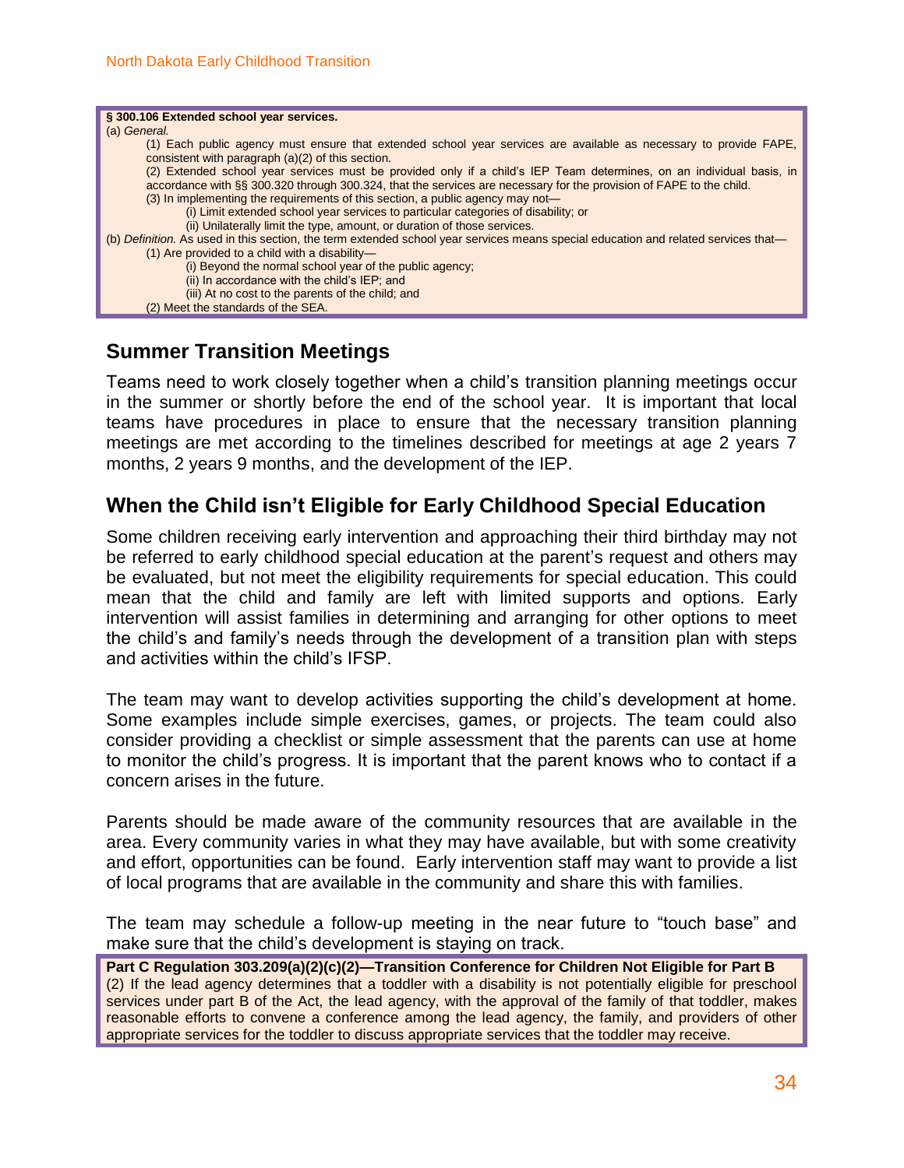| § 300.106 Extended school year services.                                                                                           |
|------------------------------------------------------------------------------------------------------------------------------------|
|                                                                                                                                    |
| (a) General.                                                                                                                       |
|                                                                                                                                    |
| (1) Each public agency must ensure that extended school year services are available as necessary to provide FAPE,                  |
|                                                                                                                                    |
| consistent with paragraph (a)(2) of this section.                                                                                  |
| (2) Extended school year services must be provided only if a child's IEP Team determines, on an individual basis, in               |
|                                                                                                                                    |
| accordance with §§ 300.320 through 300.324, that the services are necessary for the provision of FAPE to the child.                |
|                                                                                                                                    |
| (3) In implementing the requirements of this section, a public agency may not-                                                     |
| (i) Limit extended school year services to particular categories of disability; or                                                 |
|                                                                                                                                    |
| (ii) Unilaterally limit the type, amount, or duration of those services.                                                           |
|                                                                                                                                    |
| (b) Definition. As used in this section, the term extended school year services means special education and related services that— |
| $(1)$ Are provided to a child with a disability-                                                                                   |
|                                                                                                                                    |
| (i) Beyond the normal school year of the public agency;                                                                            |
|                                                                                                                                    |
| (ii) In accordance with the child's IEP; and                                                                                       |
| (iii) At no cost to the parents of the child; and                                                                                  |
|                                                                                                                                    |
| (2) Meet the standards of the SEA.                                                                                                 |
|                                                                                                                                    |

#### **Summer Transition Meetings**

Teams need to work closely together when a child's transition planning meetings occur in the summer or shortly before the end of the school year. It is important that local teams have procedures in place to ensure that the necessary transition planning meetings are met according to the timelines described for meetings at age 2 years 7 months, 2 years 9 months, and the development of the IEP.

#### **When the Child isn't Eligible for Early Childhood Special Education**

Some children receiving early intervention and approaching their third birthday may not be referred to early childhood special education at the parent's request and others may be evaluated, but not meet the eligibility requirements for special education. This could mean that the child and family are left with limited supports and options. Early intervention will assist families in determining and arranging for other options to meet the child's and family's needs through the development of a transition plan with steps and activities within the child's IFSP.

The team may want to develop activities supporting the child's development at home. Some examples include simple exercises, games, or projects. The team could also consider providing a checklist or simple assessment that the parents can use at home to monitor the child's progress. It is important that the parent knows who to contact if a concern arises in the future.

Parents should be made aware of the community resources that are available in the area. Every community varies in what they may have available, but with some creativity and effort, opportunities can be found. Early intervention staff may want to provide a list of local programs that are available in the community and share this with families.

The team may schedule a follow-up meeting in the near future to "touch base" and make sure that the child's development is staying on track.

**Part C Regulation 303.209(a)(2)(c)(2)—Transition Conference for Children Not Eligible for Part B** (2) If the lead agency determines that a toddler with a disability is not potentially eligible for preschool services under part B of the Act, the lead agency, with the approval of the family of that toddler, makes reasonable efforts to convene a conference among the lead agency, the family, and providers of other appropriate services for the toddler to discuss appropriate services that the toddler may receive.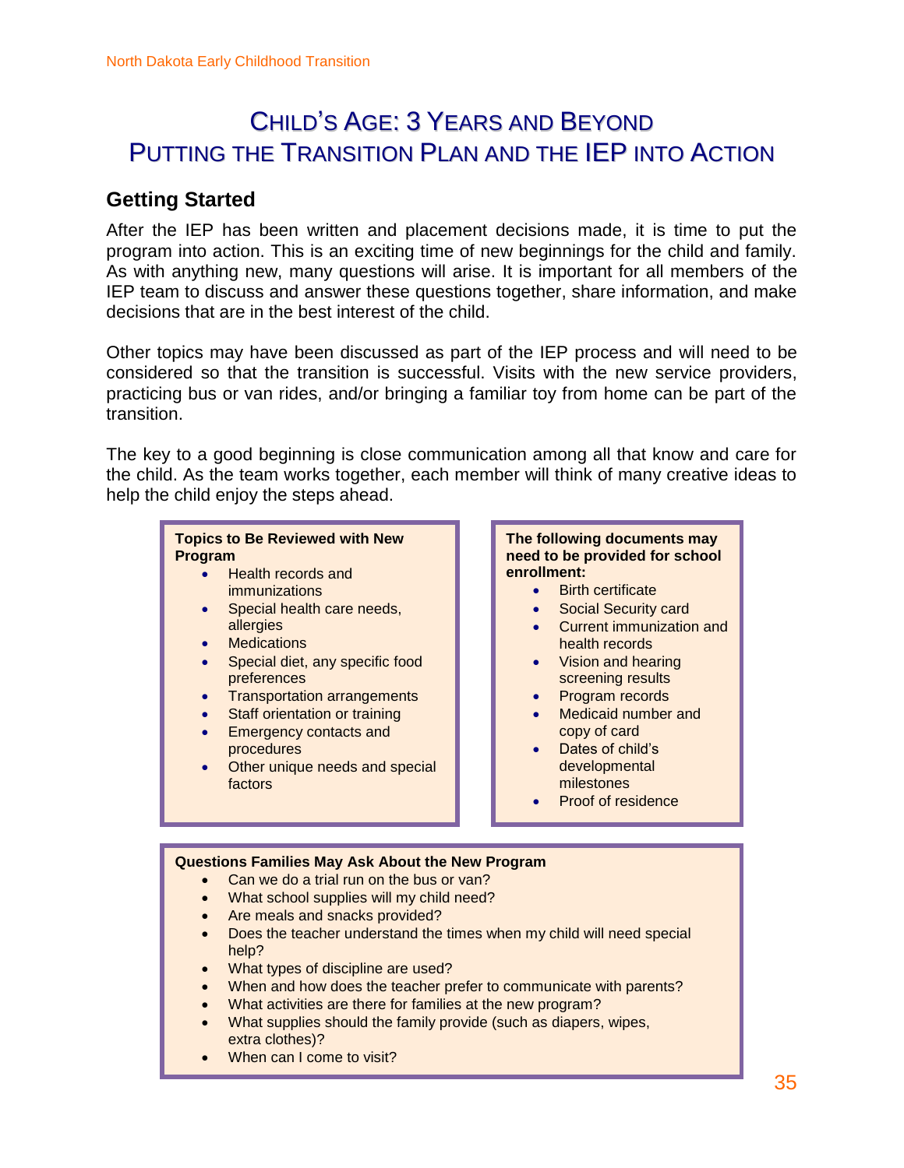### CHILD'S AGE: 3 YEARS AND BEYOND PUTTING THE TRANSITION PLAN AND THE IEP INTO ACTION

### **Getting Started**

After the IEP has been written and placement decisions made, it is time to put the program into action. This is an exciting time of new beginnings for the child and family. As with anything new, many questions will arise. It is important for all members of the IEP team to discuss and answer these questions together, share information, and make decisions that are in the best interest of the child.

Other topics may have been discussed as part of the IEP process and will need to be considered so that the transition is successful. Visits with the new service providers, practicing bus or van rides, and/or bringing a familiar toy from home can be part of the transition.

The key to a good beginning is close communication among all that know and care for the child. As the team works together, each member will think of many creative ideas to help the child enjoy the steps ahead.

#### **Topics to Be Reviewed with New Program**

- Health records and immunizations
- Special health care needs, allergies
- Medications
- Special diet, any specific food preferences
- Transportation arrangements
- Staff orientation or training
- Emergency contacts and procedures
- Other unique needs and special factors

#### **The following documents may need to be provided for school enrollment:**

- Birth certificate
- Social Security card
- Current immunization and health records
- Vision and hearing screening results
- Program records
- Medicaid number and copy of card
- Dates of child's developmental milestones
- Proof of residence

#### **Questions Families May Ask About the New Program**

- Can we do a trial run on the bus or van?
- What school supplies will my child need?
- Are meals and snacks provided?
- Does the teacher understand the times when my child will need special help?
- What types of discipline are used?
- When and how does the teacher prefer to communicate with parents?
- What activities are there for families at the new program?
- What supplies should the family provide (such as diapers, wipes, extra clothes)?
- When can I come to visit?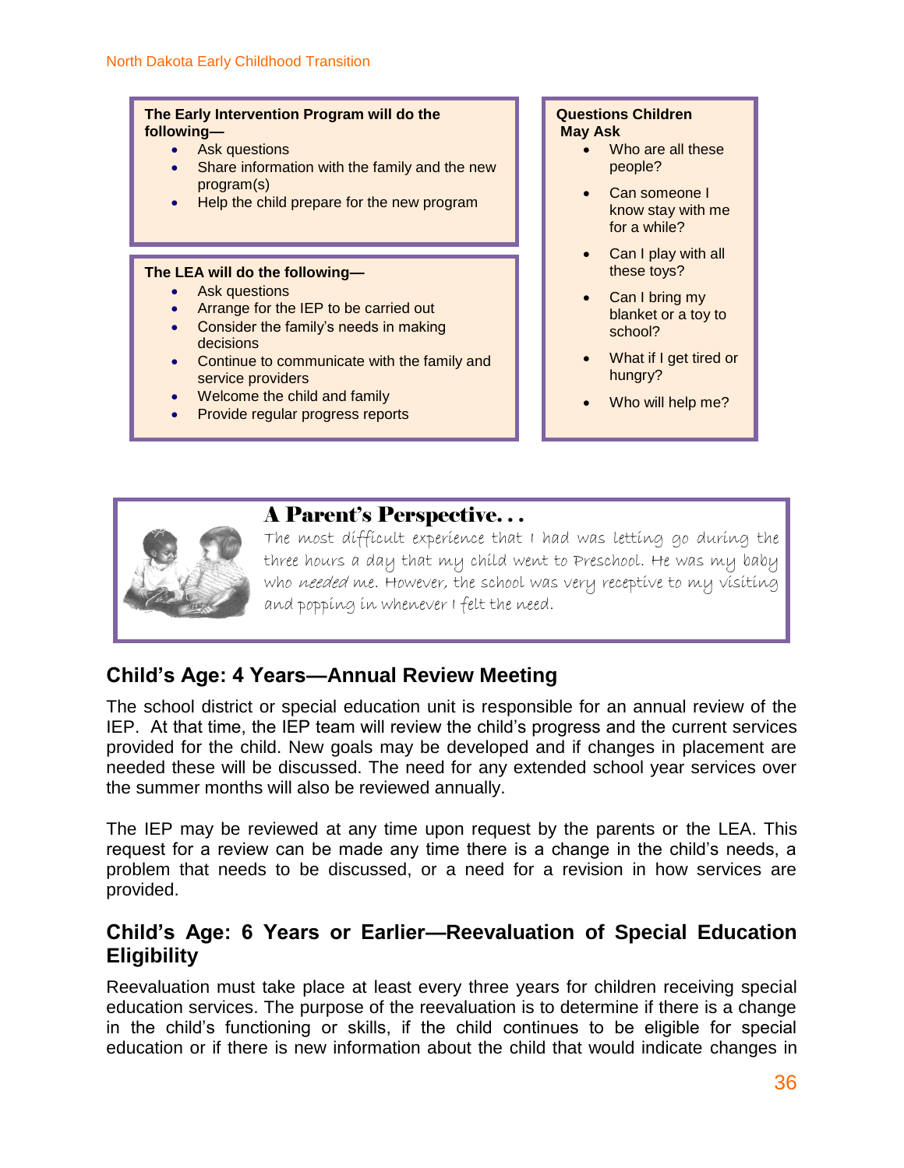#### **The Early Intervention Program will do the following—**

- Ask questions
- Share information with the family and the new program(s)
- Help the child prepare for the new program

#### **The LEA will do the following—**

- Ask questions
- Arrange for the IEP to be carried out
- Consider the family's needs in making decisions
- Continue to communicate with the family and service providers
- Welcome the child and family
- **Provide regular progress reports**

#### **Questions Children May Ask**

- Who are all these people?
- Can someone I know stay with me for a while?
- Can I play with all these toys?
- Can I bring my blanket or a toy to school?
- What if I get tired or hungry?
- Who will help me?



The most difficult experience that I had was letting go during the three hours a day that my child went to Preschool. He was my baby who needed me. However, the school was very receptive to my visiting and popping in whenever I felt the need.

### **Child's Age: 4 Years—Annual Review Meeting**

The school district or special education unit is responsible for an annual review of the IEP. At that time, the IEP team will review the child's progress and the current services provided for the child. New goals may be developed and if changes in placement are needed these will be discussed. The need for any extended school year services over the summer months will also be reviewed annually.

The IEP may be reviewed at any time upon request by the parents or the LEA. This request for a review can be made any time there is a change in the child's needs, a problem that needs to be discussed, or a need for a revision in how services are provided.

### **Child's Age: 6 Years or Earlier—Reevaluation of Special Education Eligibility**

Reevaluation must take place at least every three years for children receiving special education services. The purpose of the reevaluation is to determine if there is a change in the child's functioning or skills, if the child continues to be eligible for special education or if there is new information about the child that would indicate changes in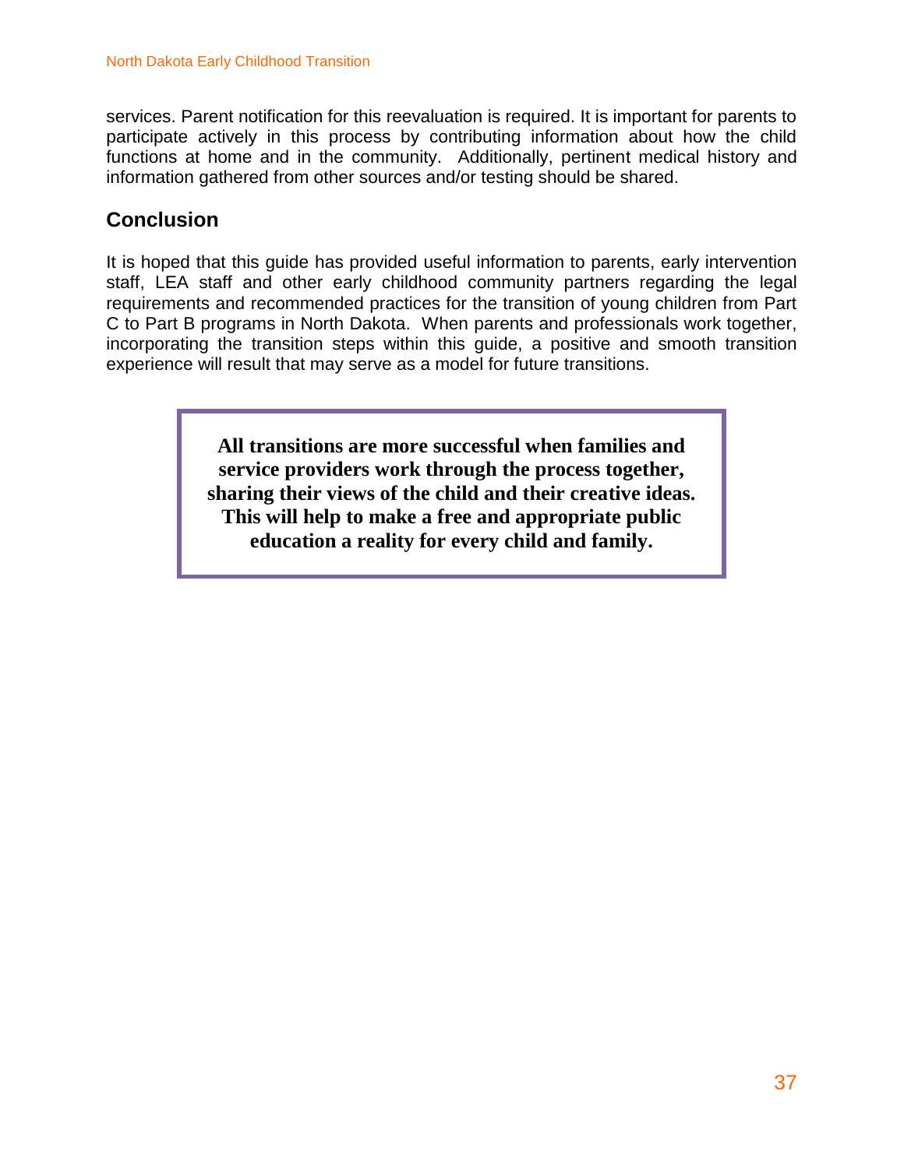services. Parent notification for this reevaluation is required. It is important for parents to participate actively in this process by contributing information about how the child functions at home and in the community. Additionally, pertinent medical history and information gathered from other sources and/or testing should be shared.

### **Conclusion**

It is hoped that this guide has provided useful information to parents, early intervention staff, LEA staff and other early childhood community partners regarding the legal requirements and recommended practices for the transition of young children from Part C to Part B programs in North Dakota. When parents and professionals work together, incorporating the transition steps within this guide, a positive and smooth transition experience will result that may serve as a model for future transitions.

> **All transitions are more successful when families and service providers work through the process together, sharing their views of the child and their creative ideas. This will help to make a free and appropriate public education a reality for every child and family.**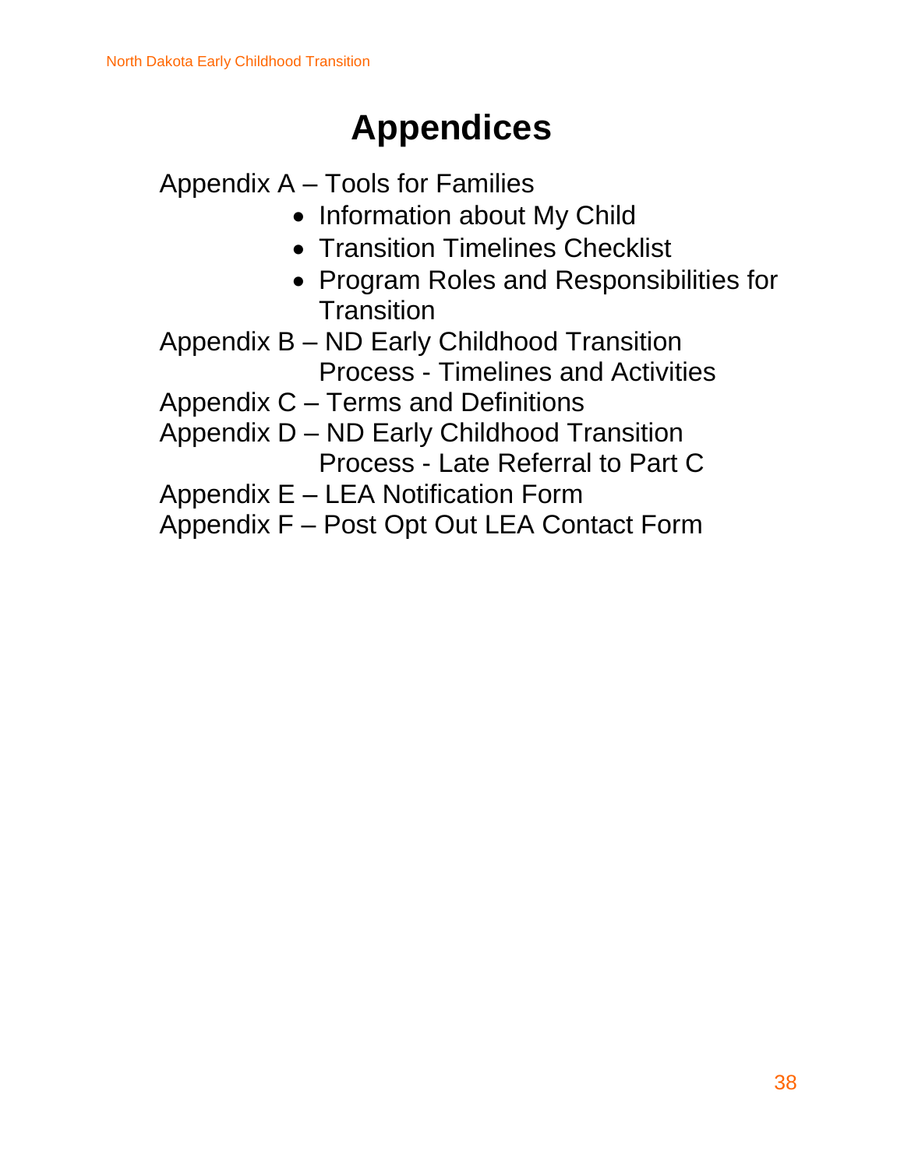# **Appendices**

Appendix A – Tools for Families

- Information about My Child
- Transition Timelines Checklist
- Program Roles and Responsibilities for **Transition**
- Appendix B ND Early Childhood Transition Process - Timelines and Activities

Appendix C – Terms and Definitions

- Appendix D ND Early Childhood Transition Process - Late Referral to Part C
- Appendix E LEA Notification Form

Appendix F – Post Opt Out LEA Contact Form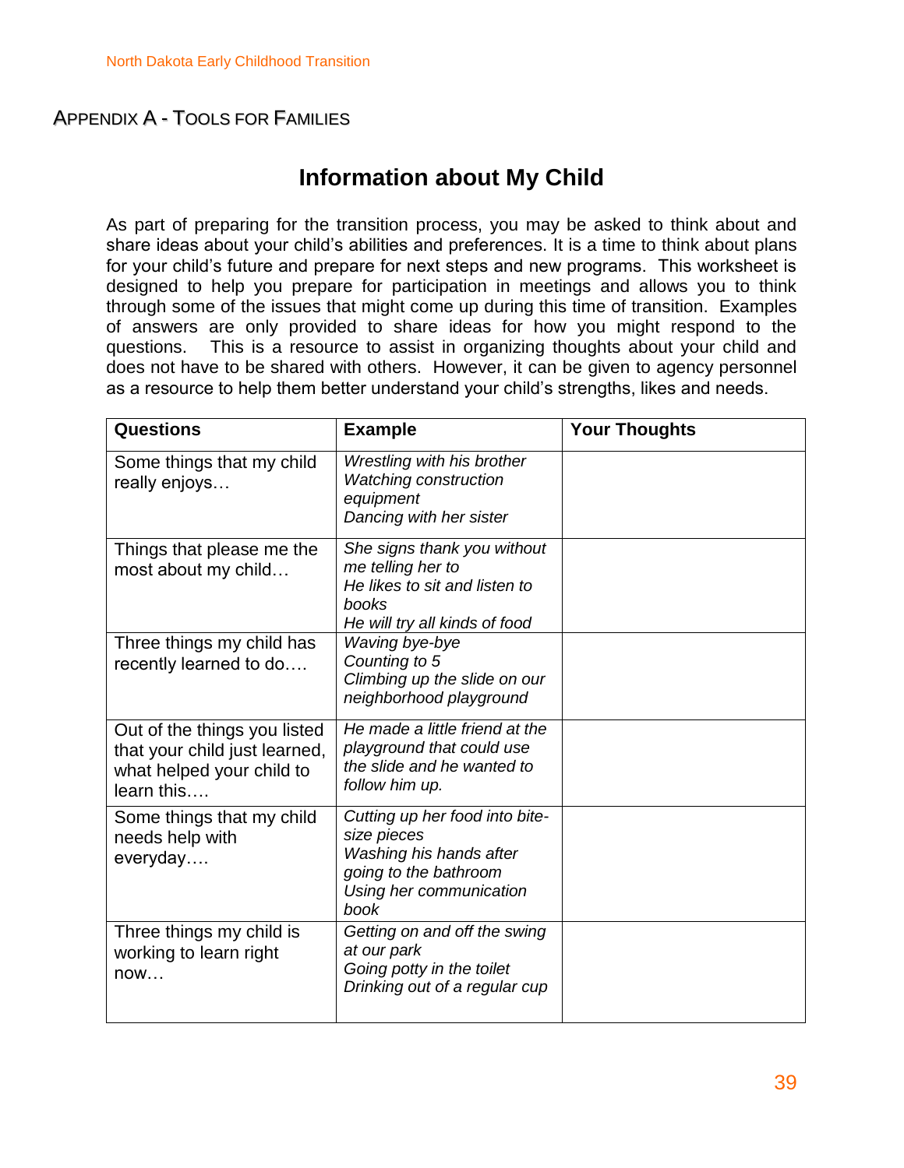#### APPENDIX A - TOOLS FOR FAMILIES

### **Information about My Child**

As part of preparing for the transition process, you may be asked to think about and share ideas about your child's abilities and preferences. It is a time to think about plans for your child's future and prepare for next steps and new programs. This worksheet is designed to help you prepare for participation in meetings and allows you to think through some of the issues that might come up during this time of transition. Examples of answers are only provided to share ideas for how you might respond to the questions. This is a resource to assist in organizing thoughts about your child and does not have to be shared with others. However, it can be given to agency personnel as a resource to help them better understand your child's strengths, likes and needs.

| <b>Questions</b>                                                                                         | <b>Example</b>                                                                                                                       | <b>Your Thoughts</b> |
|----------------------------------------------------------------------------------------------------------|--------------------------------------------------------------------------------------------------------------------------------------|----------------------|
| Some things that my child<br>really enjoys                                                               | Wrestling with his brother<br><b>Watching construction</b><br>equipment<br>Dancing with her sister                                   |                      |
| Things that please me the<br>most about my child                                                         | She signs thank you without<br>me telling her to<br>He likes to sit and listen to<br>books<br>He will try all kinds of food          |                      |
| Three things my child has<br>recently learned to do                                                      | Waving bye-bye<br>Counting to 5<br>Climbing up the slide on our<br>neighborhood playground                                           |                      |
| Out of the things you listed<br>that your child just learned,<br>what helped your child to<br>learn this | He made a little friend at the<br>playground that could use<br>the slide and he wanted to<br>follow him up.                          |                      |
| Some things that my child<br>needs help with<br>everyday                                                 | Cutting up her food into bite-<br>size pieces<br>Washing his hands after<br>going to the bathroom<br>Using her communication<br>book |                      |
| Three things my child is<br>working to learn right<br>now                                                | Getting on and off the swing<br>at our park<br>Going potty in the toilet<br>Drinking out of a regular cup                            |                      |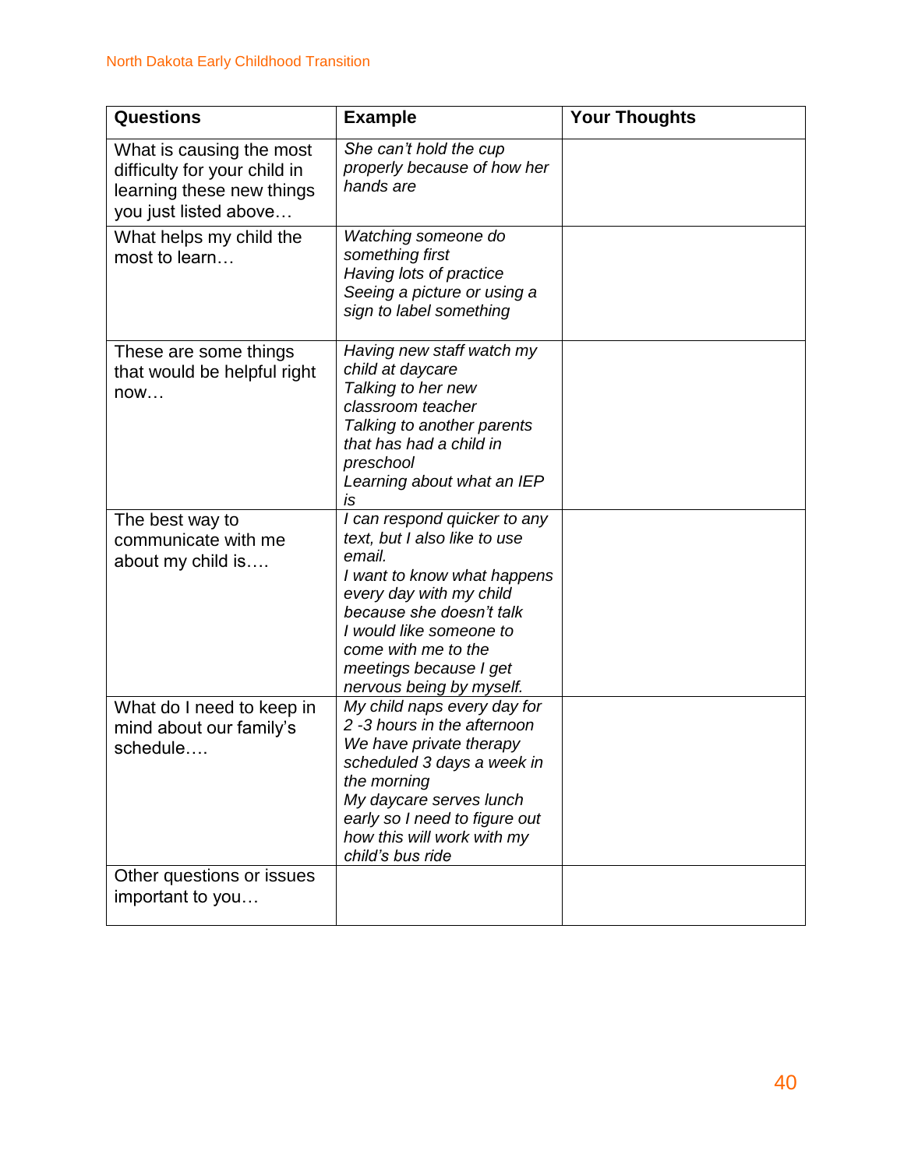| <b>Questions</b>                                                                                               | <b>Example</b>                                                                                                                                                                                                                                                       | <b>Your Thoughts</b> |
|----------------------------------------------------------------------------------------------------------------|----------------------------------------------------------------------------------------------------------------------------------------------------------------------------------------------------------------------------------------------------------------------|----------------------|
| What is causing the most<br>difficulty for your child in<br>learning these new things<br>you just listed above | She can't hold the cup<br>properly because of how her<br>hands are                                                                                                                                                                                                   |                      |
| What helps my child the<br>most to learn                                                                       | Watching someone do<br>something first<br>Having lots of practice<br>Seeing a picture or using a<br>sign to label something                                                                                                                                          |                      |
| These are some things<br>that would be helpful right<br>now                                                    | Having new staff watch my<br>child at daycare<br>Talking to her new<br>classroom teacher<br>Talking to another parents<br>that has had a child in<br>preschool<br>Learning about what an IEP<br>IS                                                                   |                      |
| The best way to<br>communicate with me<br>about my child is                                                    | I can respond quicker to any<br>text, but I also like to use<br>email.<br>I want to know what happens<br>every day with my child<br>because she doesn't talk<br>I would like someone to<br>come with me to the<br>meetings because I get<br>nervous being by myself. |                      |
| What do I need to keep in<br>mind about our family's<br>schedule                                               | My child naps every day for<br>2 -3 hours in the afternoon<br>We have private therapy<br>scheduled 3 days a week in<br>the morning<br>My daycare serves lunch<br>early so I need to figure out<br>how this will work with my<br>child's bus ride                     |                      |
| Other questions or issues<br>important to you                                                                  |                                                                                                                                                                                                                                                                      |                      |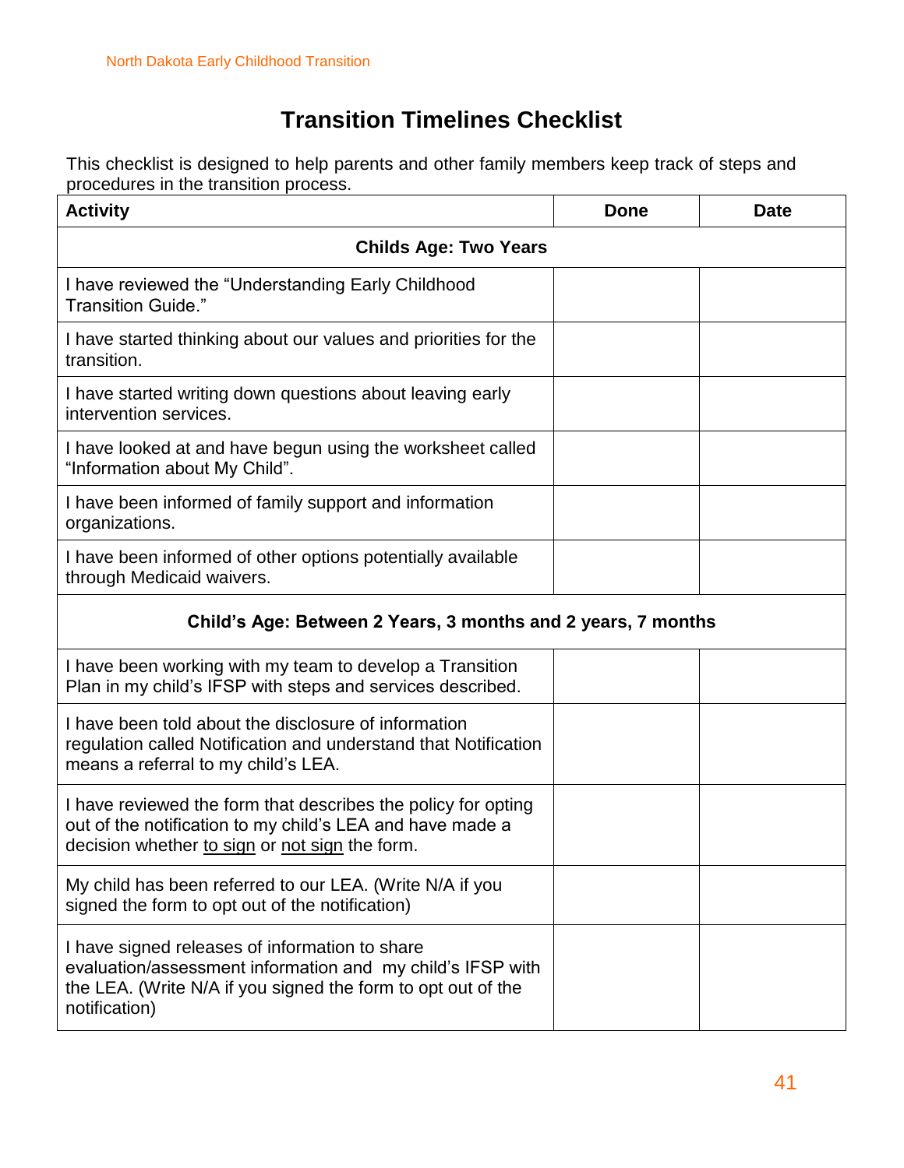### **Transition Timelines Checklist**

This checklist is designed to help parents and other family members keep track of steps and procedures in the transition process.

| <b>Activity</b>                                                                                                                                                                               | <b>Done</b> | <b>Date</b> |
|-----------------------------------------------------------------------------------------------------------------------------------------------------------------------------------------------|-------------|-------------|
| <b>Childs Age: Two Years</b>                                                                                                                                                                  |             |             |
| I have reviewed the "Understanding Early Childhood<br>Transition Guide."                                                                                                                      |             |             |
| I have started thinking about our values and priorities for the<br>transition.                                                                                                                |             |             |
| I have started writing down questions about leaving early<br>intervention services.                                                                                                           |             |             |
| I have looked at and have begun using the worksheet called<br>"Information about My Child".                                                                                                   |             |             |
| I have been informed of family support and information<br>organizations.                                                                                                                      |             |             |
| I have been informed of other options potentially available<br>through Medicaid waivers.                                                                                                      |             |             |
| Child's Age: Between 2 Years, 3 months and 2 years, 7 months                                                                                                                                  |             |             |
| I have been working with my team to develop a Transition<br>Plan in my child's IFSP with steps and services described.                                                                        |             |             |
| I have been told about the disclosure of information<br>regulation called Notification and understand that Notification<br>means a referral to my child's LEA.                                |             |             |
| I have reviewed the form that describes the policy for opting<br>out of the notification to my child's LEA and have made a<br>decision whether to sign or not sign the form.                  |             |             |
| My child has been referred to our LEA. (Write N/A if you<br>signed the form to opt out of the notification)                                                                                   |             |             |
| I have signed releases of information to share<br>evaluation/assessment information and my child's IFSP with<br>the LEA. (Write N/A if you signed the form to opt out of the<br>notification) |             |             |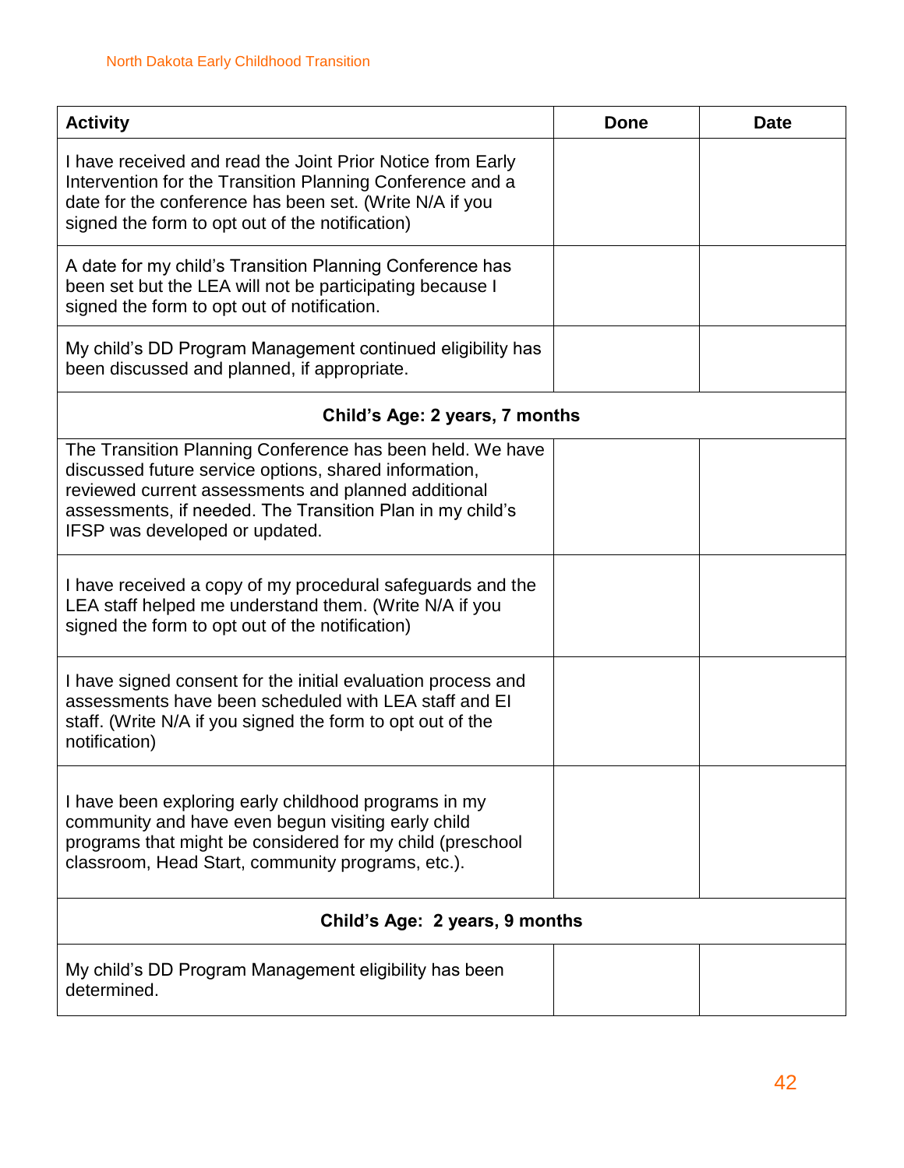| <b>Activity</b>                                                                                                                                                                                                                                                          | <b>Done</b> | <b>Date</b> |
|--------------------------------------------------------------------------------------------------------------------------------------------------------------------------------------------------------------------------------------------------------------------------|-------------|-------------|
| I have received and read the Joint Prior Notice from Early<br>Intervention for the Transition Planning Conference and a<br>date for the conference has been set. (Write N/A if you<br>signed the form to opt out of the notification)                                    |             |             |
| A date for my child's Transition Planning Conference has<br>been set but the LEA will not be participating because I<br>signed the form to opt out of notification.                                                                                                      |             |             |
| My child's DD Program Management continued eligibility has<br>been discussed and planned, if appropriate.                                                                                                                                                                |             |             |
| Child's Age: 2 years, 7 months                                                                                                                                                                                                                                           |             |             |
| The Transition Planning Conference has been held. We have<br>discussed future service options, shared information,<br>reviewed current assessments and planned additional<br>assessments, if needed. The Transition Plan in my child's<br>IFSP was developed or updated. |             |             |
| I have received a copy of my procedural safeguards and the<br>LEA staff helped me understand them. (Write N/A if you<br>signed the form to opt out of the notification)                                                                                                  |             |             |
| I have signed consent for the initial evaluation process and<br>assessments have been scheduled with LEA staff and EI<br>staff. (Write N/A if you signed the form to opt out of the<br>notification)                                                                     |             |             |
| I have been exploring early childhood programs in my<br>community and have even begun visiting early child<br>programs that might be considered for my child (preschool<br>classroom, Head Start, community programs, etc.).                                             |             |             |
| Child's Age: 2 years, 9 months                                                                                                                                                                                                                                           |             |             |
| My child's DD Program Management eligibility has been<br>determined.                                                                                                                                                                                                     |             |             |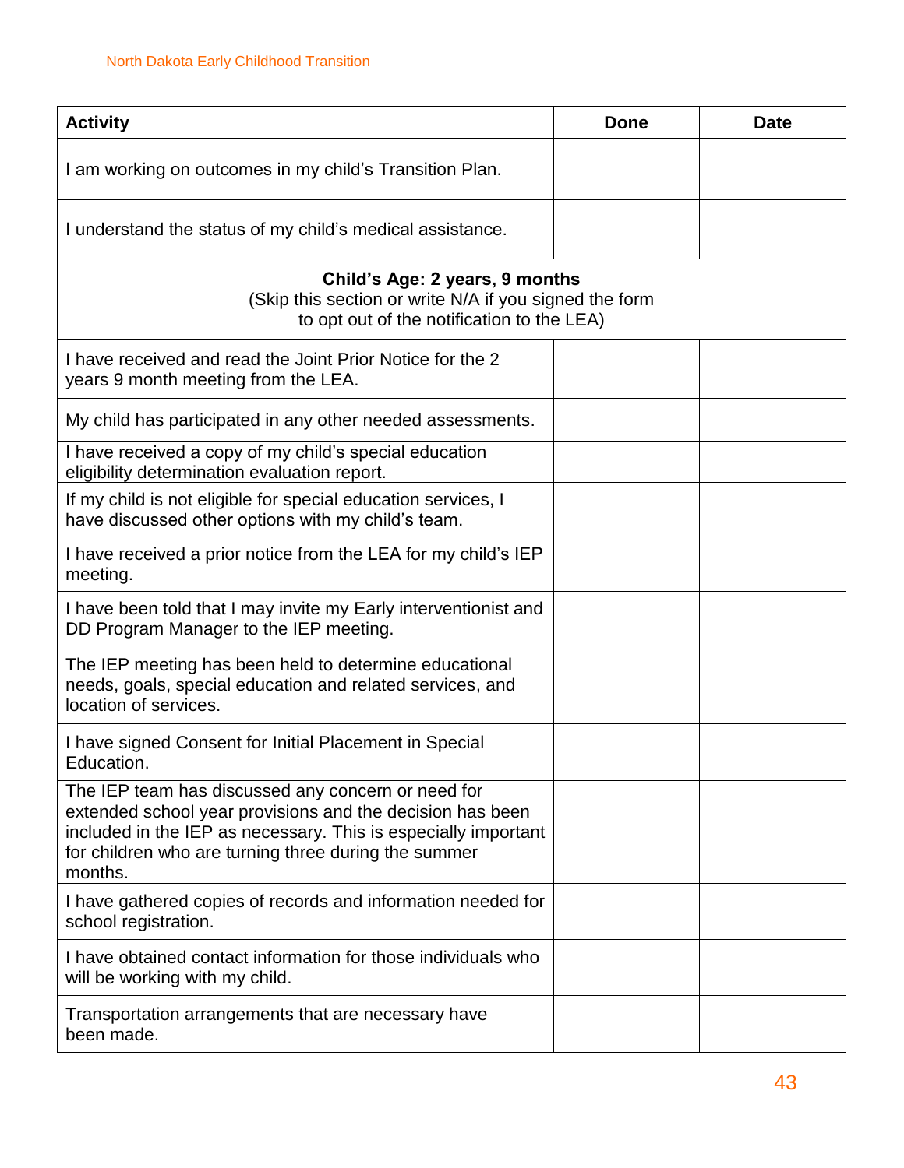| <b>Activity</b>                                                                                                                                                                                                                                      | <b>Done</b> | <b>Date</b> |
|------------------------------------------------------------------------------------------------------------------------------------------------------------------------------------------------------------------------------------------------------|-------------|-------------|
| I am working on outcomes in my child's Transition Plan.                                                                                                                                                                                              |             |             |
| I understand the status of my child's medical assistance.                                                                                                                                                                                            |             |             |
| Child's Age: 2 years, 9 months<br>(Skip this section or write N/A if you signed the form<br>to opt out of the notification to the LEA)                                                                                                               |             |             |
| I have received and read the Joint Prior Notice for the 2<br>years 9 month meeting from the LEA.                                                                                                                                                     |             |             |
| My child has participated in any other needed assessments.                                                                                                                                                                                           |             |             |
| I have received a copy of my child's special education<br>eligibility determination evaluation report.                                                                                                                                               |             |             |
| If my child is not eligible for special education services, I<br>have discussed other options with my child's team.                                                                                                                                  |             |             |
| I have received a prior notice from the LEA for my child's IEP<br>meeting.                                                                                                                                                                           |             |             |
| I have been told that I may invite my Early interventionist and<br>DD Program Manager to the IEP meeting.                                                                                                                                            |             |             |
| The IEP meeting has been held to determine educational<br>needs, goals, special education and related services, and<br>location of services.                                                                                                         |             |             |
| I have signed Consent for Initial Placement in Special<br>Education.                                                                                                                                                                                 |             |             |
| The IEP team has discussed any concern or need for<br>extended school year provisions and the decision has been<br>included in the IEP as necessary. This is especially important<br>for children who are turning three during the summer<br>months. |             |             |
| I have gathered copies of records and information needed for<br>school registration.                                                                                                                                                                 |             |             |
| I have obtained contact information for those individuals who<br>will be working with my child.                                                                                                                                                      |             |             |
| Transportation arrangements that are necessary have<br>been made.                                                                                                                                                                                    |             |             |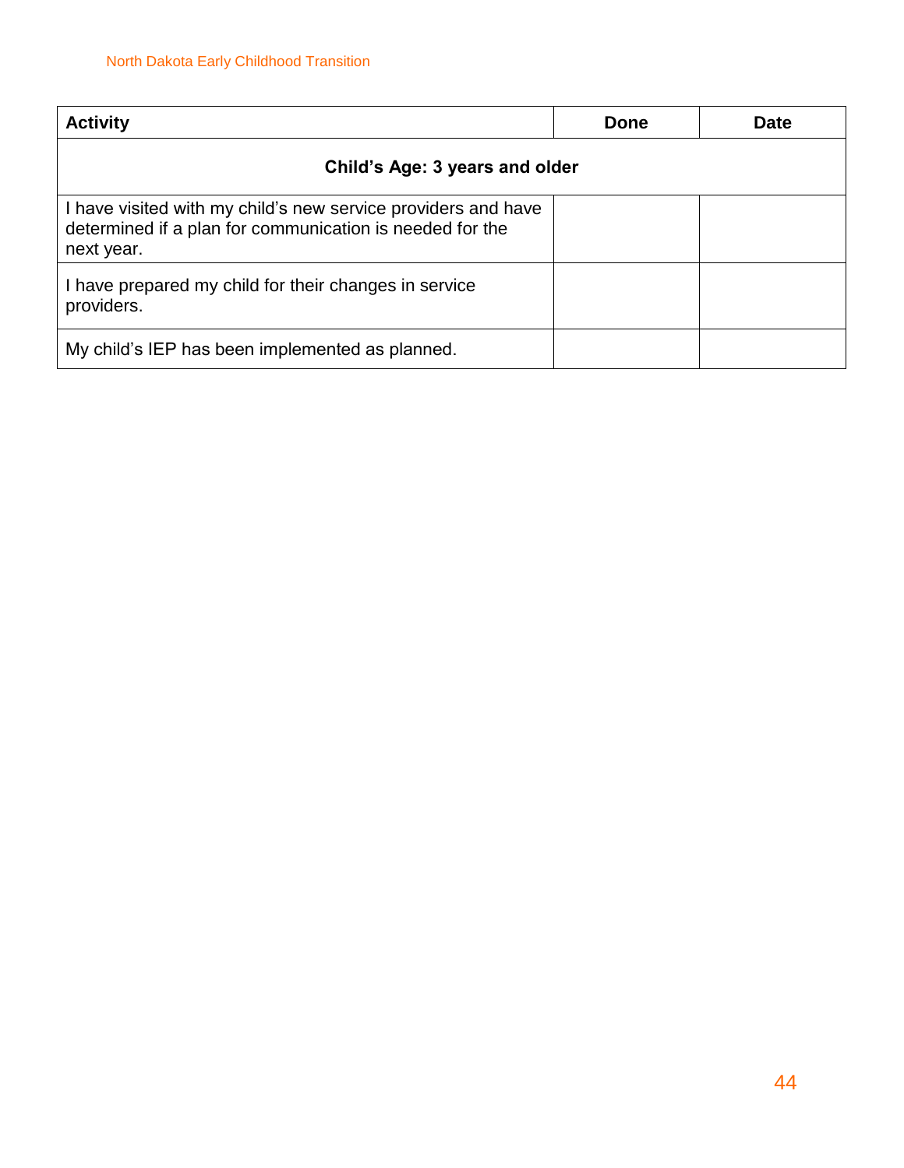| <b>Activity</b>                                                                                                                         | Done | <b>Date</b> |
|-----------------------------------------------------------------------------------------------------------------------------------------|------|-------------|
| Child's Age: 3 years and older                                                                                                          |      |             |
| I have visited with my child's new service providers and have<br>determined if a plan for communication is needed for the<br>next year. |      |             |
| I have prepared my child for their changes in service<br>providers.                                                                     |      |             |
| My child's IEP has been implemented as planned.                                                                                         |      |             |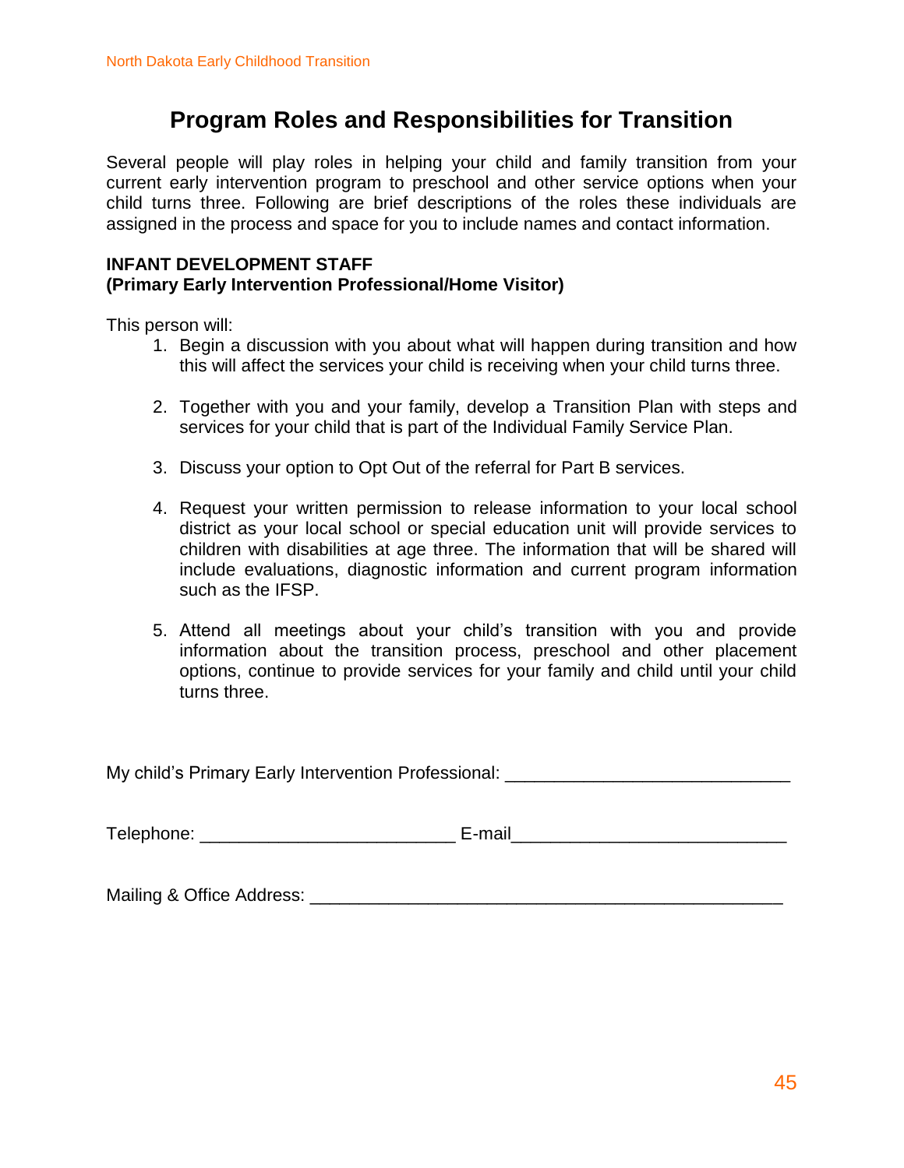### **Program Roles and Responsibilities for Transition**

Several people will play roles in helping your child and family transition from your current early intervention program to preschool and other service options when your child turns three. Following are brief descriptions of the roles these individuals are assigned in the process and space for you to include names and contact information.

#### **INFANT DEVELOPMENT STAFF (Primary Early Intervention Professional/Home Visitor)**

This person will:

- 1. Begin a discussion with you about what will happen during transition and how this will affect the services your child is receiving when your child turns three.
- 2. Together with you and your family, develop a Transition Plan with steps and services for your child that is part of the Individual Family Service Plan.
- 3. Discuss your option to Opt Out of the referral for Part B services.
- 4. Request your written permission to release information to your local school district as your local school or special education unit will provide services to children with disabilities at age three. The information that will be shared will include evaluations, diagnostic information and current program information such as the IFSP.
- 5. Attend all meetings about your child's transition with you and provide information about the transition process, preschool and other placement options, continue to provide services for your family and child until your child turns three.

My child's Primary Early Intervention Professional: \_\_\_\_\_\_\_\_\_\_\_\_\_\_\_\_\_\_\_\_\_\_\_\_\_\_\_\_

Telephone: \_\_\_\_\_\_\_\_\_\_\_\_\_\_\_\_\_\_\_\_\_\_\_\_\_\_ E-mail\_\_\_\_\_\_\_\_\_\_\_\_\_\_\_\_\_\_\_\_\_\_\_\_\_\_\_\_

Mailing & Office Address: \_\_\_\_\_\_\_\_\_\_\_\_\_\_\_\_\_\_\_\_\_\_\_\_\_\_\_\_\_\_\_\_\_\_\_\_\_\_\_\_\_\_\_\_\_\_\_\_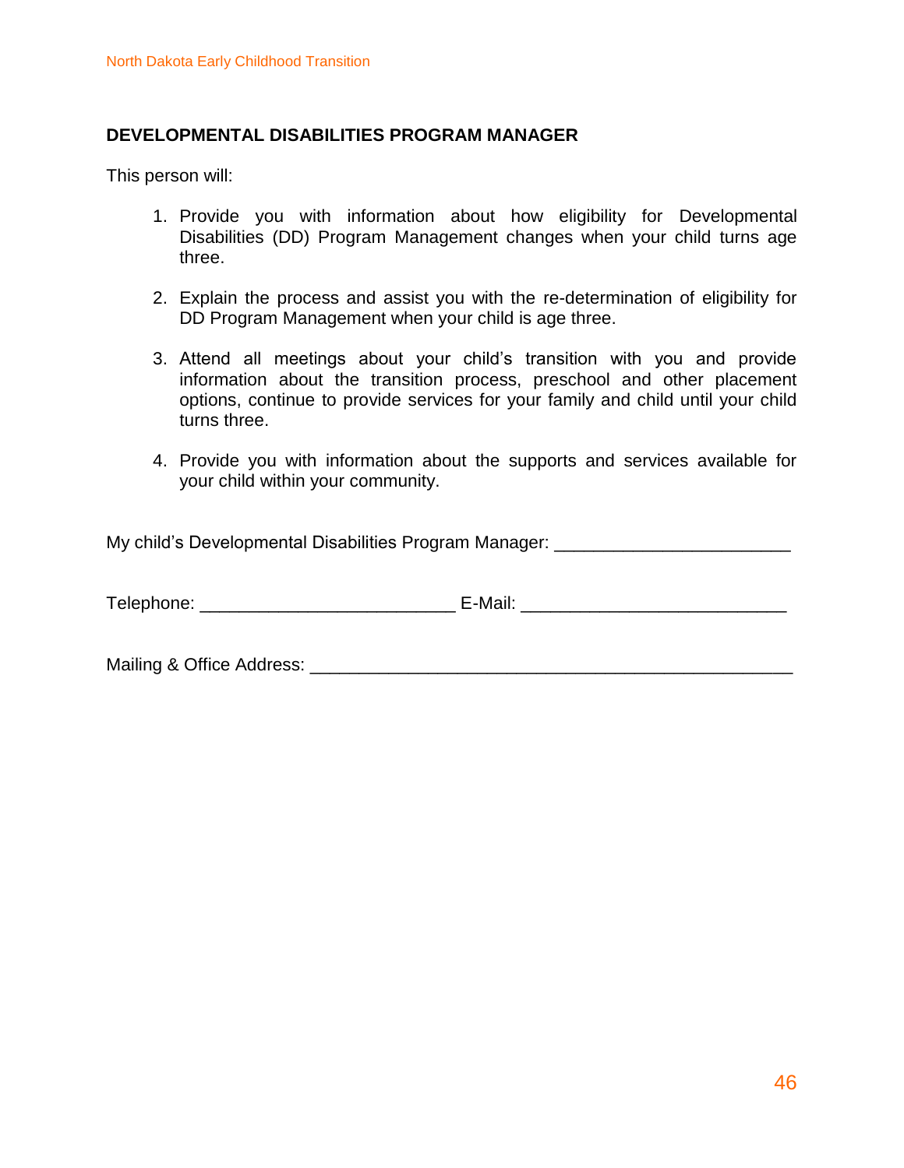#### **DEVELOPMENTAL DISABILITIES PROGRAM MANAGER**

This person will:

- 1. Provide you with information about how eligibility for Developmental Disabilities (DD) Program Management changes when your child turns age three.
- 2. Explain the process and assist you with the re-determination of eligibility for DD Program Management when your child is age three.
- 3. Attend all meetings about your child's transition with you and provide information about the transition process, preschool and other placement options, continue to provide services for your family and child until your child turns three.
- 4. Provide you with information about the supports and services available for your child within your community.

My child's Developmental Disabilities Program Manager: \_\_\_\_\_\_\_\_\_\_\_\_\_\_\_\_\_\_\_\_\_\_\_\_\_

Telephone: The E-Mail: Telephone: The E-Mail:  $E - M$ 

Mailing & Office Address: \_\_\_\_\_\_\_\_\_\_\_\_\_\_\_\_\_\_\_\_\_\_\_\_\_\_\_\_\_\_\_\_\_\_\_\_\_\_\_\_\_\_\_\_\_\_\_\_\_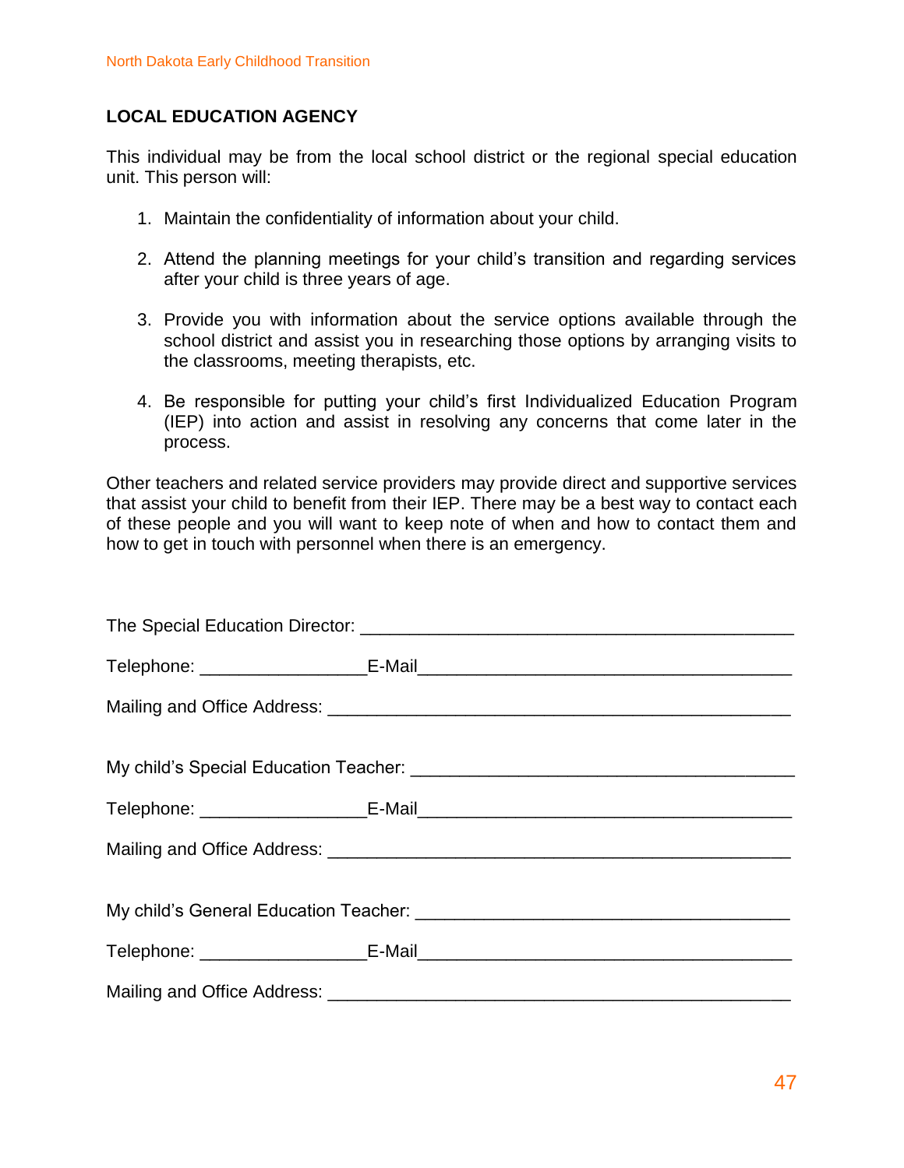#### **LOCAL EDUCATION AGENCY**

This individual may be from the local school district or the regional special education unit. This person will:

- 1. Maintain the confidentiality of information about your child.
- 2. Attend the planning meetings for your child's transition and regarding services after your child is three years of age.
- 3. Provide you with information about the service options available through the school district and assist you in researching those options by arranging visits to the classrooms, meeting therapists, etc.
- 4. Be responsible for putting your child's first Individualized Education Program (IEP) into action and assist in resolving any concerns that come later in the process.

Other teachers and related service providers may provide direct and supportive services that assist your child to benefit from their IEP. There may be a best way to contact each of these people and you will want to keep note of when and how to contact them and how to get in touch with personnel when there is an emergency.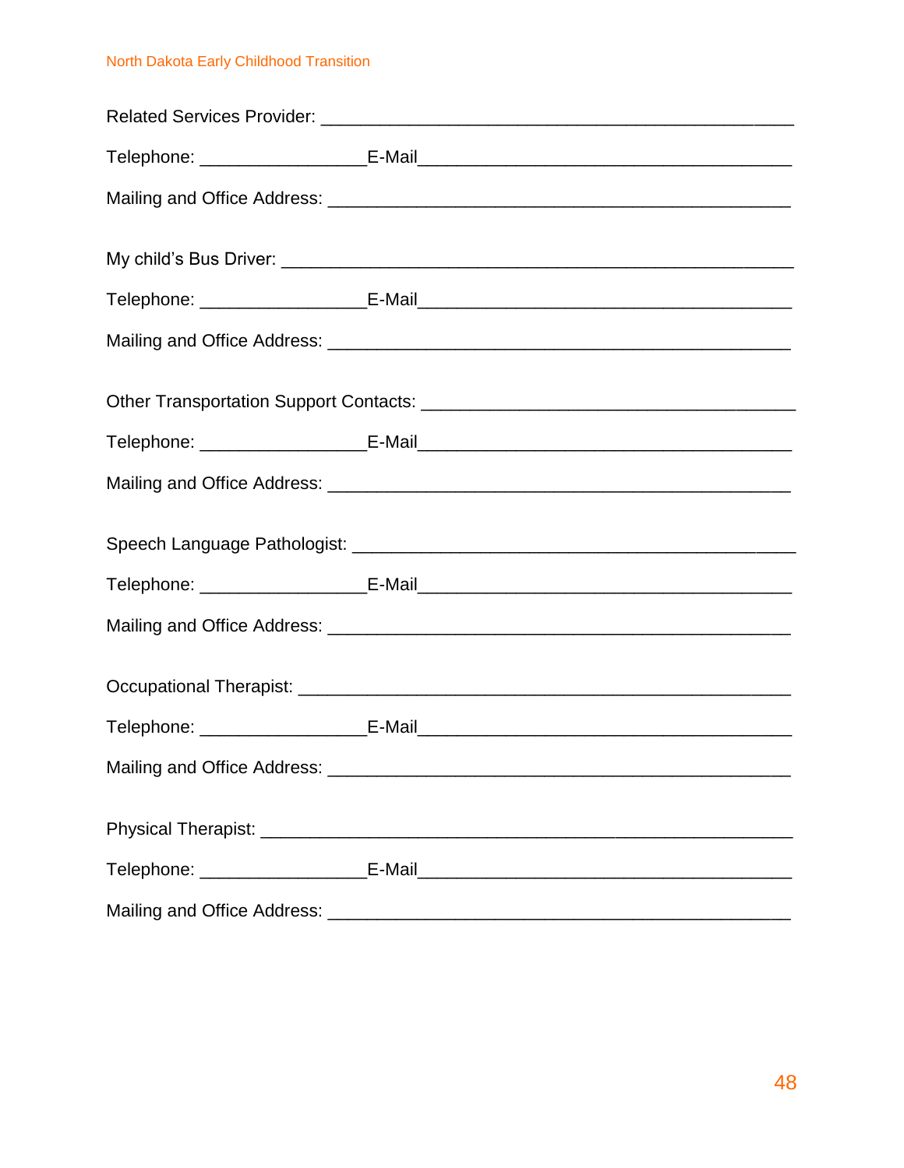#### North Dakota Early Childhood Transition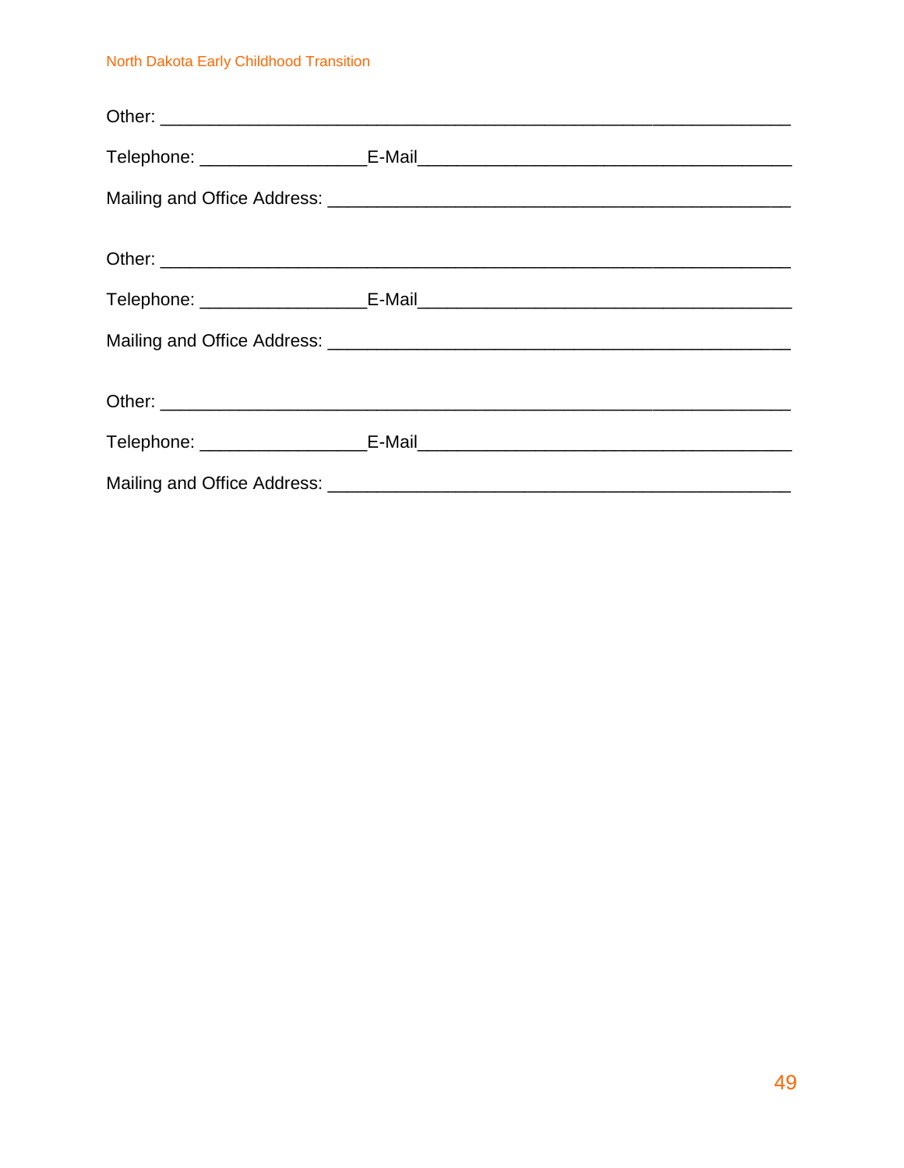#### North Dakota Early Childhood Transition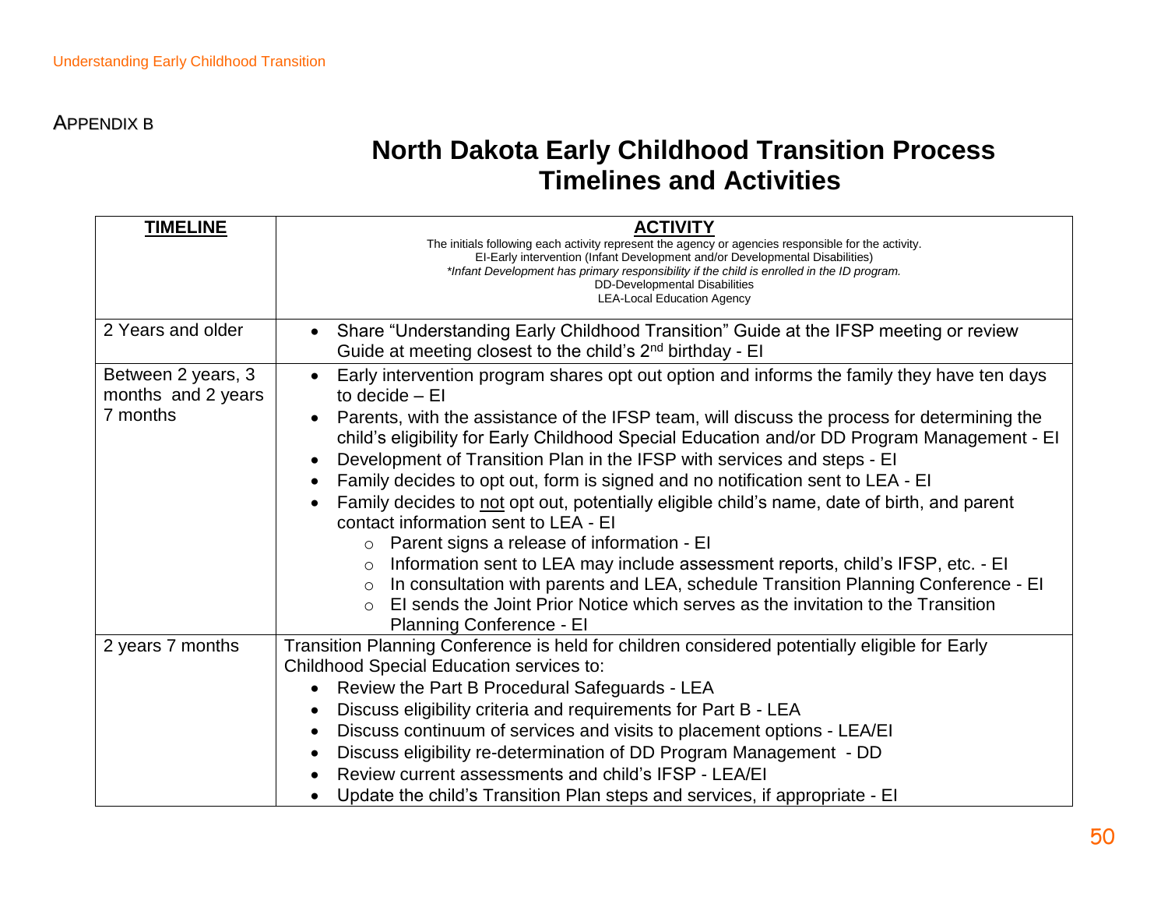### **North Dakota Early Childhood Transition Process Timelines and Activities**

| <b>TIMELINE</b>                          | <b>ACTIVITY</b><br>The initials following each activity represent the agency or agencies responsible for the activity.<br>EI-Early intervention (Infant Development and/or Developmental Disabilities)<br>*Infant Development has primary responsibility if the child is enrolled in the ID program.<br>DD-Developmental Disabilities |  |  |
|------------------------------------------|---------------------------------------------------------------------------------------------------------------------------------------------------------------------------------------------------------------------------------------------------------------------------------------------------------------------------------------|--|--|
|                                          | <b>LEA-Local Education Agency</b>                                                                                                                                                                                                                                                                                                     |  |  |
| 2 Years and older                        | Share "Understanding Early Childhood Transition" Guide at the IFSP meeting or review<br>$\bullet$<br>Guide at meeting closest to the child's 2 <sup>nd</sup> birthday - El                                                                                                                                                            |  |  |
| Between 2 years, 3<br>months and 2 years | Early intervention program shares opt out option and informs the family they have ten days<br>to decide $-$ El                                                                                                                                                                                                                        |  |  |
| 7 months                                 | Parents, with the assistance of the IFSP team, will discuss the process for determining the<br>child's eligibility for Early Childhood Special Education and/or DD Program Management - El<br>Development of Transition Plan in the IFSP with services and steps - EI                                                                 |  |  |
|                                          | Family decides to opt out, form is signed and no notification sent to LEA - EI                                                                                                                                                                                                                                                        |  |  |
|                                          | Family decides to not opt out, potentially eligible child's name, date of birth, and parent<br>contact information sent to LEA - EI                                                                                                                                                                                                   |  |  |
|                                          | $\circ$ Parent signs a release of information - El                                                                                                                                                                                                                                                                                    |  |  |
|                                          | Information sent to LEA may include assessment reports, child's IFSP, etc. - EI<br>$\circ$                                                                                                                                                                                                                                            |  |  |
|                                          | In consultation with parents and LEA, schedule Transition Planning Conference - EI<br>$\circ$                                                                                                                                                                                                                                         |  |  |
|                                          | El sends the Joint Prior Notice which serves as the invitation to the Transition<br>$\Omega$                                                                                                                                                                                                                                          |  |  |
|                                          | Planning Conference - El                                                                                                                                                                                                                                                                                                              |  |  |
| 2 years 7 months                         | Transition Planning Conference is held for children considered potentially eligible for Early                                                                                                                                                                                                                                         |  |  |
|                                          | Childhood Special Education services to:                                                                                                                                                                                                                                                                                              |  |  |
|                                          | Review the Part B Procedural Safeguards - LEA                                                                                                                                                                                                                                                                                         |  |  |
|                                          | Discuss eligibility criteria and requirements for Part B - LEA<br>Discuss continuum of services and visits to placement options - LEA/EI                                                                                                                                                                                              |  |  |
|                                          |                                                                                                                                                                                                                                                                                                                                       |  |  |
|                                          | Discuss eligibility re-determination of DD Program Management - DD                                                                                                                                                                                                                                                                    |  |  |
|                                          | Review current assessments and child's IFSP - LEA/EI                                                                                                                                                                                                                                                                                  |  |  |
|                                          | Update the child's Transition Plan steps and services, if appropriate - El                                                                                                                                                                                                                                                            |  |  |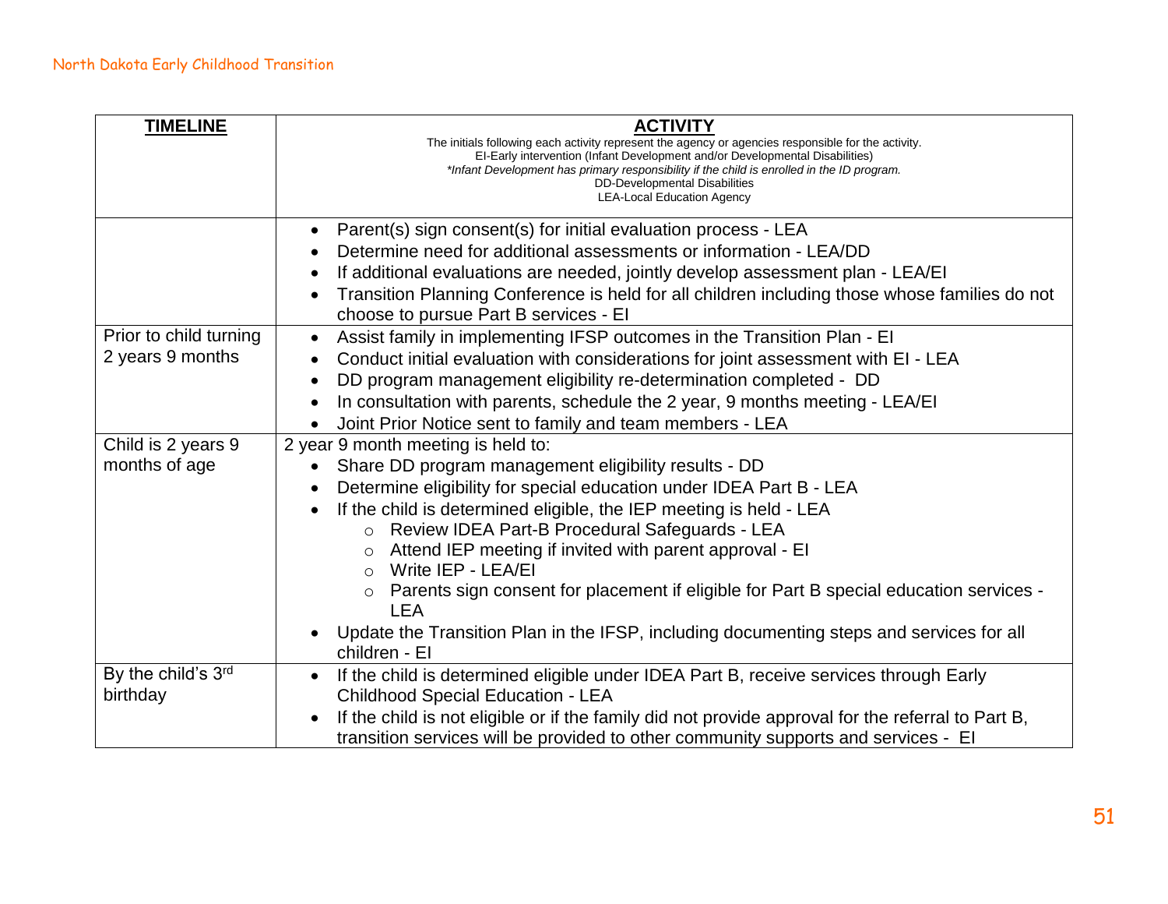| <b>TIMELINE</b>        | <b>ACTIVITY</b><br>The initials following each activity represent the agency or agencies responsible for the activity.<br>EI-Early intervention (Infant Development and/or Developmental Disabilities)<br>*Infant Development has primary responsibility if the child is enrolled in the ID program.<br>DD-Developmental Disabilities<br><b>LEA-Local Education Agency</b> |  |
|------------------------|----------------------------------------------------------------------------------------------------------------------------------------------------------------------------------------------------------------------------------------------------------------------------------------------------------------------------------------------------------------------------|--|
|                        |                                                                                                                                                                                                                                                                                                                                                                            |  |
|                        | Parent(s) sign consent(s) for initial evaluation process - LEA                                                                                                                                                                                                                                                                                                             |  |
|                        | Determine need for additional assessments or information - LEA/DD                                                                                                                                                                                                                                                                                                          |  |
|                        | If additional evaluations are needed, jointly develop assessment plan - LEA/EI                                                                                                                                                                                                                                                                                             |  |
|                        | Transition Planning Conference is held for all children including those whose families do not                                                                                                                                                                                                                                                                              |  |
|                        | choose to pursue Part B services - El                                                                                                                                                                                                                                                                                                                                      |  |
| Prior to child turning | Assist family in implementing IFSP outcomes in the Transition Plan - EI<br>$\bullet$                                                                                                                                                                                                                                                                                       |  |
| 2 years 9 months       | Conduct initial evaluation with considerations for joint assessment with EI - LEA                                                                                                                                                                                                                                                                                          |  |
|                        | DD program management eligibility re-determination completed - DD<br>$\bullet$                                                                                                                                                                                                                                                                                             |  |
|                        | In consultation with parents, schedule the 2 year, 9 months meeting - LEA/EI                                                                                                                                                                                                                                                                                               |  |
|                        | Joint Prior Notice sent to family and team members - LEA                                                                                                                                                                                                                                                                                                                   |  |
| Child is 2 years 9     | 2 year 9 month meeting is held to:                                                                                                                                                                                                                                                                                                                                         |  |
| months of age          | Share DD program management eligibility results - DD                                                                                                                                                                                                                                                                                                                       |  |
|                        | Determine eligibility for special education under IDEA Part B - LEA                                                                                                                                                                                                                                                                                                        |  |
|                        | If the child is determined eligible, the IEP meeting is held - LEA                                                                                                                                                                                                                                                                                                         |  |
|                        | Review IDEA Part-B Procedural Safeguards - LEA                                                                                                                                                                                                                                                                                                                             |  |
|                        | Attend IEP meeting if invited with parent approval - EI<br>$\circ$                                                                                                                                                                                                                                                                                                         |  |
|                        | Write IEP - LEA/EI<br>$\circ$                                                                                                                                                                                                                                                                                                                                              |  |
|                        | Parents sign consent for placement if eligible for Part B special education services -<br><b>LEA</b>                                                                                                                                                                                                                                                                       |  |
|                        | Update the Transition Plan in the IFSP, including documenting steps and services for all<br>children - El                                                                                                                                                                                                                                                                  |  |
| By the child's 3rd     | If the child is determined eligible under IDEA Part B, receive services through Early<br>$\bullet$                                                                                                                                                                                                                                                                         |  |
| birthday               | <b>Childhood Special Education - LEA</b>                                                                                                                                                                                                                                                                                                                                   |  |
|                        | If the child is not eligible or if the family did not provide approval for the referral to Part B,                                                                                                                                                                                                                                                                         |  |
|                        | transition services will be provided to other community supports and services - El                                                                                                                                                                                                                                                                                         |  |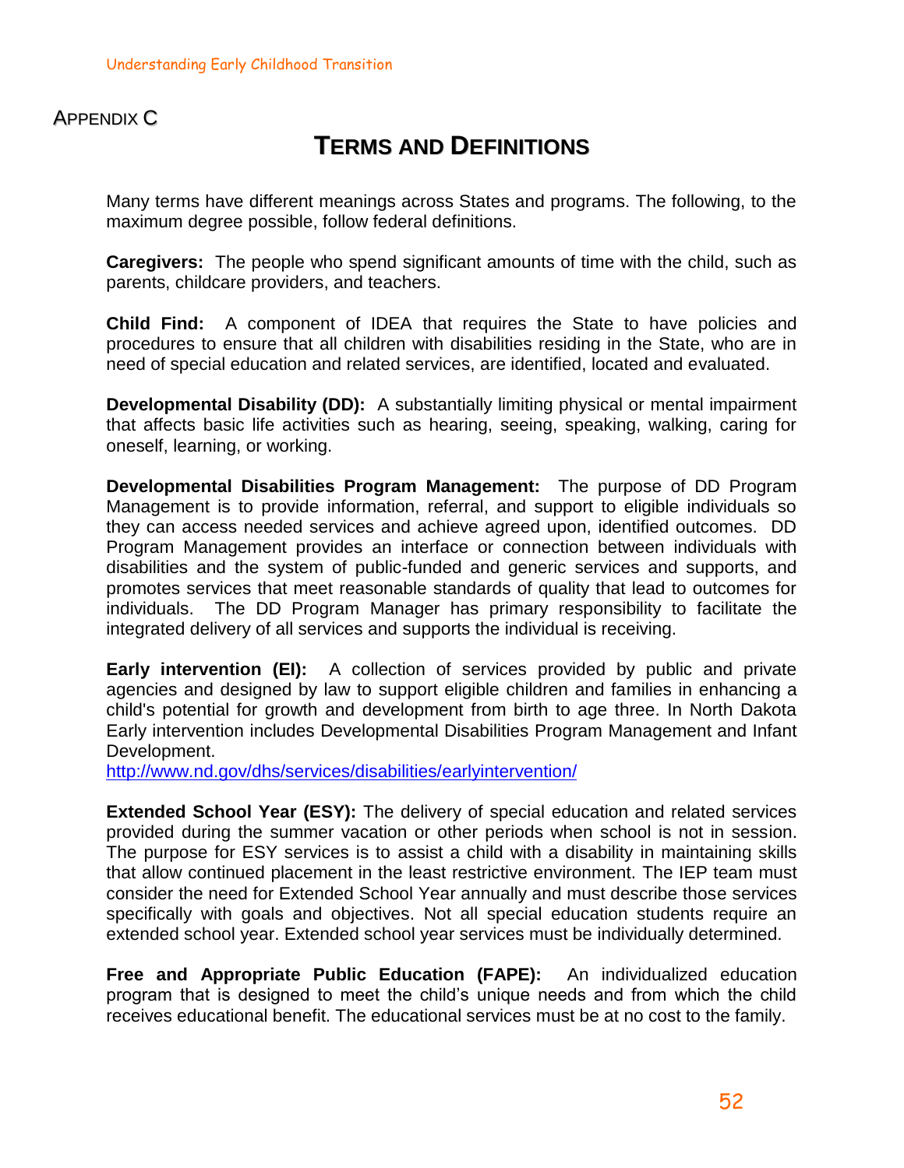#### APPENDIX C

### **TERMS AND DEFINITIONS**

Many terms have different meanings across States and programs. The following, to the maximum degree possible, follow federal definitions.

**Caregivers:** The people who spend significant amounts of time with the child, such as parents, childcare providers, and teachers.

**Child Find:** A component of IDEA that requires the State to have policies and procedures to ensure that all children with disabilities residing in the State, who are in need of special education and related services, are identified, located and evaluated.

**Developmental Disability (DD):** A substantially limiting physical or mental impairment that affects basic life activities such as hearing, seeing, speaking, walking, caring for oneself, learning, or working.

**Developmental Disabilities Program Management:** The purpose of DD Program Management is to provide information, referral, and support to eligible individuals so they can access needed services and achieve agreed upon, identified outcomes. DD Program Management provides an interface or connection between individuals with disabilities and the system of public-funded and generic services and supports, and promotes services that meet reasonable standards of quality that lead to outcomes for individuals. The DD Program Manager has primary responsibility to facilitate the integrated delivery of all services and supports the individual is receiving.

**Early intervention (EI):** A collection of services provided by public and private agencies and designed by law to support eligible children and families in enhancing a child's potential for growth and development from birth to age three. In North Dakota Early intervention includes Developmental Disabilities Program Management and Infant Development.

<http://www.nd.gov/dhs/services/disabilities/earlyintervention/>

**Extended School Year (ESY):** The delivery of special education and related services provided during the summer vacation or other periods when school is not in session. The purpose for ESY services is to assist a child with a disability in maintaining skills that allow continued placement in the least restrictive environment. The IEP team must consider the need for Extended School Year annually and must describe those services specifically with goals and objectives. Not all special education students require an extended school year. Extended school year services must be individually determined.

**Free and Appropriate Public Education (FAPE):** An individualized education program that is designed to meet the child's unique needs and from which the child receives educational benefit. The educational services must be at no cost to the family.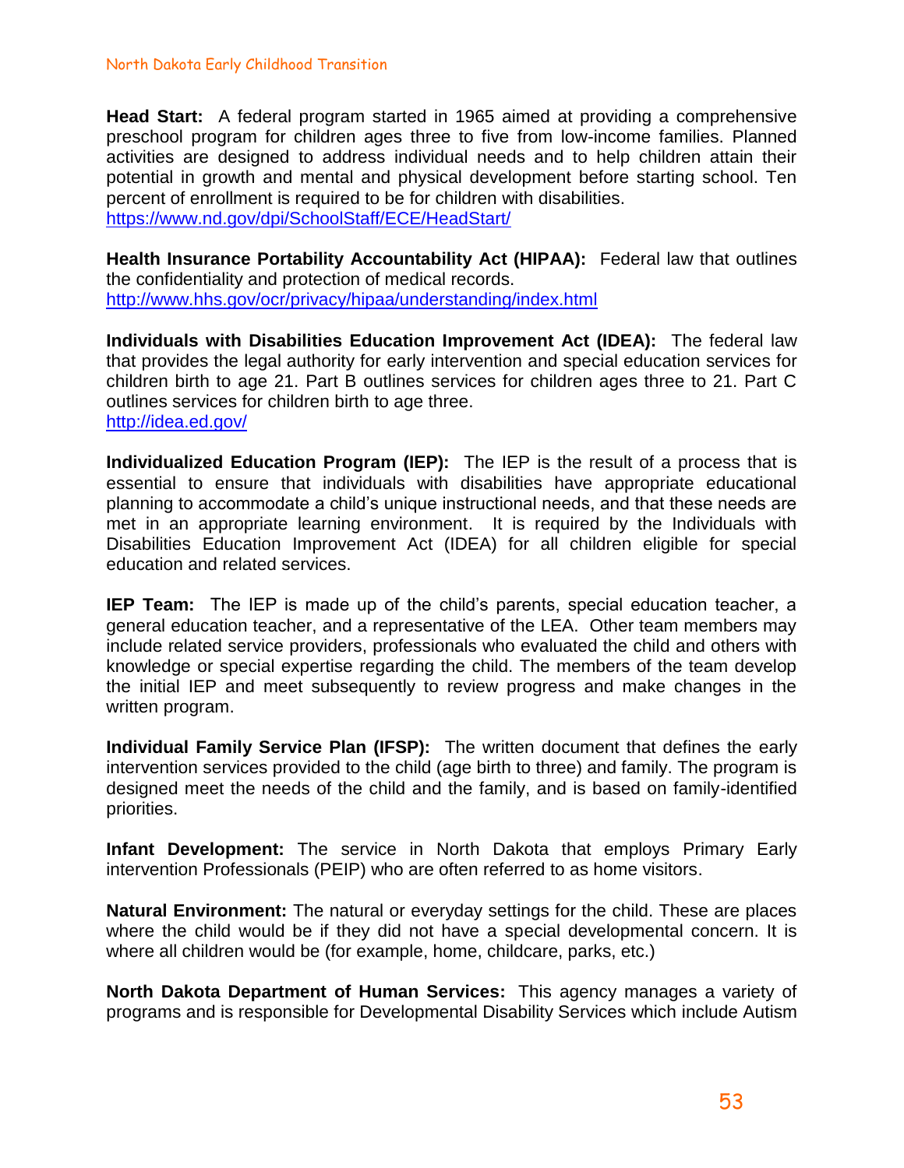#### North Dakota Early Childhood Transition

**Head Start:** A federal program started in 1965 aimed at providing a comprehensive preschool program for children ages three to five from low-income families. Planned activities are designed to address individual needs and to help children attain their potential in growth and mental and physical development before starting school. Ten percent of enrollment is required to be for children with disabilities. <https://www.nd.gov/dpi/SchoolStaff/ECE/HeadStart/>

**Health Insurance Portability Accountability Act (HIPAA):** Federal law that outlines the confidentiality and protection of medical records. <http://www.hhs.gov/ocr/privacy/hipaa/understanding/index.html>

**Individuals with Disabilities Education Improvement Act (IDEA):** The federal law that provides the legal authority for early intervention and special education services for children birth to age 21. Part B outlines services for children ages three to 21. Part C outlines services for children birth to age three. <http://idea.ed.gov/>

**Individualized Education Program (IEP):** The IEP is the result of a process that is essential to ensure that individuals with disabilities have appropriate educational planning to accommodate a child's unique instructional needs, and that these needs are met in an appropriate learning environment. It is required by the Individuals with Disabilities Education Improvement Act (IDEA) for all children eligible for special education and related services.

**IEP Team:** The IEP is made up of the child's parents, special education teacher, a general education teacher, and a representative of the LEA. Other team members may include related service providers, professionals who evaluated the child and others with knowledge or special expertise regarding the child. The members of the team develop the initial IEP and meet subsequently to review progress and make changes in the written program.

**Individual Family Service Plan (IFSP):** The written document that defines the early intervention services provided to the child (age birth to three) and family. The program is designed meet the needs of the child and the family, and is based on family-identified priorities.

**Infant Development:** The service in North Dakota that employs Primary Early intervention Professionals (PEIP) who are often referred to as home visitors.

**Natural Environment:** The natural or everyday settings for the child. These are places where the child would be if they did not have a special developmental concern. It is where all children would be (for example, home, childcare, parks, etc.)

**North Dakota Department of Human Services:** This agency manages a variety of programs and is responsible for Developmental Disability Services which include Autism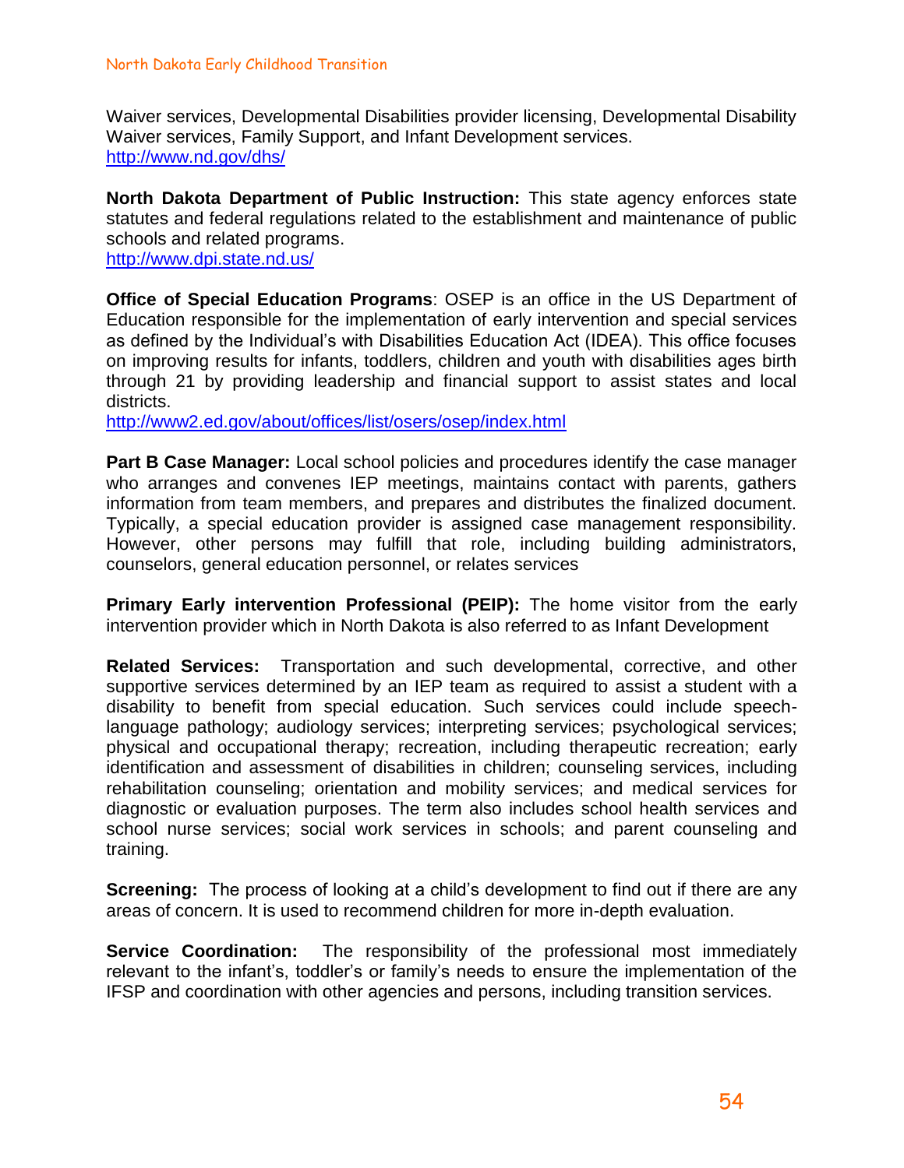Waiver services, Developmental Disabilities provider licensing, Developmental Disability Waiver services, Family Support, and Infant Development services. <http://www.nd.gov/dhs/>

**North Dakota Department of Public Instruction:** This state agency enforces state statutes and federal regulations related to the establishment and maintenance of public schools and related programs.

<http://www.dpi.state.nd.us/>

**Office of Special Education Programs**: OSEP is an office in the US Department of Education responsible for the implementation of early intervention and special services as defined by the Individual's with Disabilities Education Act (IDEA). This office focuses on improving results for infants, toddlers, children and youth with disabilities ages birth through 21 by providing leadership and financial support to assist states and local districts.

<http://www2.ed.gov/about/offices/list/osers/osep/index.html>

**Part B Case Manager:** Local school policies and procedures identify the case manager who arranges and convenes IEP meetings, maintains contact with parents, gathers information from team members, and prepares and distributes the finalized document. Typically, a special education provider is assigned case management responsibility. However, other persons may fulfill that role, including building administrators, counselors, general education personnel, or relates services

**Primary Early intervention Professional (PEIP):** The home visitor from the early intervention provider which in North Dakota is also referred to as Infant Development

**Related Services:** Transportation and such developmental, corrective, and other supportive services determined by an IEP team as required to assist a student with a disability to benefit from special education. Such services could include speechlanguage pathology; audiology services; interpreting services; psychological services; physical and occupational therapy; recreation, including therapeutic recreation; early identification and assessment of disabilities in children; counseling services, including rehabilitation counseling; orientation and mobility services; and medical services for diagnostic or evaluation purposes. The term also includes school health services and school nurse services; social work services in schools; and parent counseling and training.

**Screening:** The process of looking at a child's development to find out if there are any areas of concern. It is used to recommend children for more in-depth evaluation.

**Service Coordination:** The responsibility of the professional most immediately relevant to the infant's, toddler's or family's needs to ensure the implementation of the IFSP and coordination with other agencies and persons, including transition services.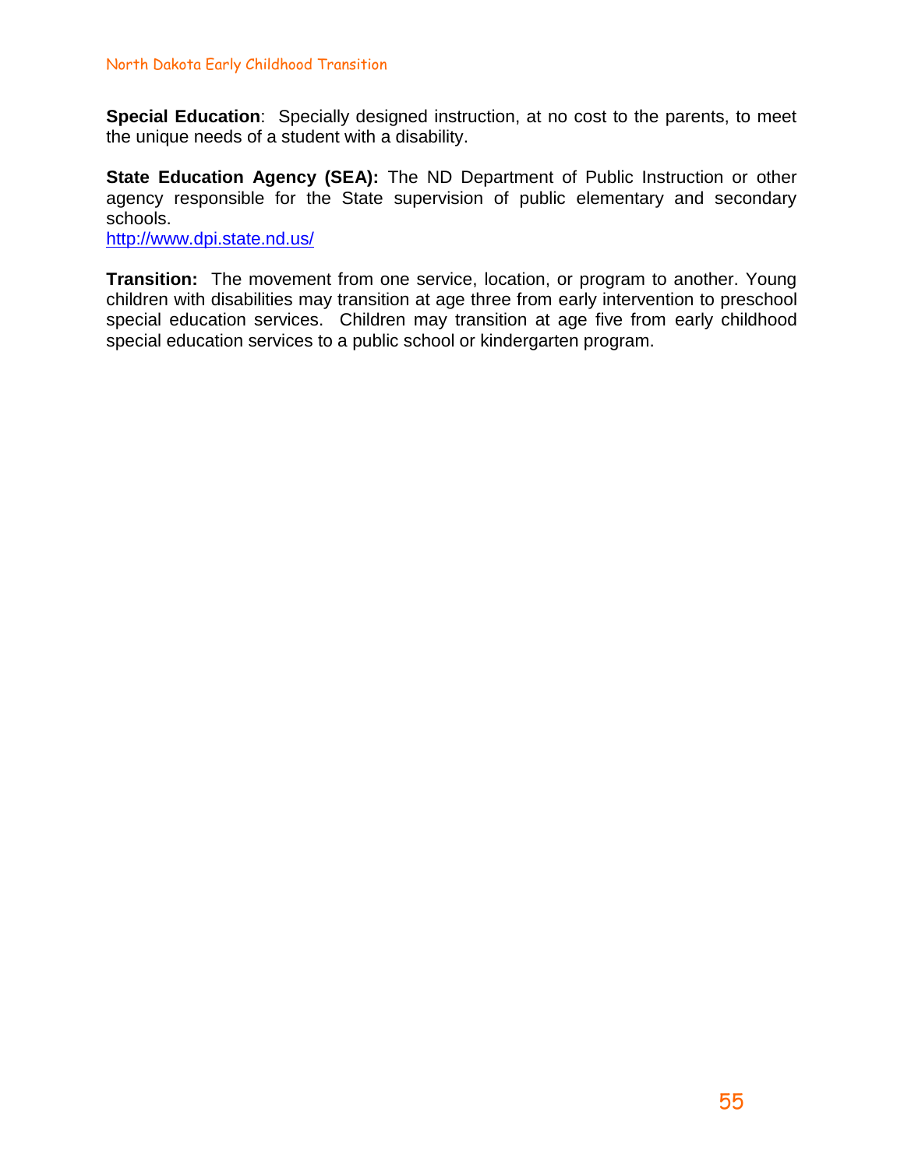**Special Education**: Specially designed instruction, at no cost to the parents, to meet the unique needs of a student with a disability.

**State Education Agency (SEA):** The ND Department of Public Instruction or other agency responsible for the State supervision of public elementary and secondary schools.

<http://www.dpi.state.nd.us/>

**Transition:** The movement from one service, location, or program to another. Young children with disabilities may transition at age three from early intervention to preschool special education services. Children may transition at age five from early childhood special education services to a public school or kindergarten program.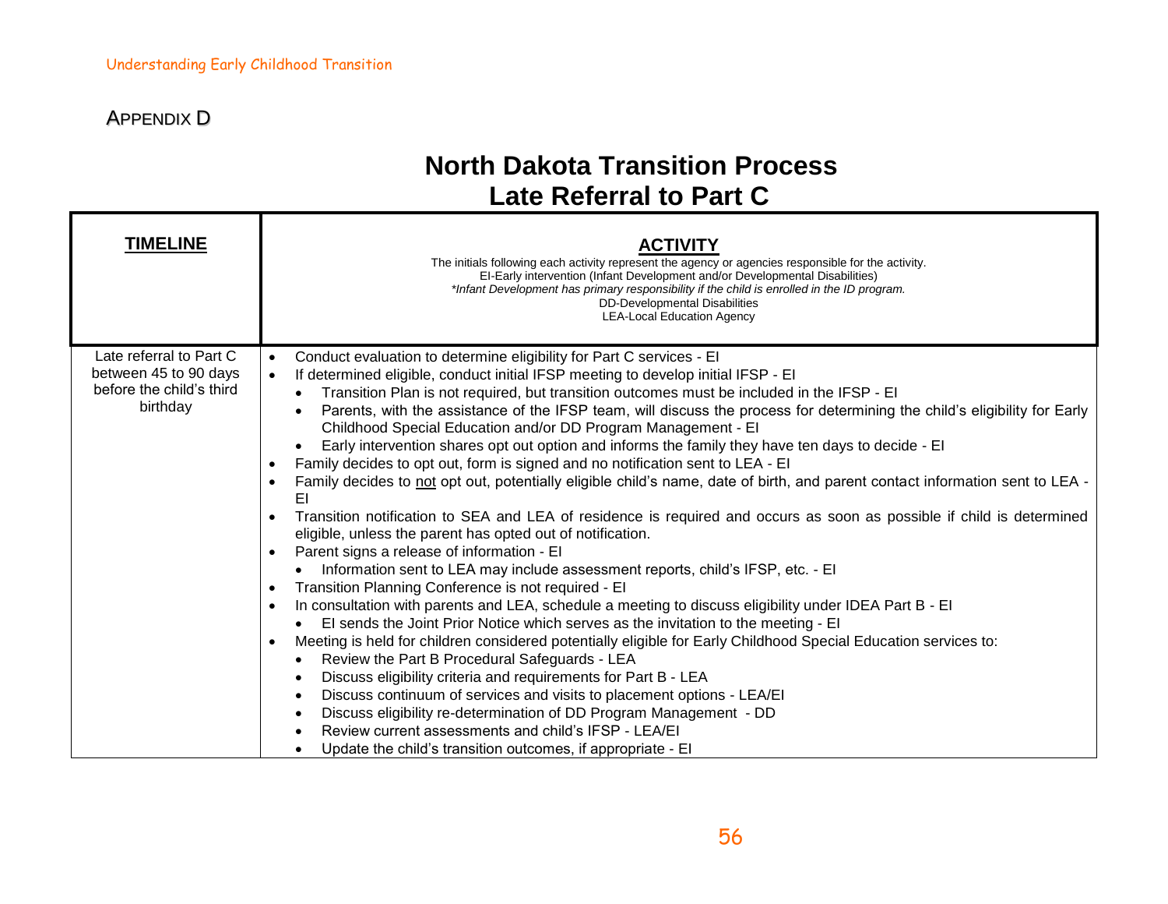т

### APPENDIX D

### **North Dakota Transition Process Late Referral to Part C**

| <b>TIMELINE</b>                                                                          | ACTIVITY<br>The initials following each activity represent the agency or agencies responsible for the activity.<br>EI-Early intervention (Infant Development and/or Developmental Disabilities)<br>*Infant Development has primary responsibility if the child is enrolled in the ID program.<br><b>DD-Developmental Disabilities</b><br><b>LEA-Local Education Agency</b>                                                                                                                                                                                                                                                                                                                                                                                                                                                                                                                                                                                                                                                                                                                                                                                                                                                                                                                                                                                                                                                                                                                                                                                                                                                                                                                                                                                                                                                                                                                                                                                                              |
|------------------------------------------------------------------------------------------|-----------------------------------------------------------------------------------------------------------------------------------------------------------------------------------------------------------------------------------------------------------------------------------------------------------------------------------------------------------------------------------------------------------------------------------------------------------------------------------------------------------------------------------------------------------------------------------------------------------------------------------------------------------------------------------------------------------------------------------------------------------------------------------------------------------------------------------------------------------------------------------------------------------------------------------------------------------------------------------------------------------------------------------------------------------------------------------------------------------------------------------------------------------------------------------------------------------------------------------------------------------------------------------------------------------------------------------------------------------------------------------------------------------------------------------------------------------------------------------------------------------------------------------------------------------------------------------------------------------------------------------------------------------------------------------------------------------------------------------------------------------------------------------------------------------------------------------------------------------------------------------------------------------------------------------------------------------------------------------------|
| Late referral to Part C<br>between 45 to 90 days<br>before the child's third<br>birthday | Conduct evaluation to determine eligibility for Part C services - El<br>$\bullet$<br>If determined eligible, conduct initial IFSP meeting to develop initial IFSP - EI<br>$\bullet$<br>Transition Plan is not required, but transition outcomes must be included in the IFSP - EI<br>Parents, with the assistance of the IFSP team, will discuss the process for determining the child's eligibility for Early<br>Childhood Special Education and/or DD Program Management - El<br>Early intervention shares opt out option and informs the family they have ten days to decide - El<br>Family decides to opt out, form is signed and no notification sent to LEA - EI<br>$\bullet$<br>Family decides to not opt out, potentially eligible child's name, date of birth, and parent contact information sent to LEA -<br>$\bullet$<br>EI<br>Transition notification to SEA and LEA of residence is required and occurs as soon as possible if child is determined<br>eligible, unless the parent has opted out of notification.<br>Parent signs a release of information - El<br>$\bullet$<br>Information sent to LEA may include assessment reports, child's IFSP, etc. - EI<br>Transition Planning Conference is not required - El<br>$\bullet$<br>In consultation with parents and LEA, schedule a meeting to discuss eligibility under IDEA Part B - EI<br>$\bullet$<br>El sends the Joint Prior Notice which serves as the invitation to the meeting - El<br>Meeting is held for children considered potentially eligible for Early Childhood Special Education services to:<br>$\bullet$<br>Review the Part B Procedural Safeguards - LEA<br>Discuss eligibility criteria and requirements for Part B - LEA<br>Discuss continuum of services and visits to placement options - LEA/EI<br>Discuss eligibility re-determination of DD Program Management - DD<br>Review current assessments and child's IFSP - LEA/EI<br>Update the child's transition outcomes, if appropriate - El |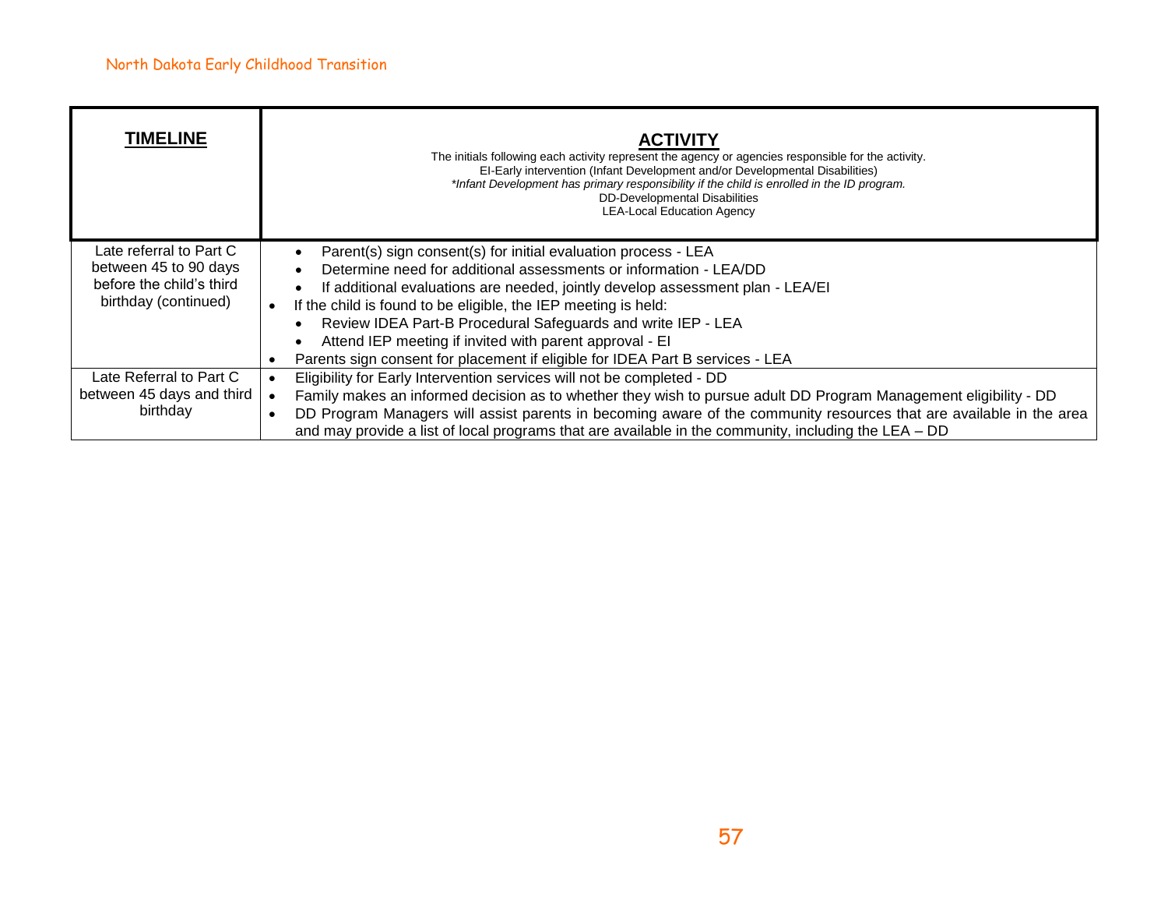| <b>TIMELINE</b>                                                                                      | <b>ACTIVITY</b><br>The initials following each activity represent the agency or agencies responsible for the activity.<br>EI-Early intervention (Infant Development and/or Developmental Disabilities)<br>*Infant Development has primary responsibility if the child is enrolled in the ID program.<br><b>DD-Developmental Disabilities</b><br><b>LEA-Local Education Agency</b>                                                                                                                                             |
|------------------------------------------------------------------------------------------------------|-------------------------------------------------------------------------------------------------------------------------------------------------------------------------------------------------------------------------------------------------------------------------------------------------------------------------------------------------------------------------------------------------------------------------------------------------------------------------------------------------------------------------------|
| Late referral to Part C<br>between 45 to 90 days<br>before the child's third<br>birthday (continued) | Parent(s) sign consent(s) for initial evaluation process - LEA<br>Determine need for additional assessments or information - LEA/DD<br>If additional evaluations are needed, jointly develop assessment plan - LEA/EI<br>If the child is found to be eligible, the IEP meeting is held:<br>Review IDEA Part-B Procedural Safeguards and write IEP - LEA<br>$\bullet$<br>Attend IEP meeting if invited with parent approval - EI<br>$\bullet$<br>Parents sign consent for placement if eligible for IDEA Part B services - LEA |
| Late Referral to Part C<br>between 45 days and third<br>birthday                                     | Eligibility for Early Intervention services will not be completed - DD<br>Family makes an informed decision as to whether they wish to pursue adult DD Program Management eligibility - DD<br>DD Program Managers will assist parents in becoming aware of the community resources that are available in the area<br>and may provide a list of local programs that are available in the community, including the LEA - DD                                                                                                     |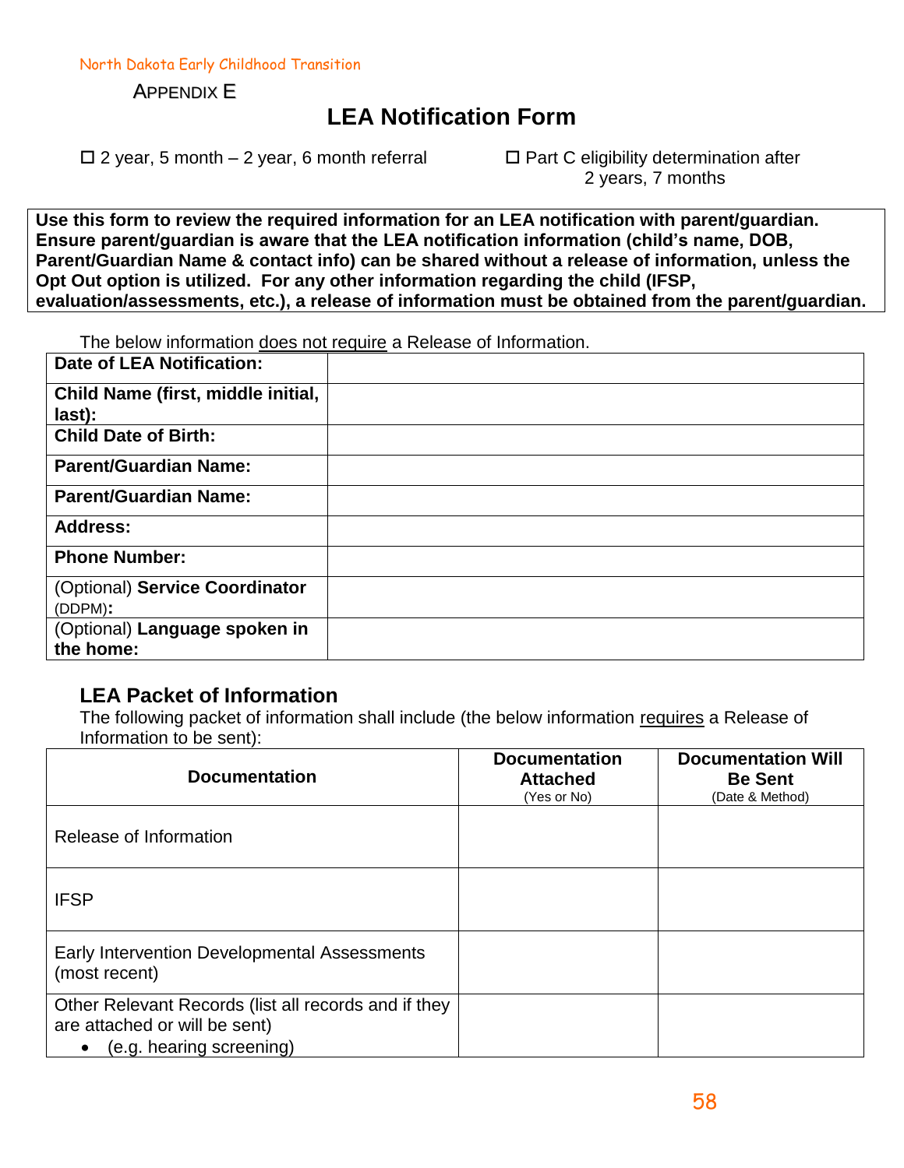North Dakota Early Childhood Transition

APPENDIX E

### **LEA Notification Form**

 $\Box$  2 year, 5 month – 2 year, 6 month referral  $\Box$  Part C eligibility determination after

2 years, 7 months

**Use this form to review the required information for an LEA notification with parent/guardian. Ensure parent/guardian is aware that the LEA notification information (child's name, DOB, Parent/Guardian Name & contact info) can be shared without a release of information, unless the Opt Out option is utilized. For any other information regarding the child (IFSP, evaluation/assessments, etc.), a release of information must be obtained from the parent/guardian.** 

The below information does not require a Release of Information.

| <b>Date of LEA Notification:</b>             |  |
|----------------------------------------------|--|
| Child Name (first, middle initial,<br>last): |  |
| <b>Child Date of Birth:</b>                  |  |
| <b>Parent/Guardian Name:</b>                 |  |
| <b>Parent/Guardian Name:</b>                 |  |
| <b>Address:</b>                              |  |
| <b>Phone Number:</b>                         |  |
| (Optional) Service Coordinator               |  |
| (DDPM):                                      |  |
| (Optional) Language spoken in                |  |
| the home:                                    |  |

#### **LEA Packet of Information**

The following packet of information shall include (the below information requires a Release of Information to be sent):

| <b>Documentation</b>                                                                                              | <b>Documentation</b><br><b>Attached</b><br>(Yes or No) | <b>Documentation Will</b><br><b>Be Sent</b><br>(Date & Method) |
|-------------------------------------------------------------------------------------------------------------------|--------------------------------------------------------|----------------------------------------------------------------|
| Release of Information                                                                                            |                                                        |                                                                |
| <b>IFSP</b>                                                                                                       |                                                        |                                                                |
| Early Intervention Developmental Assessments<br>(most recent)                                                     |                                                        |                                                                |
| Other Relevant Records (list all records and if they<br>are attached or will be sent)<br>(e.g. hearing screening) |                                                        |                                                                |